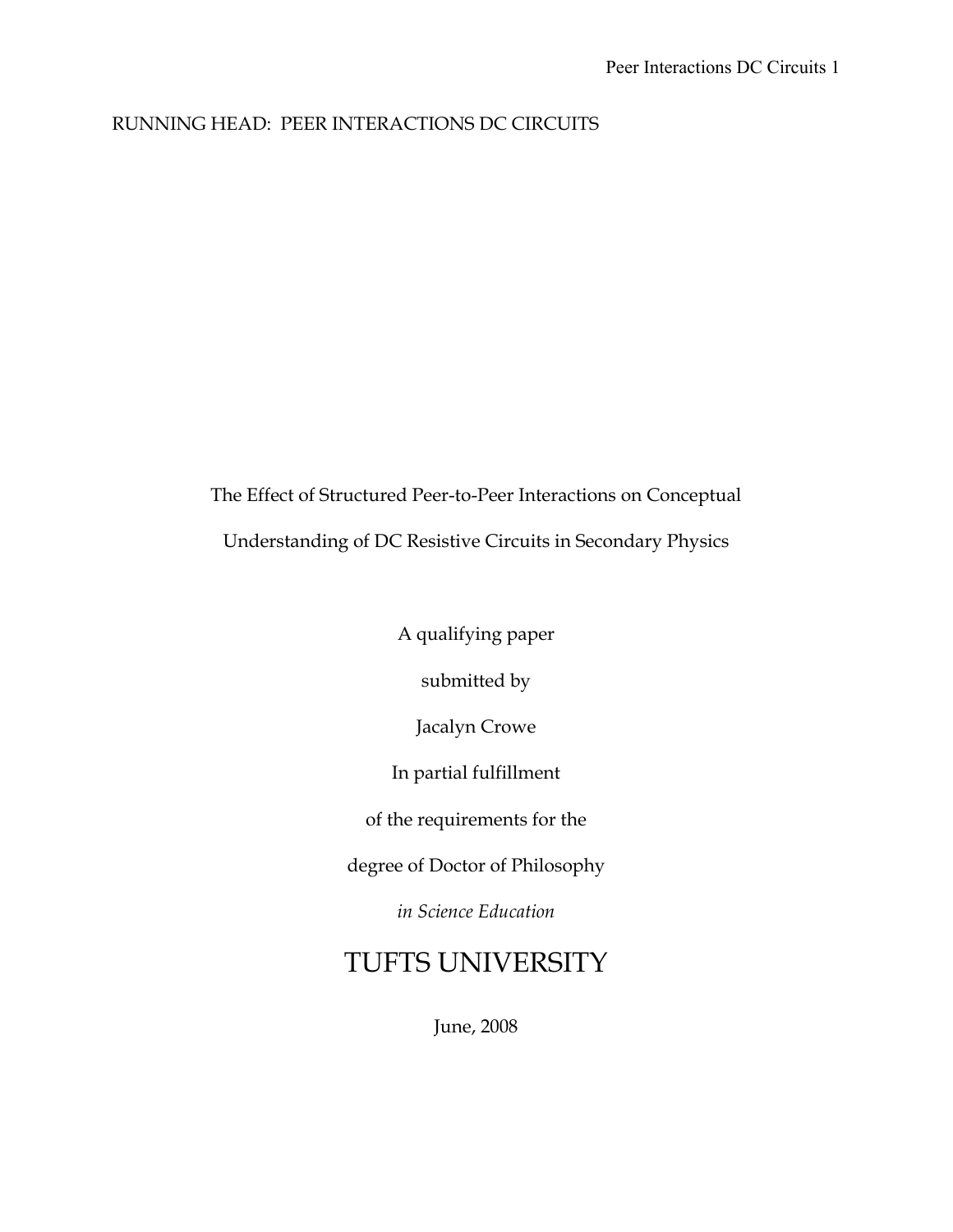# RUNNING HEAD: PEER INTERACTIONS DC CIRCUITS

# The Effect of Structured Peer-to-Peer Interactions on Conceptual Understanding of DC Resistive Circuits in Secondary Physics

A qualifying paper

submitted by

Jacalyn Crowe

In partial fulfillment

of the requirements for the

degree of Doctor of Philosophy

*in Science Education* 

# TUFTS UNIVERSITY

June, 2008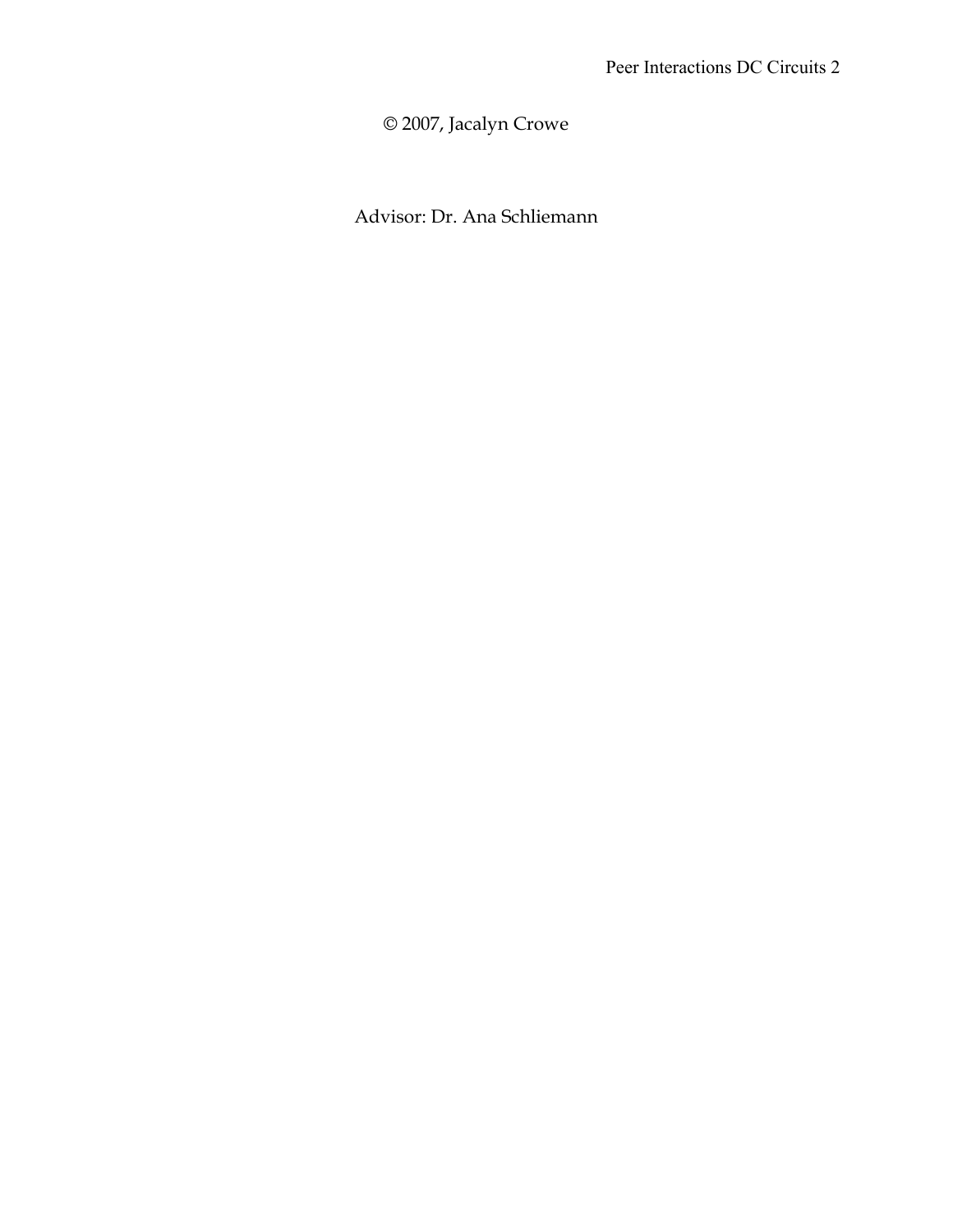© 2007, Jacalyn Crowe

Advisor: Dr. Ana Schliemann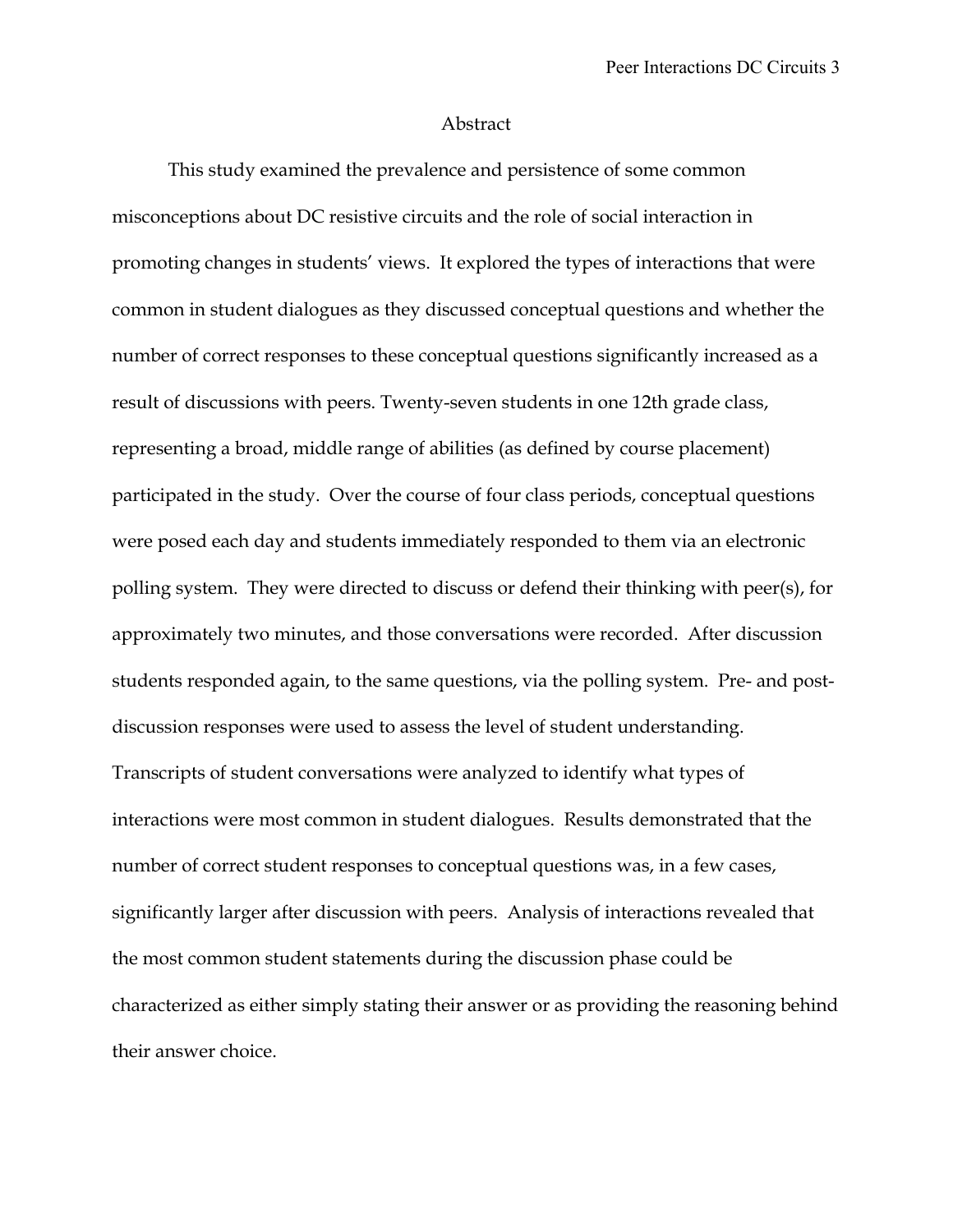### Abstract

This study examined the prevalence and persistence of some common misconceptions about DC resistive circuits and the role of social interaction in promoting changes in students' views. It explored the types of interactions that were common in student dialogues as they discussed conceptual questions and whether the number of correct responses to these conceptual questions significantly increased as a result of discussions with peers. Twenty-seven students in one 12th grade class, representing a broad, middle range of abilities (as defined by course placement) participated in the study. Over the course of four class periods, conceptual questions were posed each day and students immediately responded to them via an electronic polling system. They were directed to discuss or defend their thinking with peer(s), for approximately two minutes, and those conversations were recorded. After discussion students responded again, to the same questions, via the polling system. Pre- and postdiscussion responses were used to assess the level of student understanding. Transcripts of student conversations were analyzed to identify what types of interactions were most common in student dialogues. Results demonstrated that the number of correct student responses to conceptual questions was, in a few cases, significantly larger after discussion with peers. Analysis of interactions revealed that the most common student statements during the discussion phase could be characterized as either simply stating their answer or as providing the reasoning behind their answer choice.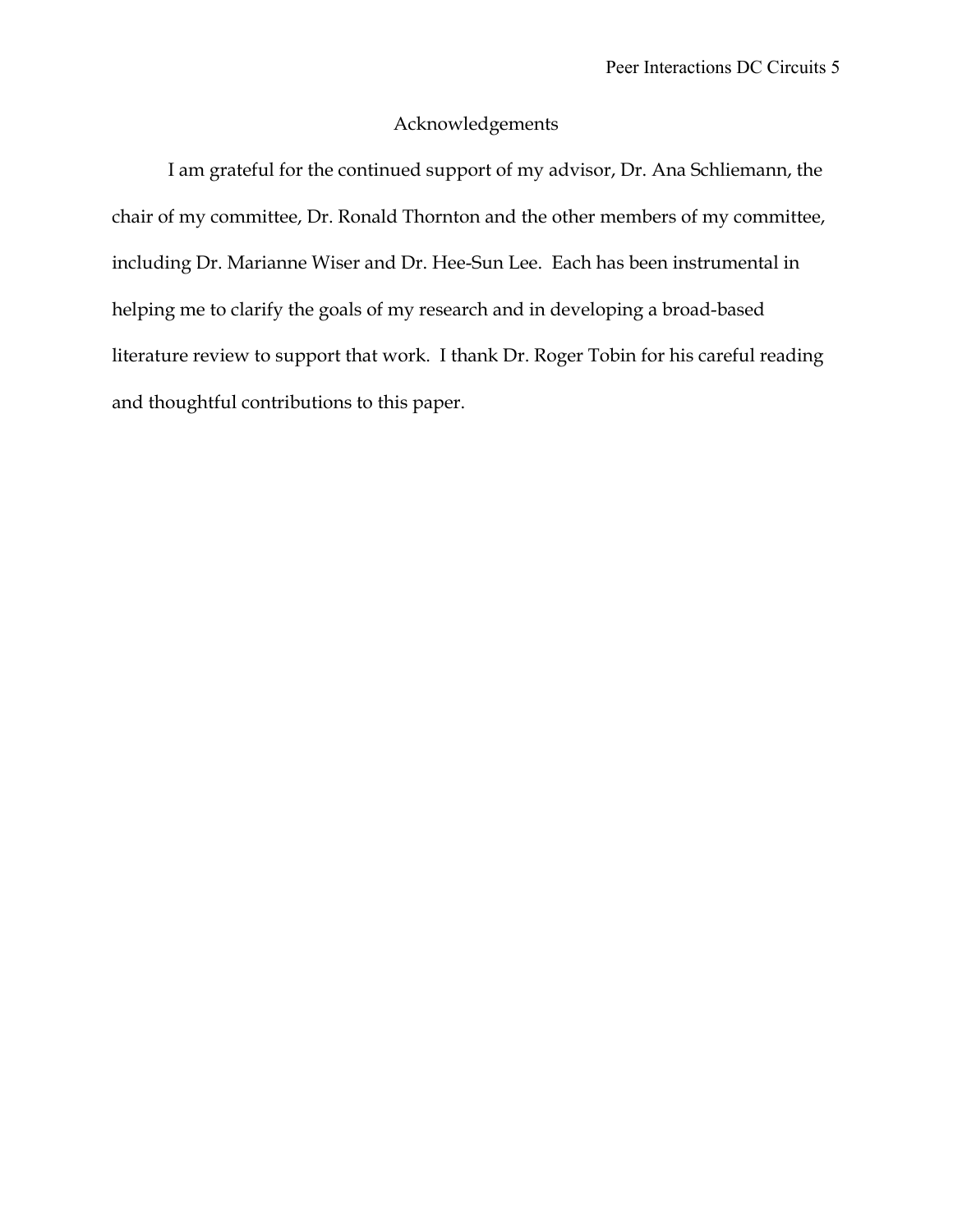# Acknowledgements

 I am grateful for the continued support of my advisor, Dr. Ana Schliemann, the chair of my committee, Dr. Ronald Thornton and the other members of my committee, including Dr. Marianne Wiser and Dr. Hee-Sun Lee. Each has been instrumental in helping me to clarify the goals of my research and in developing a broad-based literature review to support that work. I thank Dr. Roger Tobin for his careful reading and thoughtful contributions to this paper.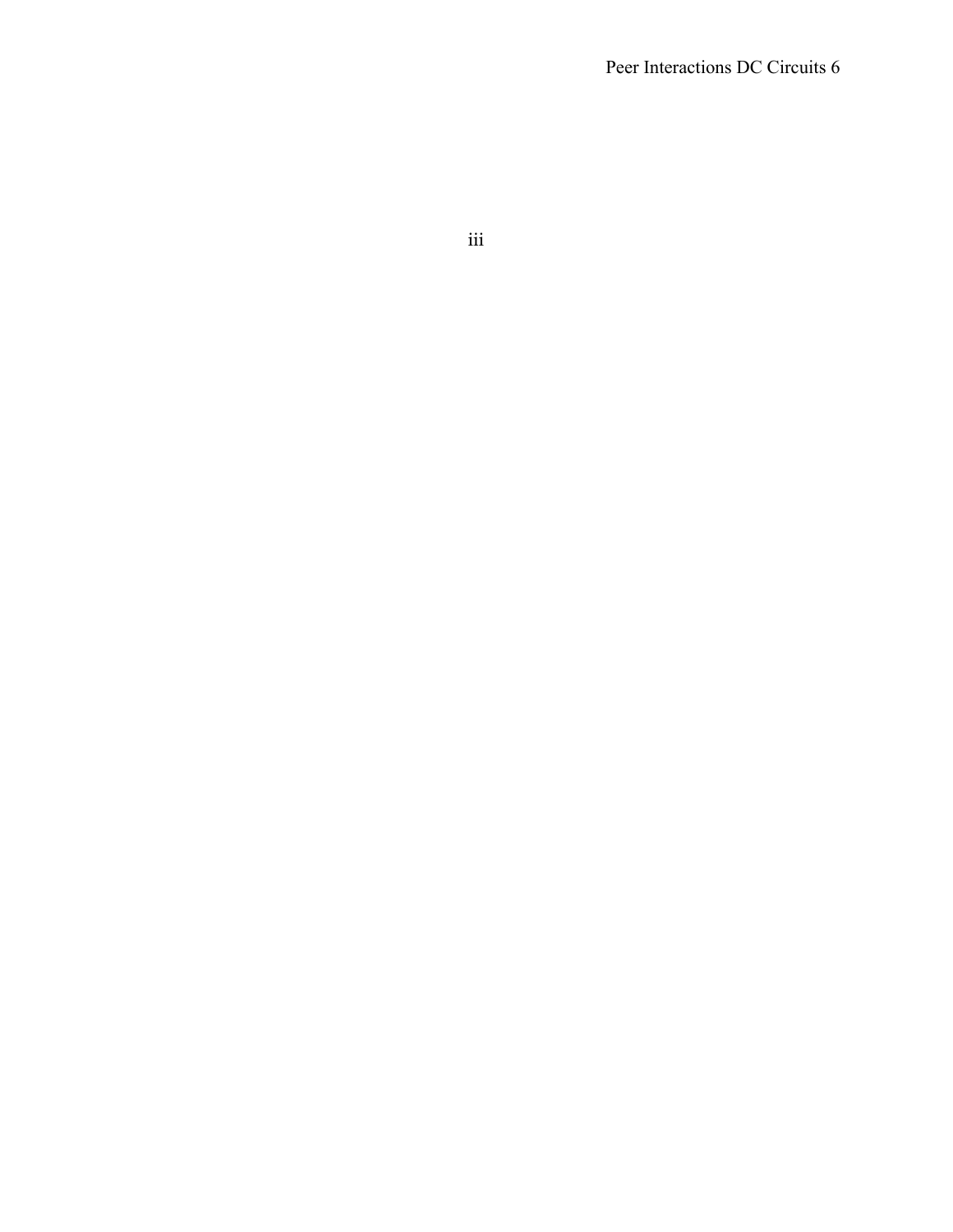iii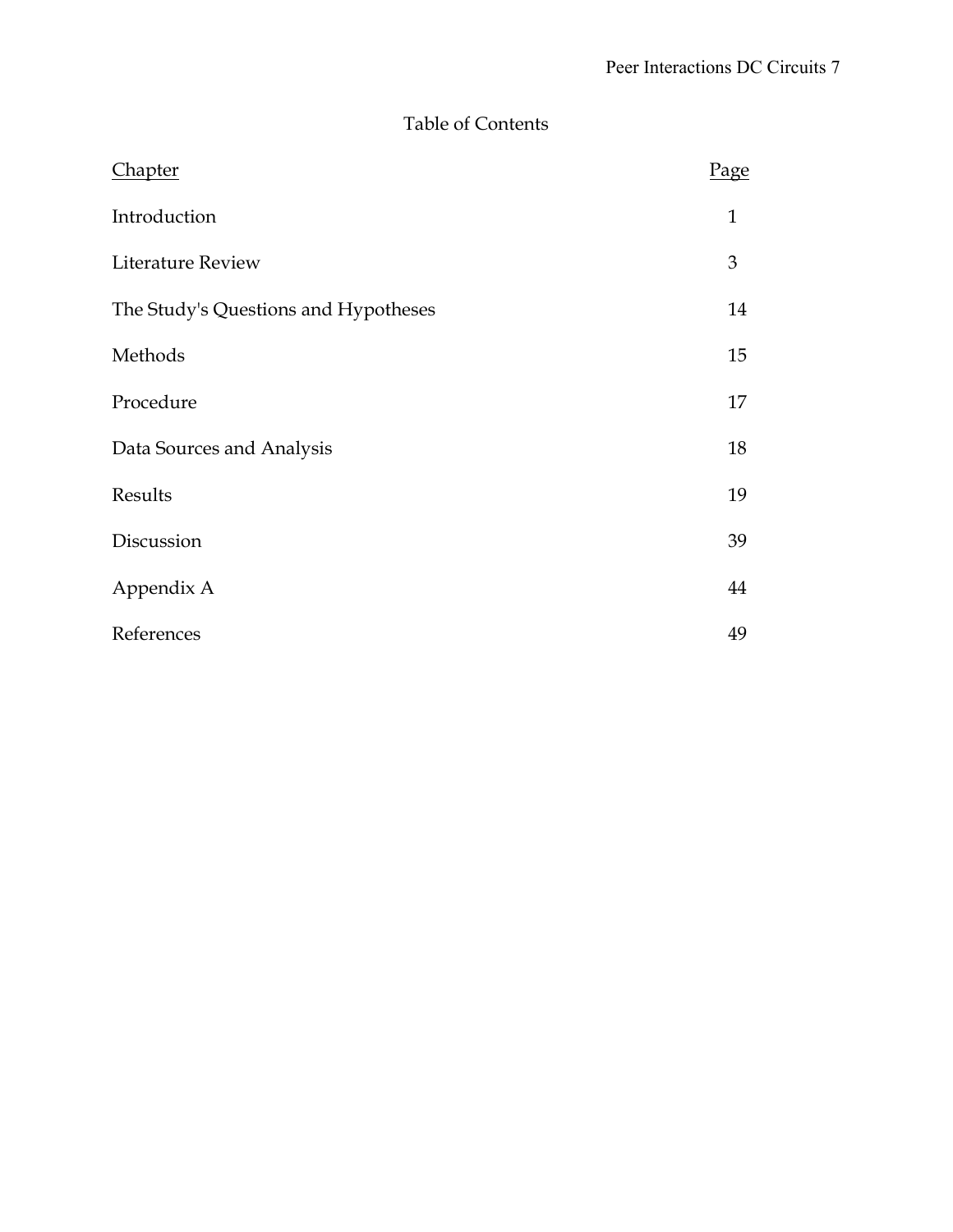# Table of Contents

| <b>Chapter</b>                       | Page         |
|--------------------------------------|--------------|
| Introduction                         | $\mathbf{1}$ |
| <b>Literature Review</b>             | 3            |
| The Study's Questions and Hypotheses | 14           |
| Methods                              | 15           |
| Procedure                            | 17           |
| Data Sources and Analysis            | 18           |
| Results                              | 19           |
| Discussion                           | 39           |
| Appendix A                           | 44           |
| References                           | 49           |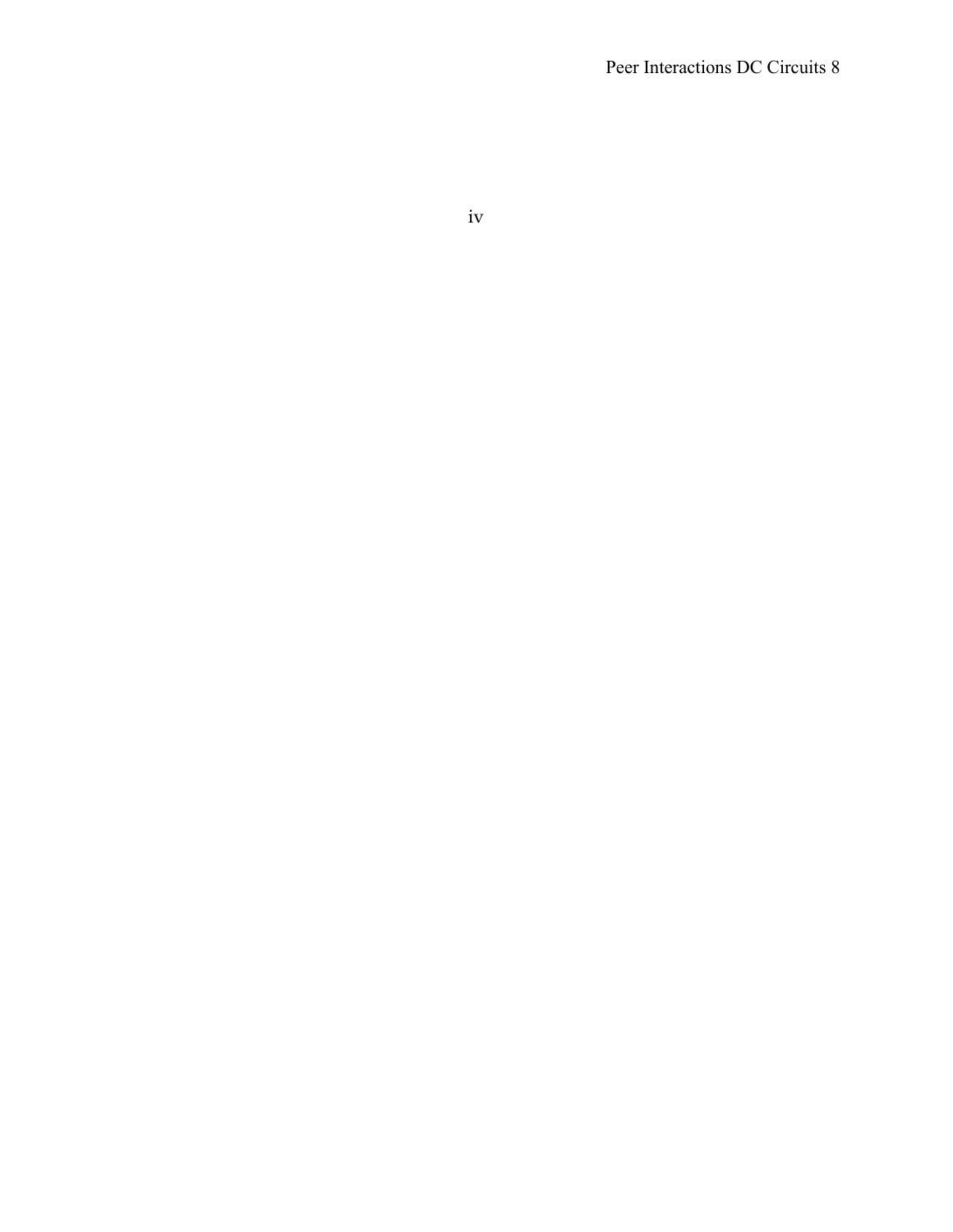iv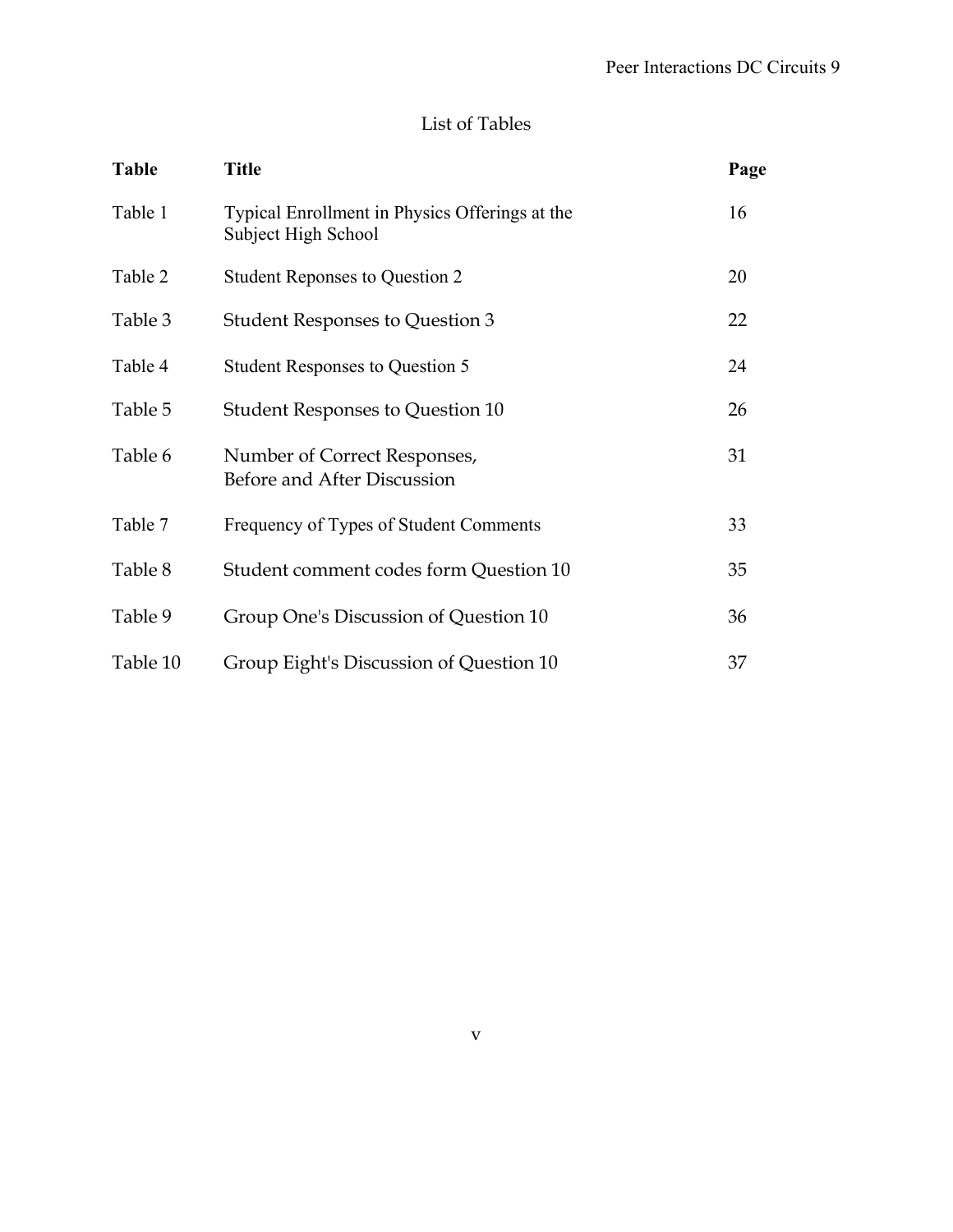# List of Tables

| <b>Table</b> | <b>Title</b>                                                          | Page |
|--------------|-----------------------------------------------------------------------|------|
| Table 1      | Typical Enrollment in Physics Offerings at the<br>Subject High School | 16   |
| Table 2      | <b>Student Reponses to Question 2</b>                                 | 20   |
| Table 3      | Student Responses to Question 3                                       | 22   |
| Table 4      | Student Responses to Question 5                                       | 24   |
| Table 5      | Student Responses to Question 10                                      | 26   |
| Table 6      | Number of Correct Responses,<br>Before and After Discussion           | 31   |
| Table 7      | Frequency of Types of Student Comments                                | 33   |
| Table 8      | Student comment codes form Question 10                                | 35   |
| Table 9      | Group One's Discussion of Question 10                                 | 36   |
| Table 10     | Group Eight's Discussion of Question 10                               | 37   |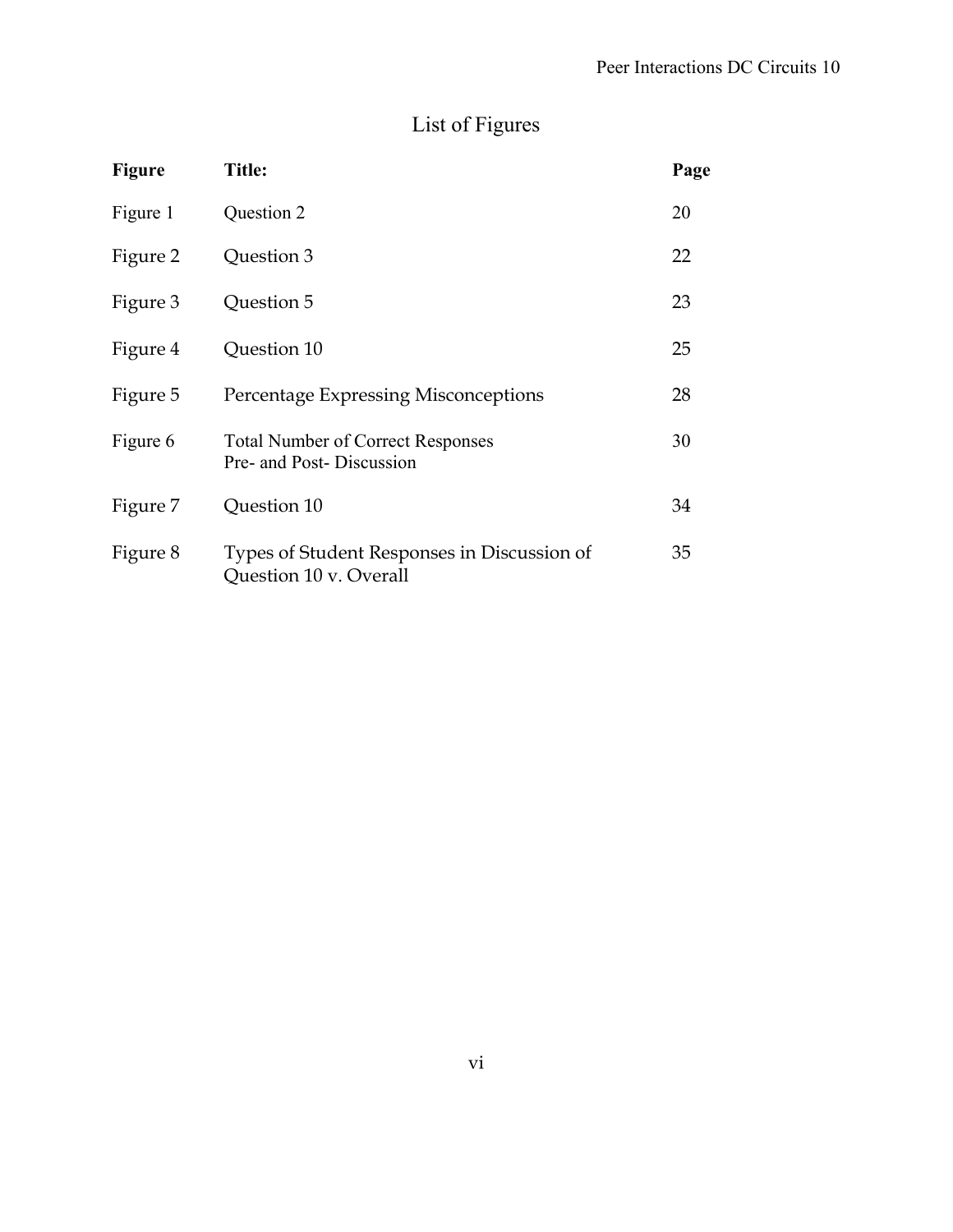# List of Figures

| <b>Figure</b> | <b>Title:</b>                                                         | Page |
|---------------|-----------------------------------------------------------------------|------|
| Figure 1      | Question 2                                                            | 20   |
| Figure 2      | Question 3                                                            | 22   |
| Figure 3      | Question 5                                                            | 23   |
| Figure 4      | Question 10                                                           | 25   |
| Figure 5      | Percentage Expressing Misconceptions                                  | 28   |
| Figure 6      | <b>Total Number of Correct Responses</b><br>Pre- and Post-Discussion  | 30   |
| Figure 7      | Question 10                                                           | 34   |
| Figure 8      | Types of Student Responses in Discussion of<br>Question 10 v. Overall | 35   |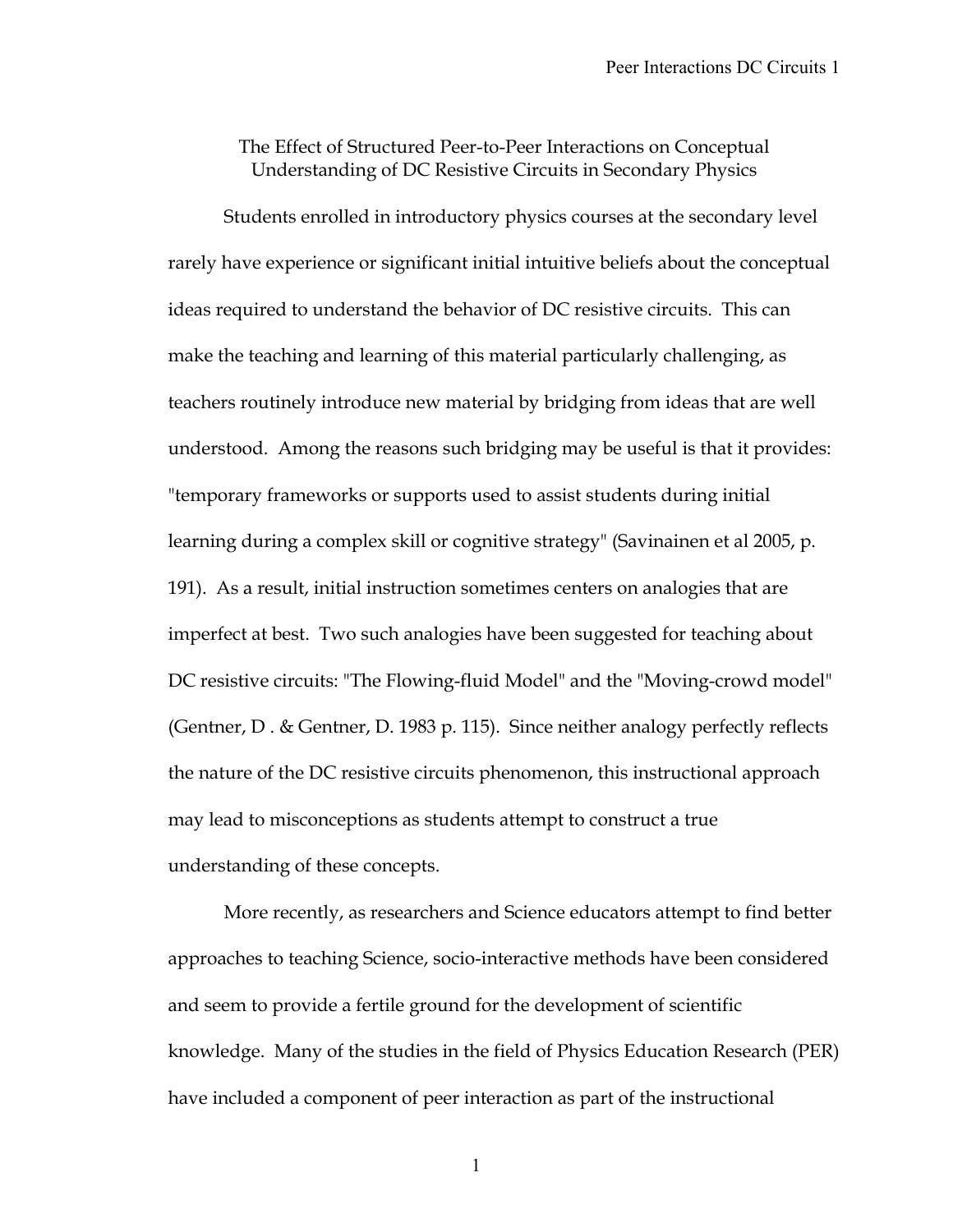The Effect of Structured Peer-to-Peer Interactions on Conceptual Understanding of DC Resistive Circuits in Secondary Physics

Students enrolled in introductory physics courses at the secondary level rarely have experience or significant initial intuitive beliefs about the conceptual ideas required to understand the behavior of DC resistive circuits. This can make the teaching and learning of this material particularly challenging, as teachers routinely introduce new material by bridging from ideas that are well understood. Among the reasons such bridging may be useful is that it provides: "temporary frameworks or supports used to assist students during initial learning during a complex skill or cognitive strategy" (Savinainen et al 2005, p. 191). As a result, initial instruction sometimes centers on analogies that are imperfect at best. Two such analogies have been suggested for teaching about DC resistive circuits: "The Flowing-fluid Model" and the "Moving-crowd model" (Gentner, D . & Gentner, D. 1983 p. 115). Since neither analogy perfectly reflects the nature of the DC resistive circuits phenomenon, this instructional approach may lead to misconceptions as students attempt to construct a true understanding of these concepts.

More recently, as researchers and Science educators attempt to find better approaches to teaching Science, socio-interactive methods have been considered and seem to provide a fertile ground for the development of scientific knowledge. Many of the studies in the field of Physics Education Research (PER) have included a component of peer interaction as part of the instructional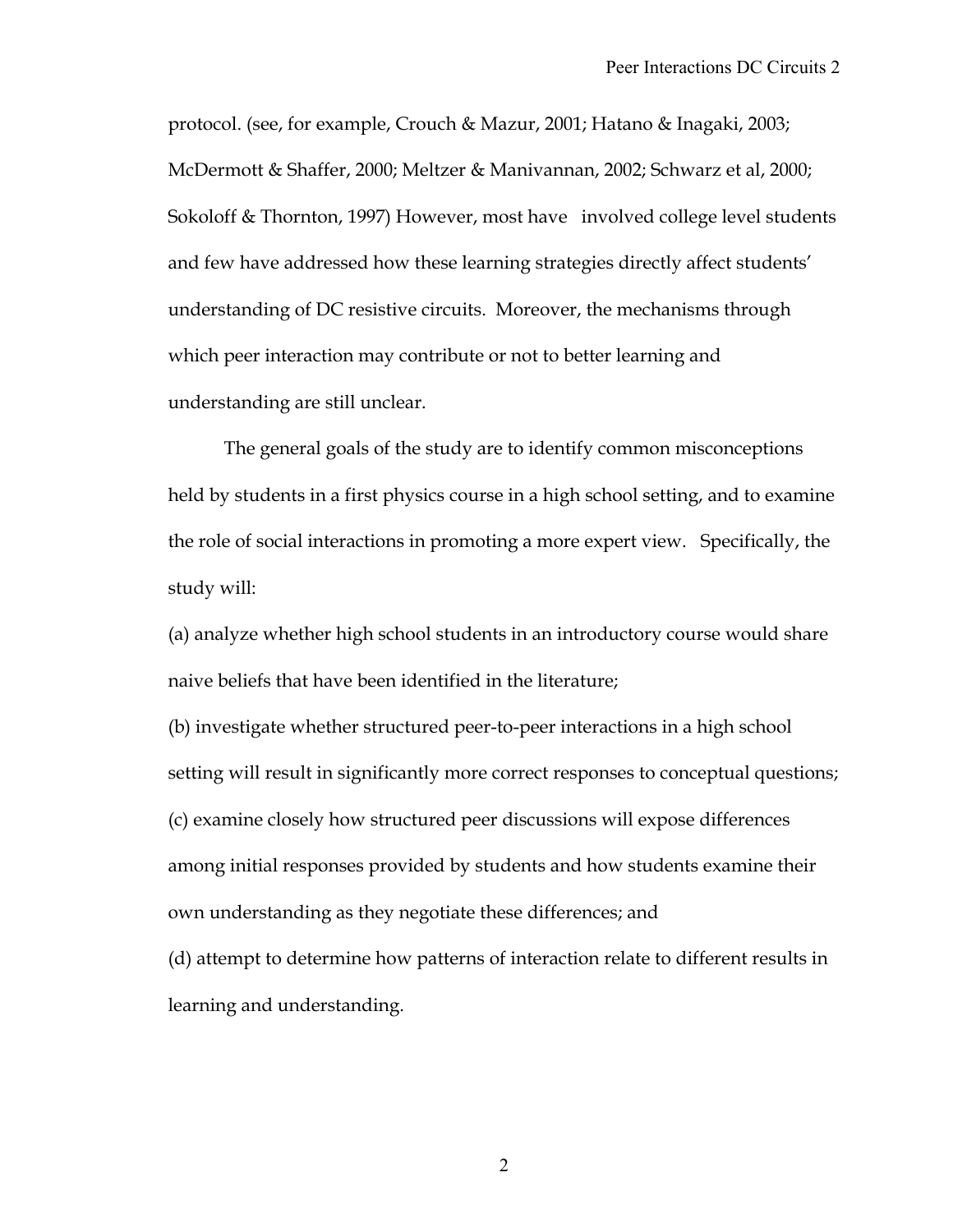protocol. (see, for example, Crouch & Mazur, 2001; Hatano & Inagaki, 2003; McDermott & Shaffer, 2000; Meltzer & Manivannan, 2002; Schwarz et al, 2000; Sokoloff & Thornton, 1997) However, most have involved college level students and few have addressed how these learning strategies directly affect students' understanding of DC resistive circuits. Moreover, the mechanisms through which peer interaction may contribute or not to better learning and understanding are still unclear.

 The general goals of the study are to identify common misconceptions held by students in a first physics course in a high school setting, and to examine the role of social interactions in promoting a more expert view. Specifically, the study will:

(a) analyze whether high school students in an introductory course would share naive beliefs that have been identified in the literature;

(b) investigate whether structured peer-to-peer interactions in a high school setting will result in significantly more correct responses to conceptual questions; (c) examine closely how structured peer discussions will expose differences among initial responses provided by students and how students examine their own understanding as they negotiate these differences; and

(d) attempt to determine how patterns of interaction relate to different results in learning and understanding.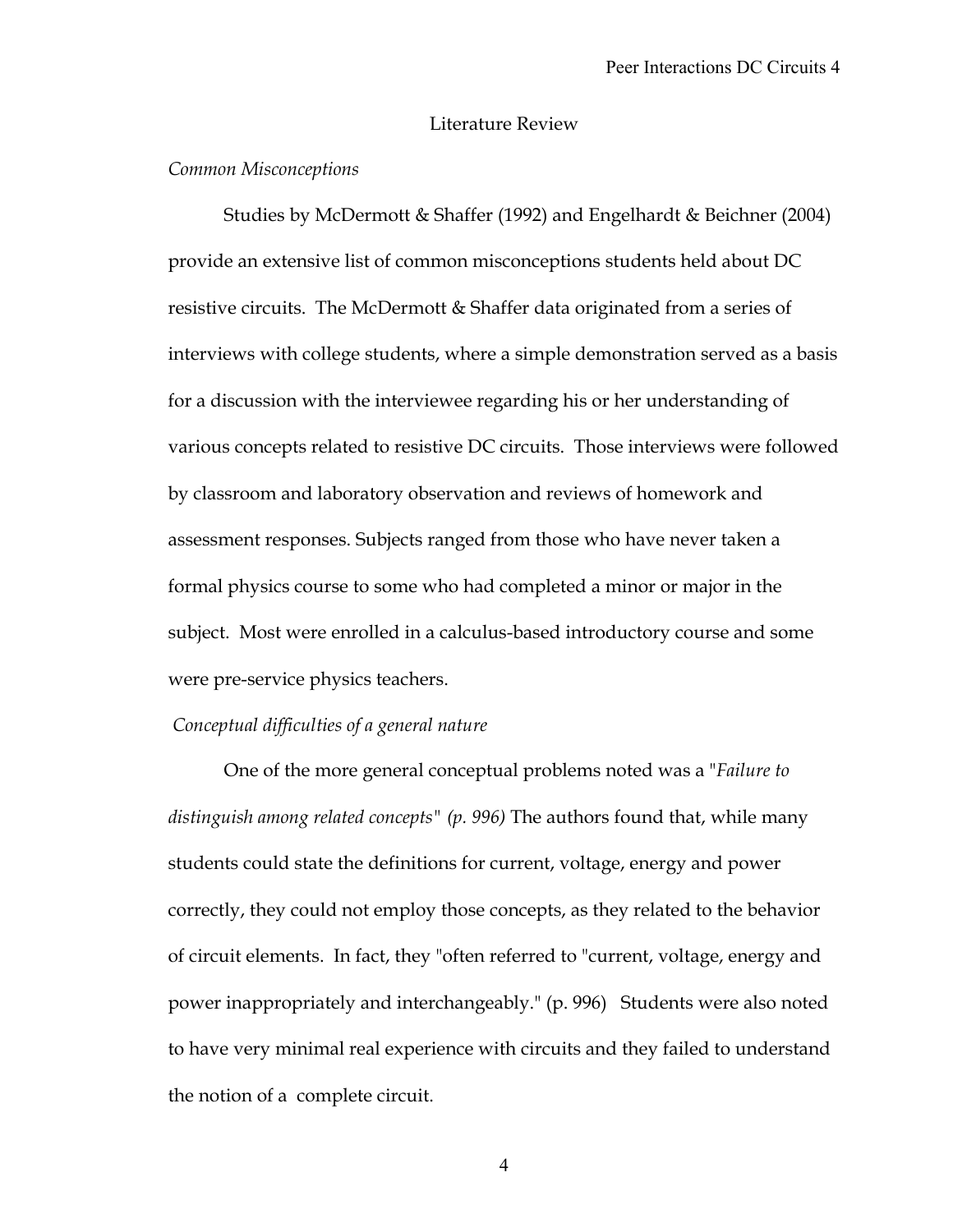#### Literature Review

## *Common Misconceptions*

Studies by McDermott & Shaffer (1992) and Engelhardt & Beichner (2004) provide an extensive list of common misconceptions students held about DC resistive circuits. The McDermott & Shaffer data originated from a series of interviews with college students, where a simple demonstration served as a basis for a discussion with the interviewee regarding his or her understanding of various concepts related to resistive DC circuits. Those interviews were followed by classroom and laboratory observation and reviews of homework and assessment responses. Subjects ranged from those who have never taken a formal physics course to some who had completed a minor or major in the subject. Most were enrolled in a calculus-based introductory course and some were pre-service physics teachers.

#### *Conceptual difficulties of a general nature*

 One of the more general conceptual problems noted was a "*Failure to distinguish among related concepts" (p. 996)* The authors found that, while many students could state the definitions for current, voltage, energy and power correctly, they could not employ those concepts, as they related to the behavior of circuit elements. In fact, they "often referred to "current, voltage, energy and power inappropriately and interchangeably." (p. 996) Students were also noted to have very minimal real experience with circuits and they failed to understand the notion of a complete circuit.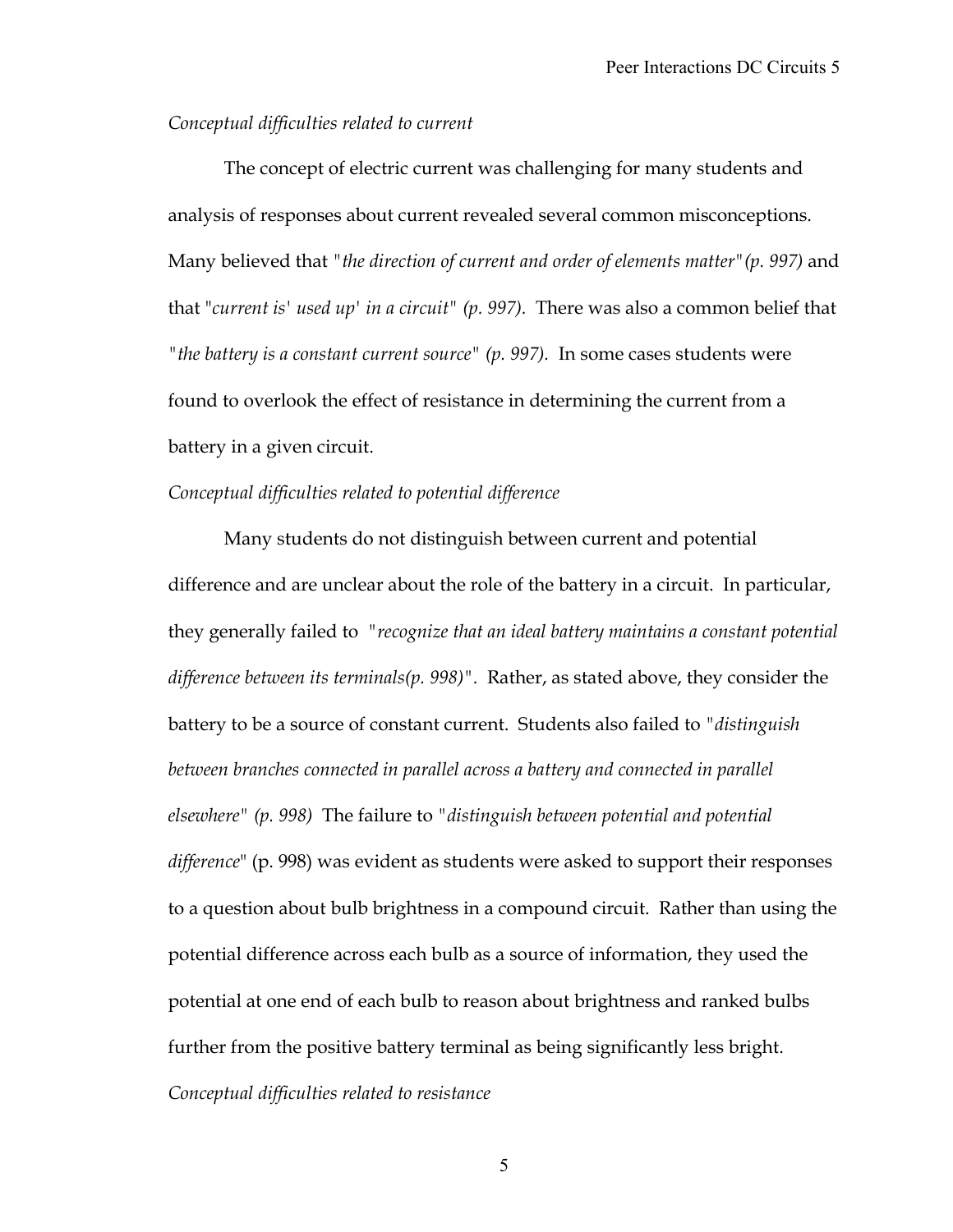### *Conceptual difficulties related to current*

 The concept of electric current was challenging for many students and analysis of responses about current revealed several common misconceptions. Many believed that *"the direction of current and order of elements matter"(p. 997)* and that "*current is' used up' in a circuit" (p. 997).* There was also a common belief that *"the battery is a constant current source" (p. 997).* In some cases students were found to overlook the effect of resistance in determining the current from a battery in a given circuit.

### *Conceptual difficulties related to potential difference*

 Many students do not distinguish between current and potential difference and are unclear about the role of the battery in a circuit. In particular, they generally failed to *"recognize that an ideal battery maintains a constant potential difference between its terminals(p. 998)".* Rather, as stated above, they consider the battery to be a source of constant current. Students also failed to *"distinguish between branches connected in parallel across a battery and connected in parallel elsewhere" (p. 998)* The failure to *"distinguish between potential and potential difference*" (p. 998) was evident as students were asked to support their responses to a question about bulb brightness in a compound circuit. Rather than using the potential difference across each bulb as a source of information, they used the potential at one end of each bulb to reason about brightness and ranked bulbs further from the positive battery terminal as being significantly less bright. *Conceptual difficulties related to resistance*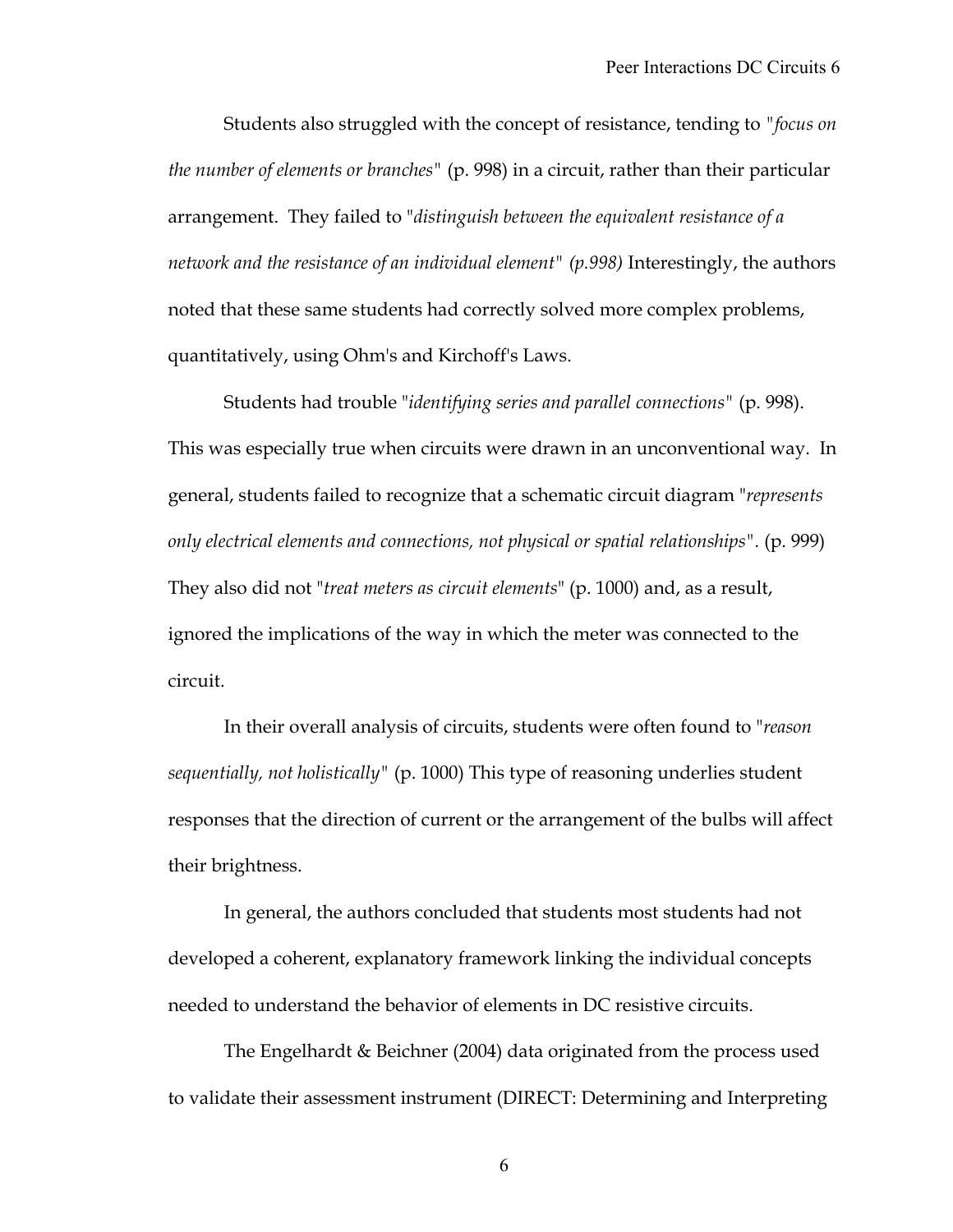Students also struggled with the concept of resistance, tending to *"focus on the number of elements or branches"* (p. 998) in a circuit, rather than their particular arrangement. They failed to "*distinguish between the equivalent resistance of a network and the resistance of an individual element" (p.998)* Interestingly, the authors noted that these same students had correctly solved more complex problems, quantitatively, using Ohm's and Kirchoff's Laws.

Students had trouble "*identifying series and parallel connections"* (p. 998). This was especially true when circuits were drawn in an unconventional way. In general, students failed to recognize that a schematic circuit diagram "*represents only electrical elements and connections, not physical or spatial relationships*". (p. 999) They also did not "*treat meters as circuit elements*" (p. 1000) and, as a result, ignored the implications of the way in which the meter was connected to the circuit.

In their overall analysis of circuits, students were often found to "*reason sequentially, not holistically"* (p. 1000) This type of reasoning underlies student responses that the direction of current or the arrangement of the bulbs will affect their brightness.

In general, the authors concluded that students most students had not developed a coherent, explanatory framework linking the individual concepts needed to understand the behavior of elements in DC resistive circuits.

 The Engelhardt & Beichner (2004) data originated from the process used to validate their assessment instrument (DIRECT: Determining and Interpreting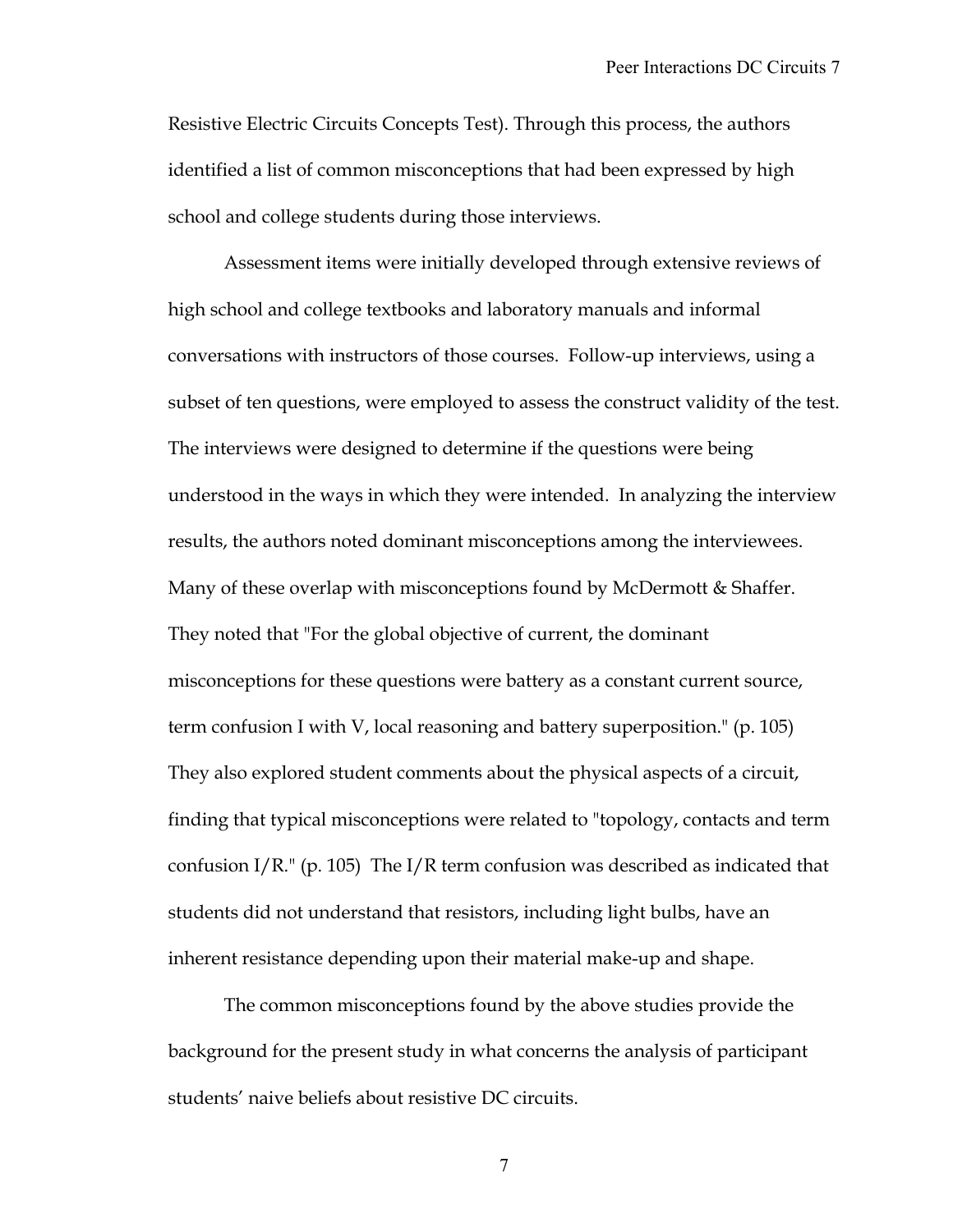Resistive Electric Circuits Concepts Test). Through this process, the authors identified a list of common misconceptions that had been expressed by high school and college students during those interviews.

 Assessment items were initially developed through extensive reviews of high school and college textbooks and laboratory manuals and informal conversations with instructors of those courses. Follow-up interviews, using a subset of ten questions, were employed to assess the construct validity of the test. The interviews were designed to determine if the questions were being understood in the ways in which they were intended. In analyzing the interview results, the authors noted dominant misconceptions among the interviewees. Many of these overlap with misconceptions found by McDermott & Shaffer. They noted that "For the global objective of current, the dominant misconceptions for these questions were battery as a constant current source, term confusion I with V, local reasoning and battery superposition." (p. 105) They also explored student comments about the physical aspects of a circuit, finding that typical misconceptions were related to "topology, contacts and term confusion I/R." (p. 105) The I/R term confusion was described as indicated that students did not understand that resistors, including light bulbs, have an inherent resistance depending upon their material make-up and shape.

 The common misconceptions found by the above studies provide the background for the present study in what concerns the analysis of participant students' naive beliefs about resistive DC circuits.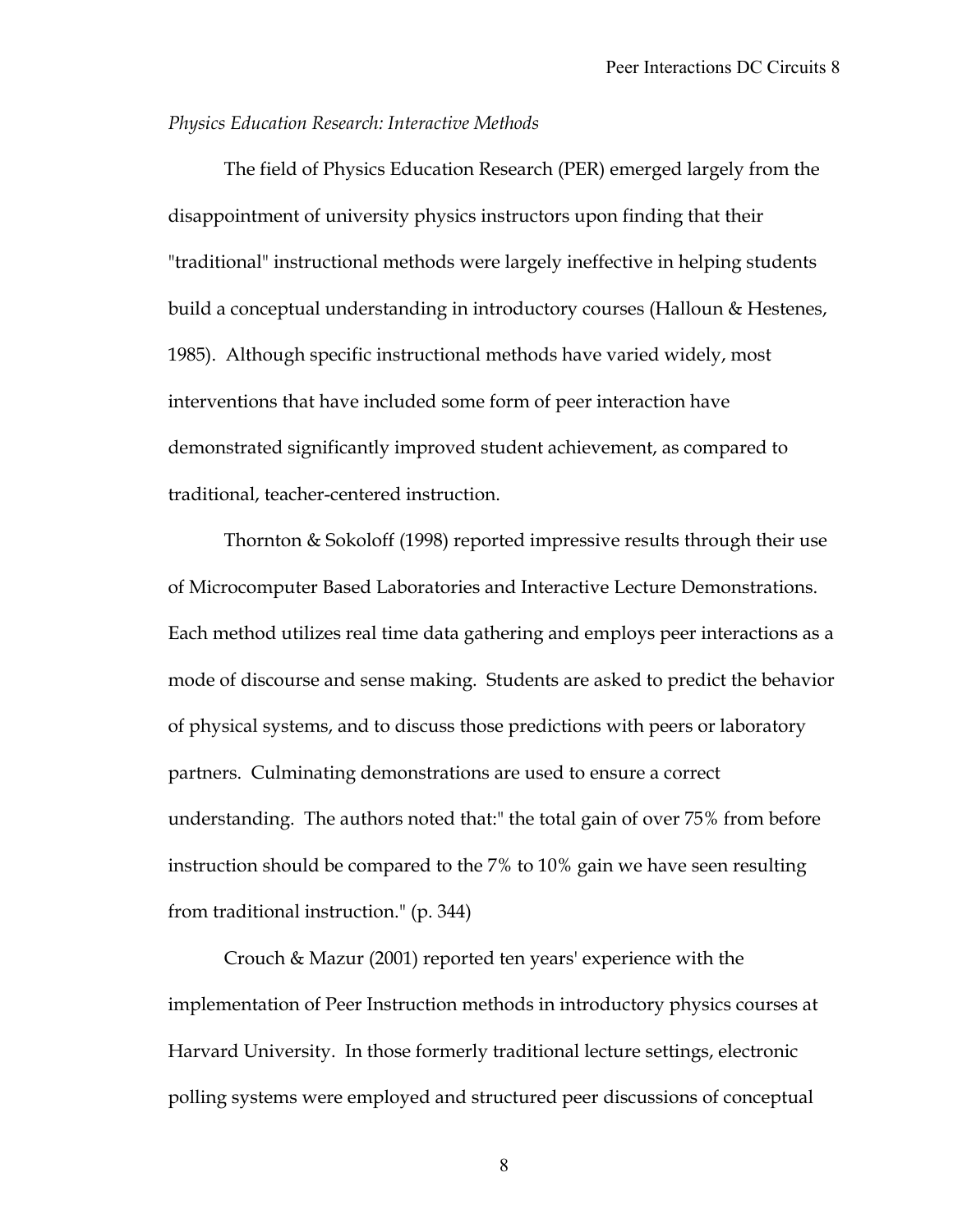### *Physics Education Research: Interactive Methods*

 The field of Physics Education Research (PER) emerged largely from the disappointment of university physics instructors upon finding that their "traditional" instructional methods were largely ineffective in helping students build a conceptual understanding in introductory courses (Halloun & Hestenes, 1985). Although specific instructional methods have varied widely, most interventions that have included some form of peer interaction have demonstrated significantly improved student achievement, as compared to traditional, teacher-centered instruction.

Thornton & Sokoloff (1998) reported impressive results through their use of Microcomputer Based Laboratories and Interactive Lecture Demonstrations. Each method utilizes real time data gathering and employs peer interactions as a mode of discourse and sense making. Students are asked to predict the behavior of physical systems, and to discuss those predictions with peers or laboratory partners. Culminating demonstrations are used to ensure a correct understanding. The authors noted that:" the total gain of over 75% from before instruction should be compared to the 7% to 10% gain we have seen resulting from traditional instruction." (p. 344)

Crouch & Mazur (2001) reported ten years' experience with the implementation of Peer Instruction methods in introductory physics courses at Harvard University. In those formerly traditional lecture settings, electronic polling systems were employed and structured peer discussions of conceptual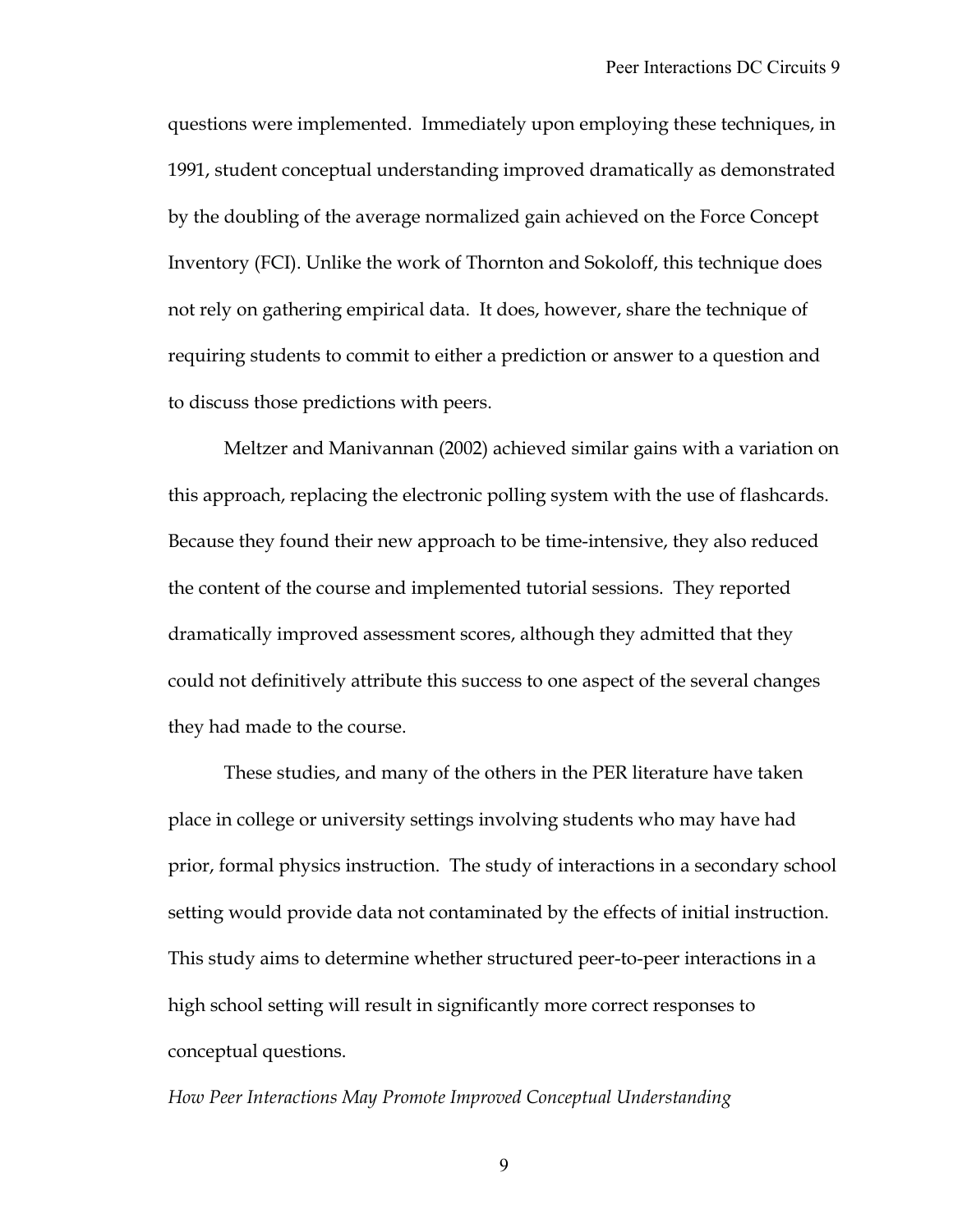questions were implemented. Immediately upon employing these techniques, in 1991, student conceptual understanding improved dramatically as demonstrated by the doubling of the average normalized gain achieved on the Force Concept Inventory (FCI). Unlike the work of Thornton and Sokoloff, this technique does not rely on gathering empirical data. It does, however, share the technique of requiring students to commit to either a prediction or answer to a question and to discuss those predictions with peers.

Meltzer and Manivannan (2002) achieved similar gains with a variation on this approach, replacing the electronic polling system with the use of flashcards. Because they found their new approach to be time-intensive, they also reduced the content of the course and implemented tutorial sessions. They reported dramatically improved assessment scores, although they admitted that they could not definitively attribute this success to one aspect of the several changes they had made to the course.

These studies, and many of the others in the PER literature have taken place in college or university settings involving students who may have had prior, formal physics instruction. The study of interactions in a secondary school setting would provide data not contaminated by the effects of initial instruction. This study aims to determine whether structured peer-to-peer interactions in a high school setting will result in significantly more correct responses to conceptual questions.

*How Peer Interactions May Promote Improved Conceptual Understanding*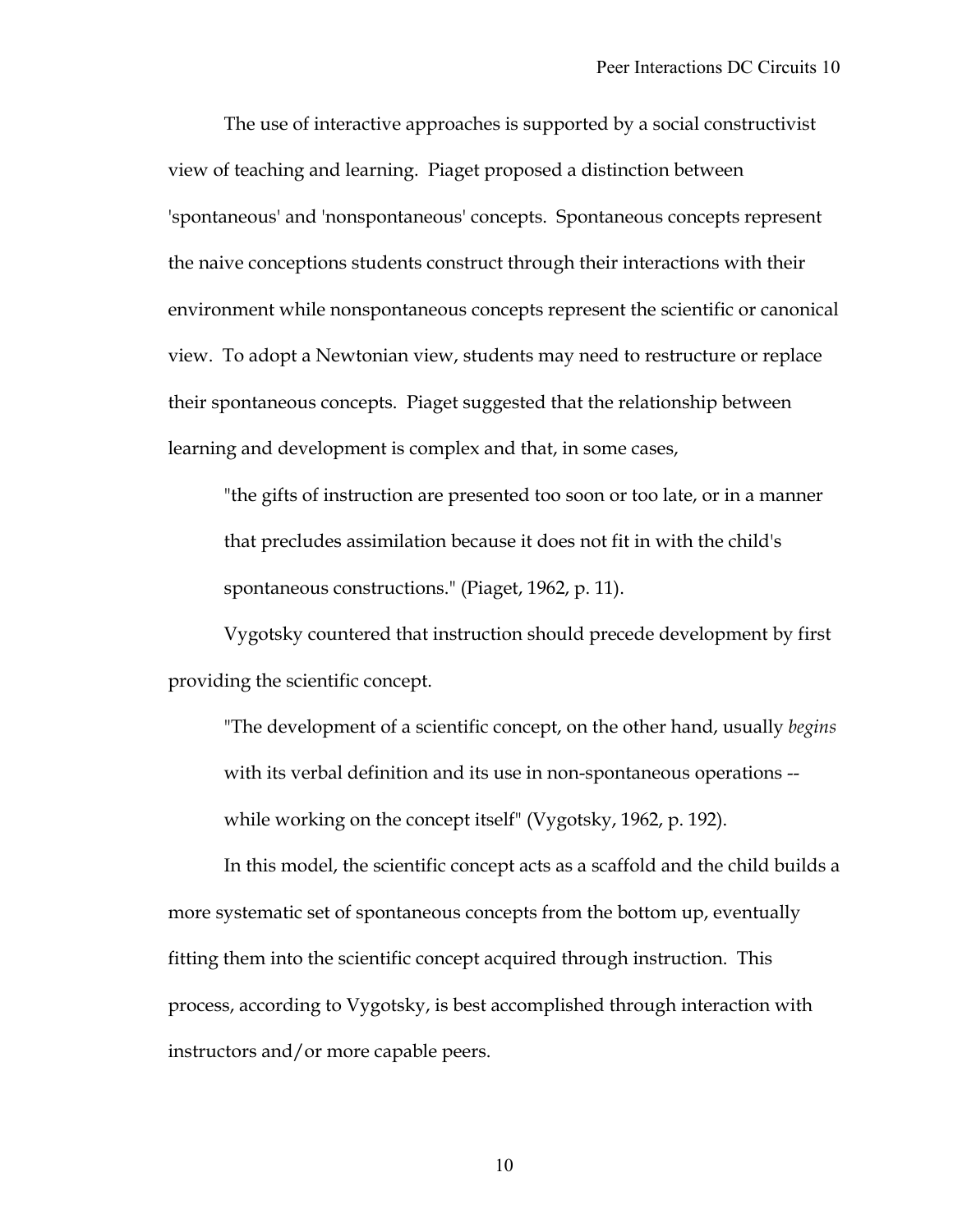The use of interactive approaches is supported by a social constructivist view of teaching and learning. Piaget proposed a distinction between 'spontaneous' and 'nonspontaneous' concepts. Spontaneous concepts represent the naive conceptions students construct through their interactions with their environment while nonspontaneous concepts represent the scientific or canonical view. To adopt a Newtonian view, students may need to restructure or replace their spontaneous concepts. Piaget suggested that the relationship between learning and development is complex and that, in some cases,

"the gifts of instruction are presented too soon or too late, or in a manner that precludes assimilation because it does not fit in with the child's spontaneous constructions." (Piaget, 1962, p. 11).

 Vygotsky countered that instruction should precede development by first providing the scientific concept.

"The development of a scientific concept, on the other hand, usually *begins* with its verbal definition and its use in non-spontaneous operations - while working on the concept itself" (Vygotsky, 1962, p. 192).

In this model, the scientific concept acts as a scaffold and the child builds a more systematic set of spontaneous concepts from the bottom up, eventually fitting them into the scientific concept acquired through instruction. This process, according to Vygotsky, is best accomplished through interaction with instructors and/or more capable peers.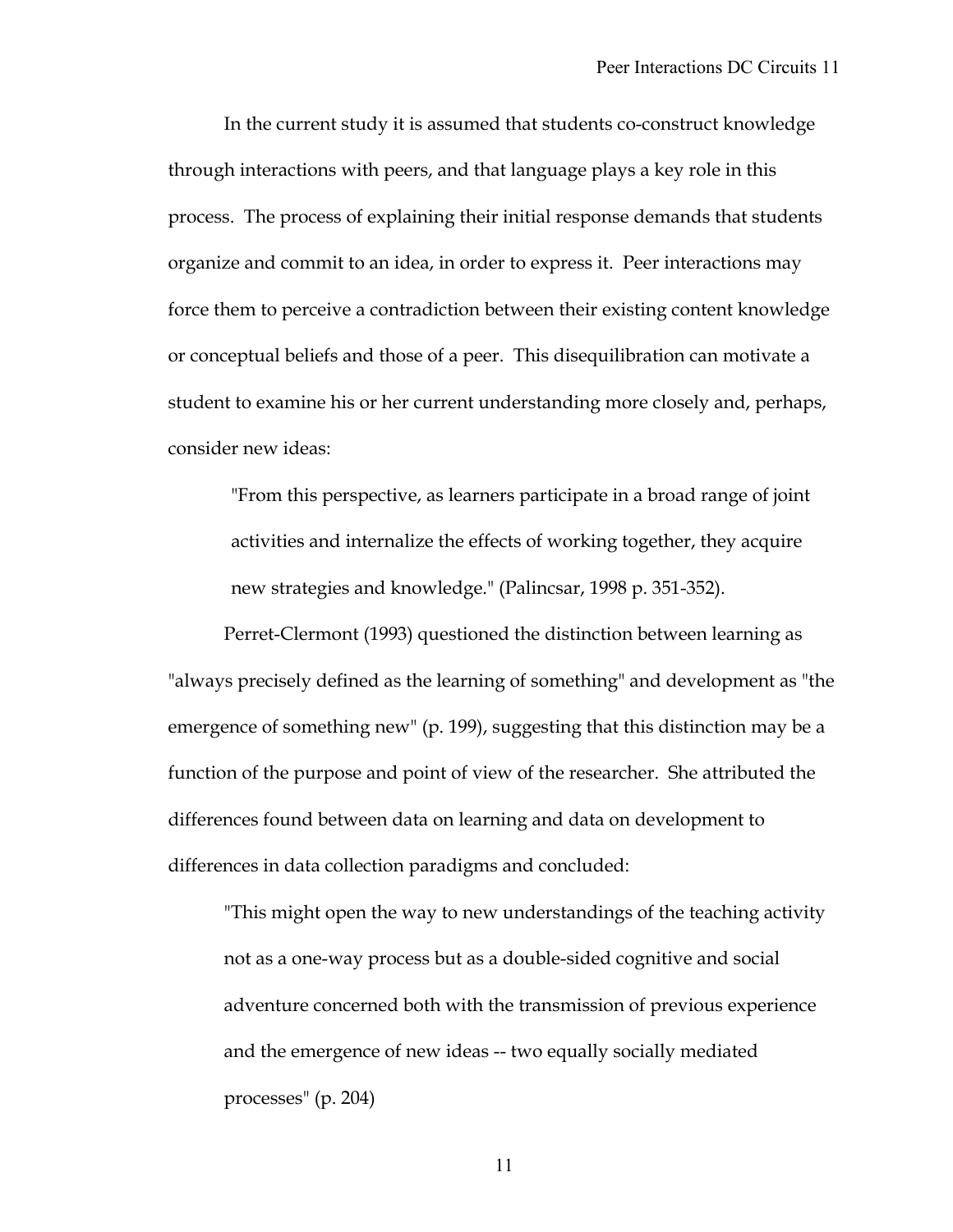In the current study it is assumed that students co-construct knowledge through interactions with peers, and that language plays a key role in this process. The process of explaining their initial response demands that students organize and commit to an idea, in order to express it. Peer interactions may force them to perceive a contradiction between their existing content knowledge or conceptual beliefs and those of a peer. This disequilibration can motivate a student to examine his or her current understanding more closely and, perhaps, consider new ideas:

"From this perspective, as learners participate in a broad range of joint activities and internalize the effects of working together, they acquire new strategies and knowledge." (Palincsar, 1998 p. 351-352).

Perret-Clermont (1993) questioned the distinction between learning as "always precisely defined as the learning of something" and development as "the emergence of something new" (p. 199), suggesting that this distinction may be a function of the purpose and point of view of the researcher. She attributed the differences found between data on learning and data on development to differences in data collection paradigms and concluded:

"This might open the way to new understandings of the teaching activity not as a one-way process but as a double-sided cognitive and social adventure concerned both with the transmission of previous experience and the emergence of new ideas -- two equally socially mediated processes" (p. 204)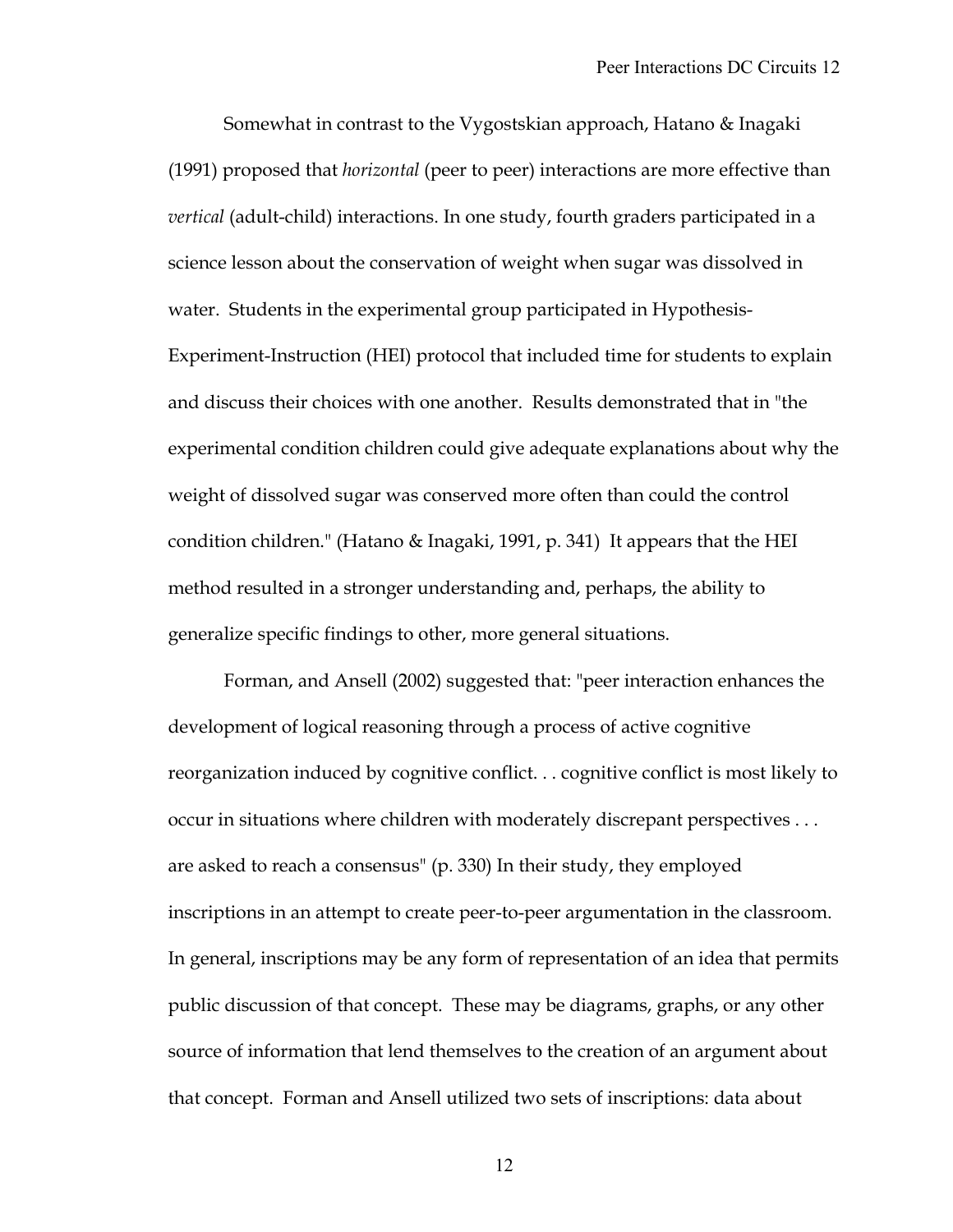Somewhat in contrast to the Vygostskian approach, Hatano & Inagaki (1991) proposed that *horizontal* (peer to peer) interactions are more effective than *vertical* (adult-child) interactions. In one study, fourth graders participated in a science lesson about the conservation of weight when sugar was dissolved in water. Students in the experimental group participated in Hypothesis-Experiment-Instruction (HEI) protocol that included time for students to explain and discuss their choices with one another. Results demonstrated that in "the experimental condition children could give adequate explanations about why the weight of dissolved sugar was conserved more often than could the control condition children." (Hatano & Inagaki, 1991, p. 341) It appears that the HEI method resulted in a stronger understanding and, perhaps, the ability to generalize specific findings to other, more general situations.

Forman, and Ansell (2002) suggested that: "peer interaction enhances the development of logical reasoning through a process of active cognitive reorganization induced by cognitive conflict. . . cognitive conflict is most likely to occur in situations where children with moderately discrepant perspectives . . . are asked to reach a consensus" (p. 330) In their study, they employed inscriptions in an attempt to create peer-to-peer argumentation in the classroom. In general, inscriptions may be any form of representation of an idea that permits public discussion of that concept. These may be diagrams, graphs, or any other source of information that lend themselves to the creation of an argument about that concept. Forman and Ansell utilized two sets of inscriptions: data about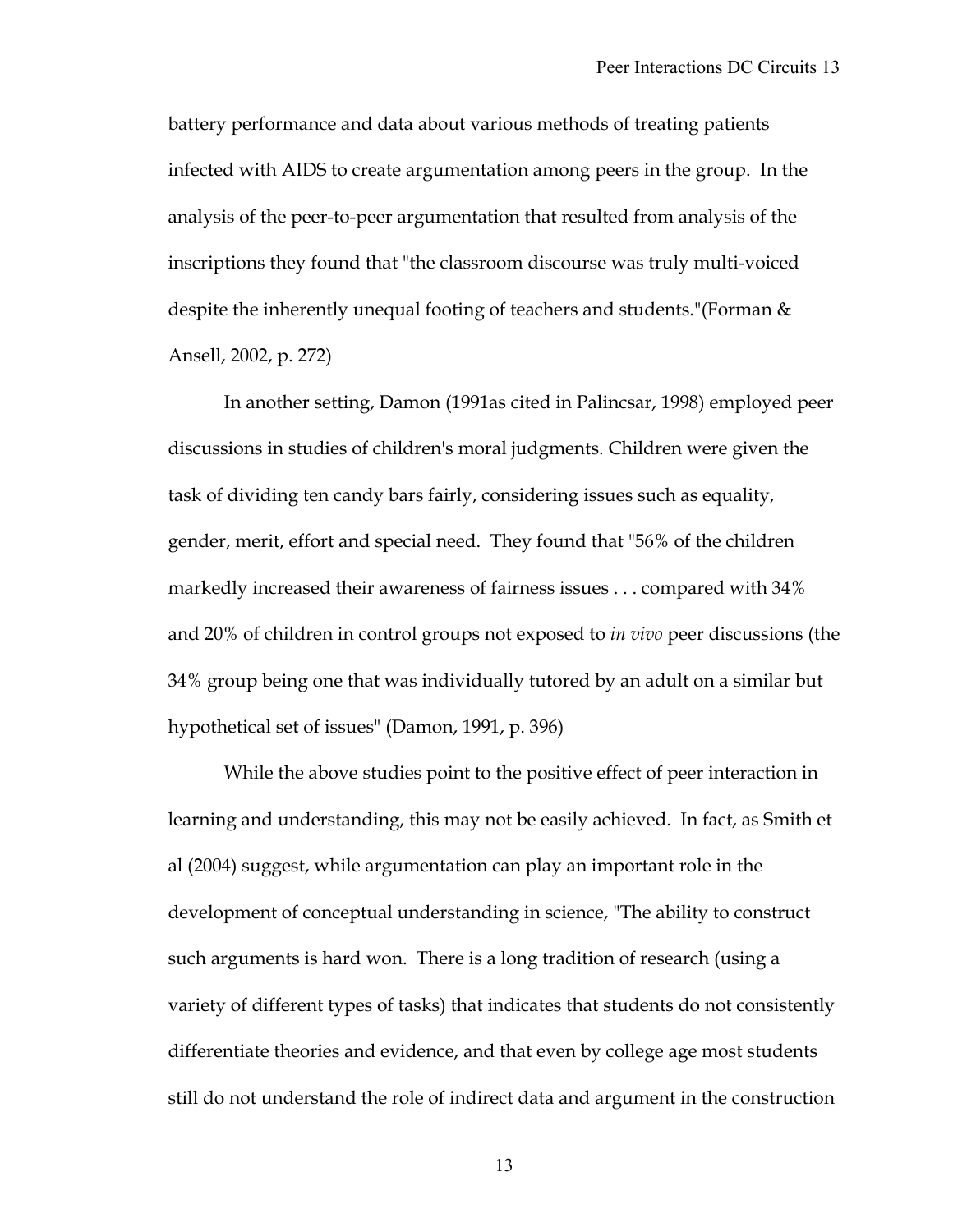battery performance and data about various methods of treating patients infected with AIDS to create argumentation among peers in the group. In the analysis of the peer-to-peer argumentation that resulted from analysis of the inscriptions they found that "the classroom discourse was truly multi-voiced despite the inherently unequal footing of teachers and students."(Forman & Ansell, 2002, p. 272)

 In another setting, Damon (1991as cited in Palincsar, 1998) employed peer discussions in studies of children's moral judgments. Children were given the task of dividing ten candy bars fairly, considering issues such as equality, gender, merit, effort and special need. They found that "56% of the children markedly increased their awareness of fairness issues . . . compared with 34% and 20% of children in control groups not exposed to *in vivo* peer discussions (the 34% group being one that was individually tutored by an adult on a similar but hypothetical set of issues" (Damon, 1991, p. 396)

 While the above studies point to the positive effect of peer interaction in learning and understanding, this may not be easily achieved. In fact, as Smith et al (2004) suggest, while argumentation can play an important role in the development of conceptual understanding in science, "The ability to construct such arguments is hard won. There is a long tradition of research (using a variety of different types of tasks) that indicates that students do not consistently differentiate theories and evidence, and that even by college age most students still do not understand the role of indirect data and argument in the construction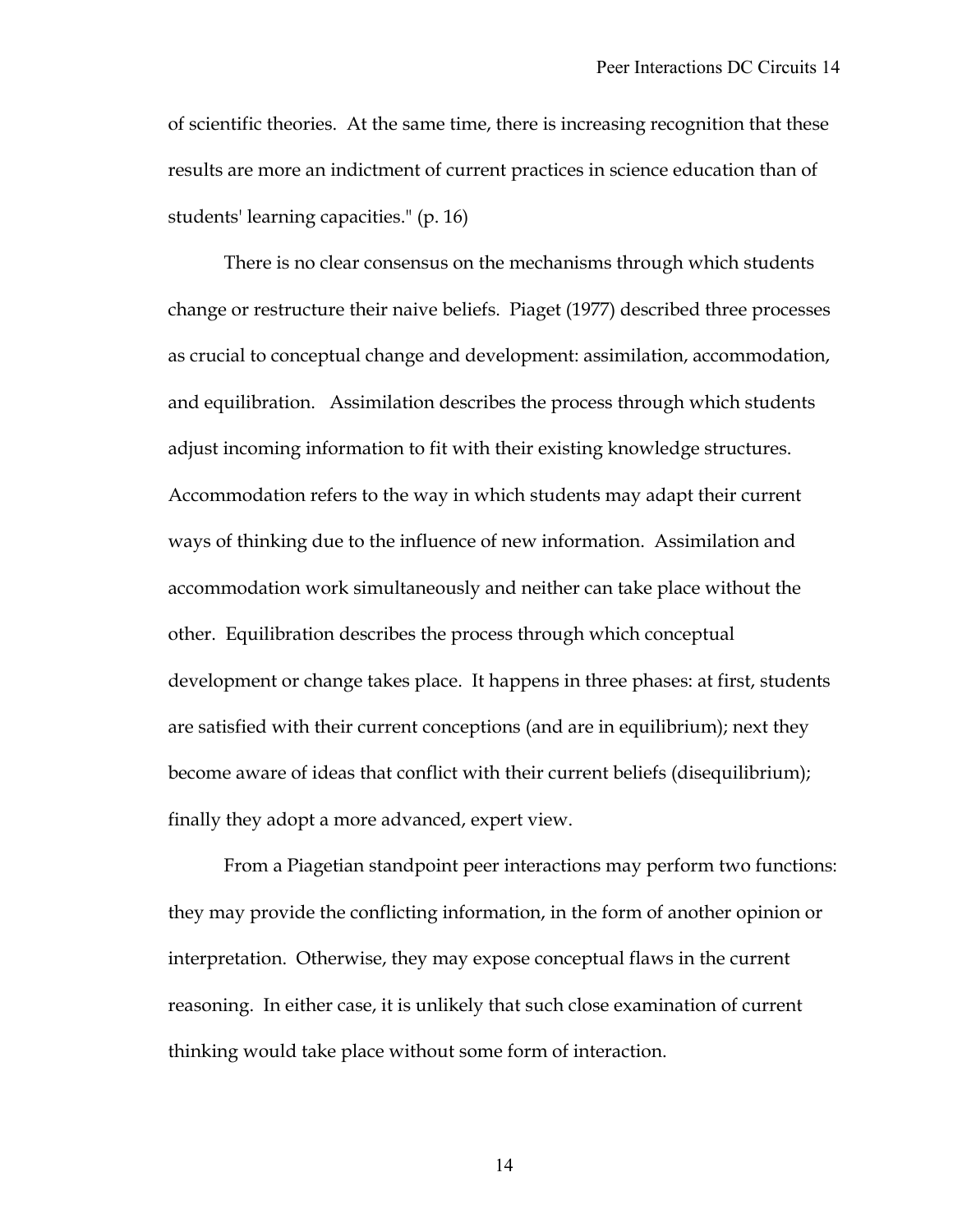of scientific theories. At the same time, there is increasing recognition that these results are more an indictment of current practices in science education than of students' learning capacities." (p. 16)

 There is no clear consensus on the mechanisms through which students change or restructure their naive beliefs. Piaget (1977) described three processes as crucial to conceptual change and development: assimilation, accommodation, and equilibration. Assimilation describes the process through which students adjust incoming information to fit with their existing knowledge structures. Accommodation refers to the way in which students may adapt their current ways of thinking due to the influence of new information. Assimilation and accommodation work simultaneously and neither can take place without the other. Equilibration describes the process through which conceptual development or change takes place. It happens in three phases: at first, students are satisfied with their current conceptions (and are in equilibrium); next they become aware of ideas that conflict with their current beliefs (disequilibrium); finally they adopt a more advanced, expert view.

 From a Piagetian standpoint peer interactions may perform two functions: they may provide the conflicting information, in the form of another opinion or interpretation. Otherwise, they may expose conceptual flaws in the current reasoning. In either case, it is unlikely that such close examination of current thinking would take place without some form of interaction.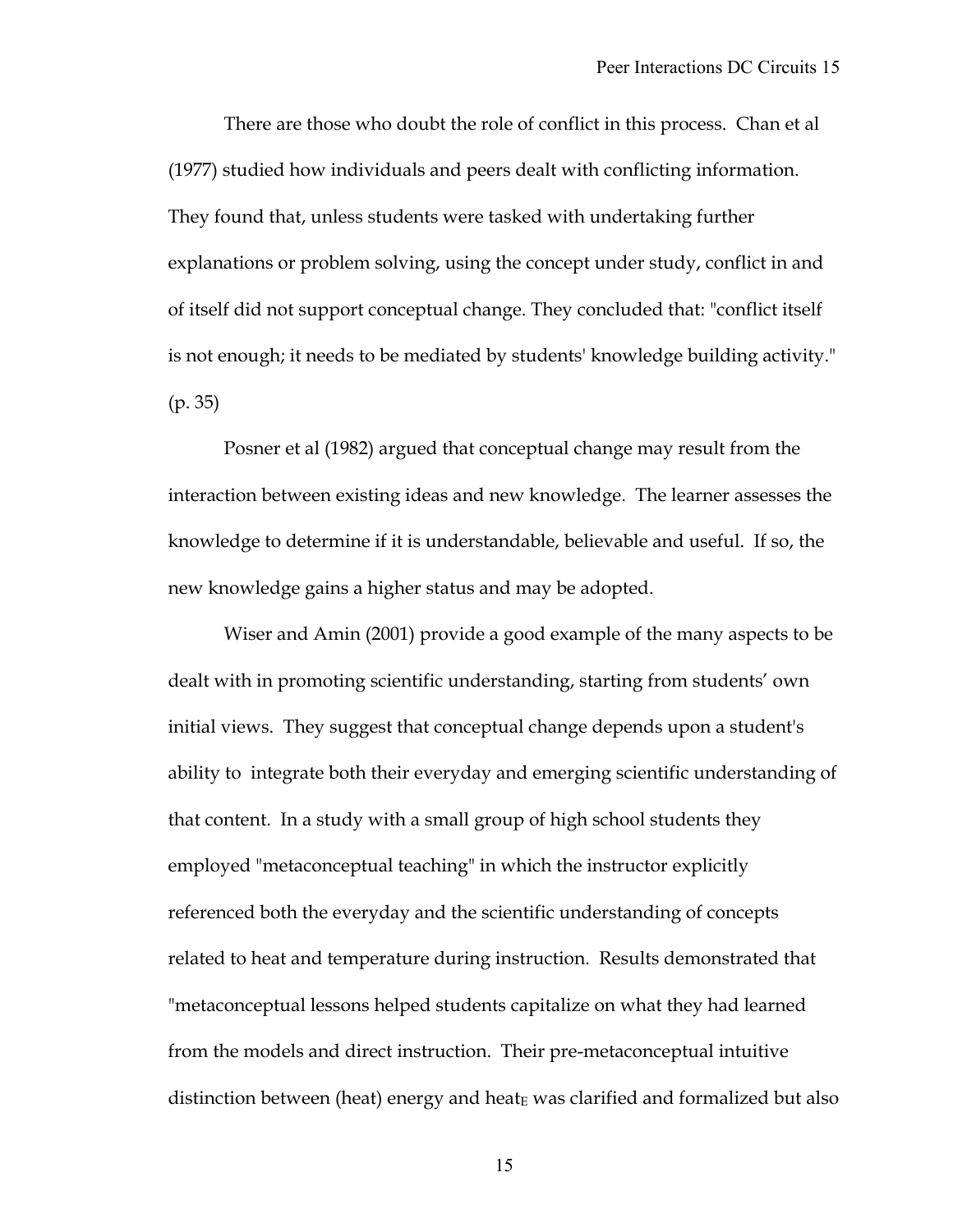There are those who doubt the role of conflict in this process. Chan et al (1977) studied how individuals and peers dealt with conflicting information. They found that, unless students were tasked with undertaking further explanations or problem solving, using the concept under study, conflict in and of itself did not support conceptual change. They concluded that: "conflict itself is not enough; it needs to be mediated by students' knowledge building activity." (p. 35)

 Posner et al (1982) argued that conceptual change may result from the interaction between existing ideas and new knowledge. The learner assesses the knowledge to determine if it is understandable, believable and useful. If so, the new knowledge gains a higher status and may be adopted.

 Wiser and Amin (2001) provide a good example of the many aspects to be dealt with in promoting scientific understanding, starting from students' own initial views. They suggest that conceptual change depends upon a student's ability to integrate both their everyday and emerging scientific understanding of that content. In a study with a small group of high school students they employed "metaconceptual teaching" in which the instructor explicitly referenced both the everyday and the scientific understanding of concepts related to heat and temperature during instruction. Results demonstrated that "metaconceptual lessons helped students capitalize on what they had learned from the models and direct instruction. Their pre-metaconceptual intuitive distinction between (heat) energy and heat $E$  was clarified and formalized but also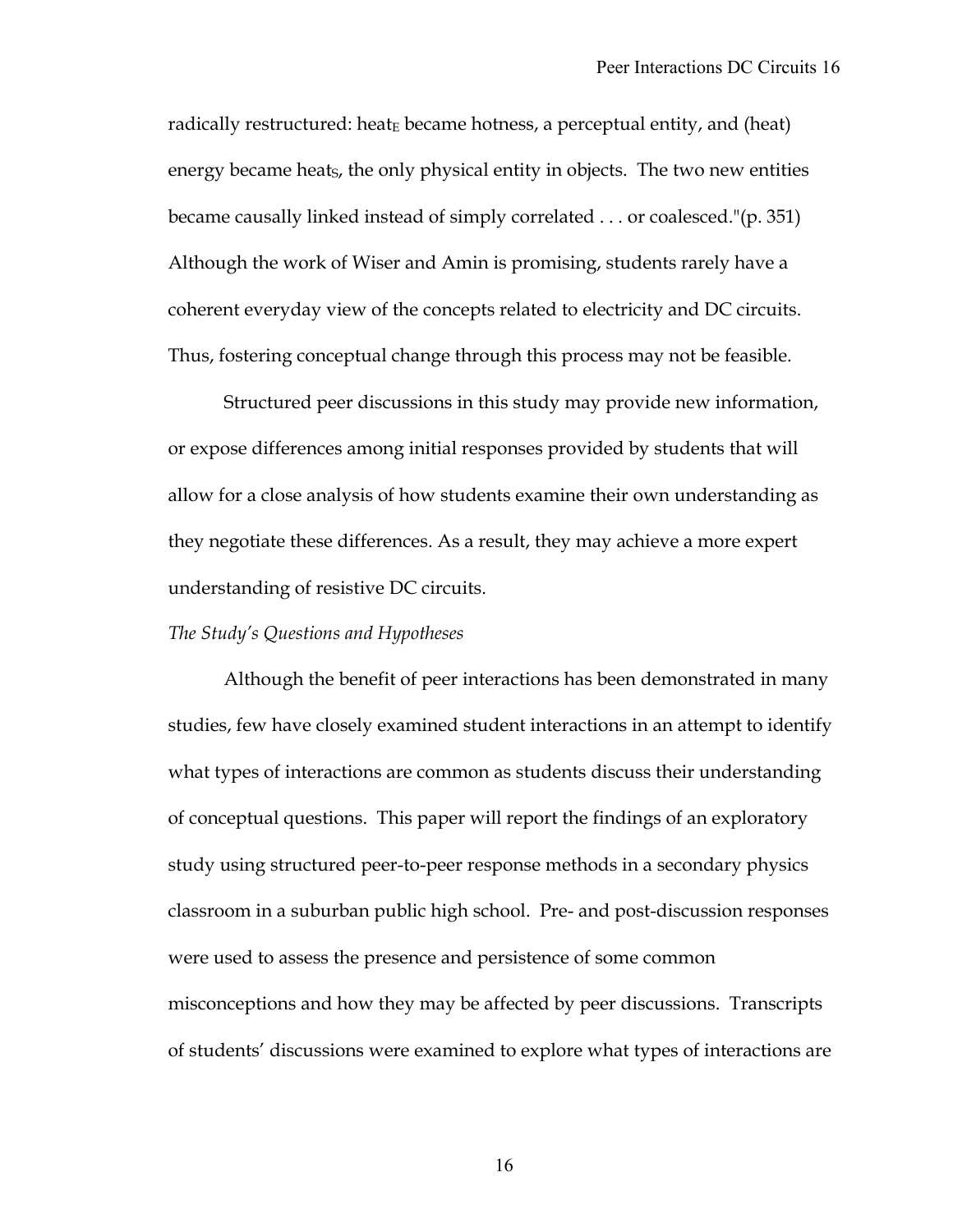radically restructured: heat $E$  became hotness, a perceptual entity, and (heat) energy became heats, the only physical entity in objects. The two new entities became causally linked instead of simply correlated . . . or coalesced."(p. 351) Although the work of Wiser and Amin is promising, students rarely have a coherent everyday view of the concepts related to electricity and DC circuits. Thus, fostering conceptual change through this process may not be feasible.

Structured peer discussions in this study may provide new information, or expose differences among initial responses provided by students that will allow for a close analysis of how students examine their own understanding as they negotiate these differences. As a result, they may achieve a more expert understanding of resistive DC circuits.

## *The Study's Questions and Hypotheses*

 Although the benefit of peer interactions has been demonstrated in many studies, few have closely examined student interactions in an attempt to identify what types of interactions are common as students discuss their understanding of conceptual questions. This paper will report the findings of an exploratory study using structured peer-to-peer response methods in a secondary physics classroom in a suburban public high school. Pre- and post-discussion responses were used to assess the presence and persistence of some common misconceptions and how they may be affected by peer discussions. Transcripts of students' discussions were examined to explore what types of interactions are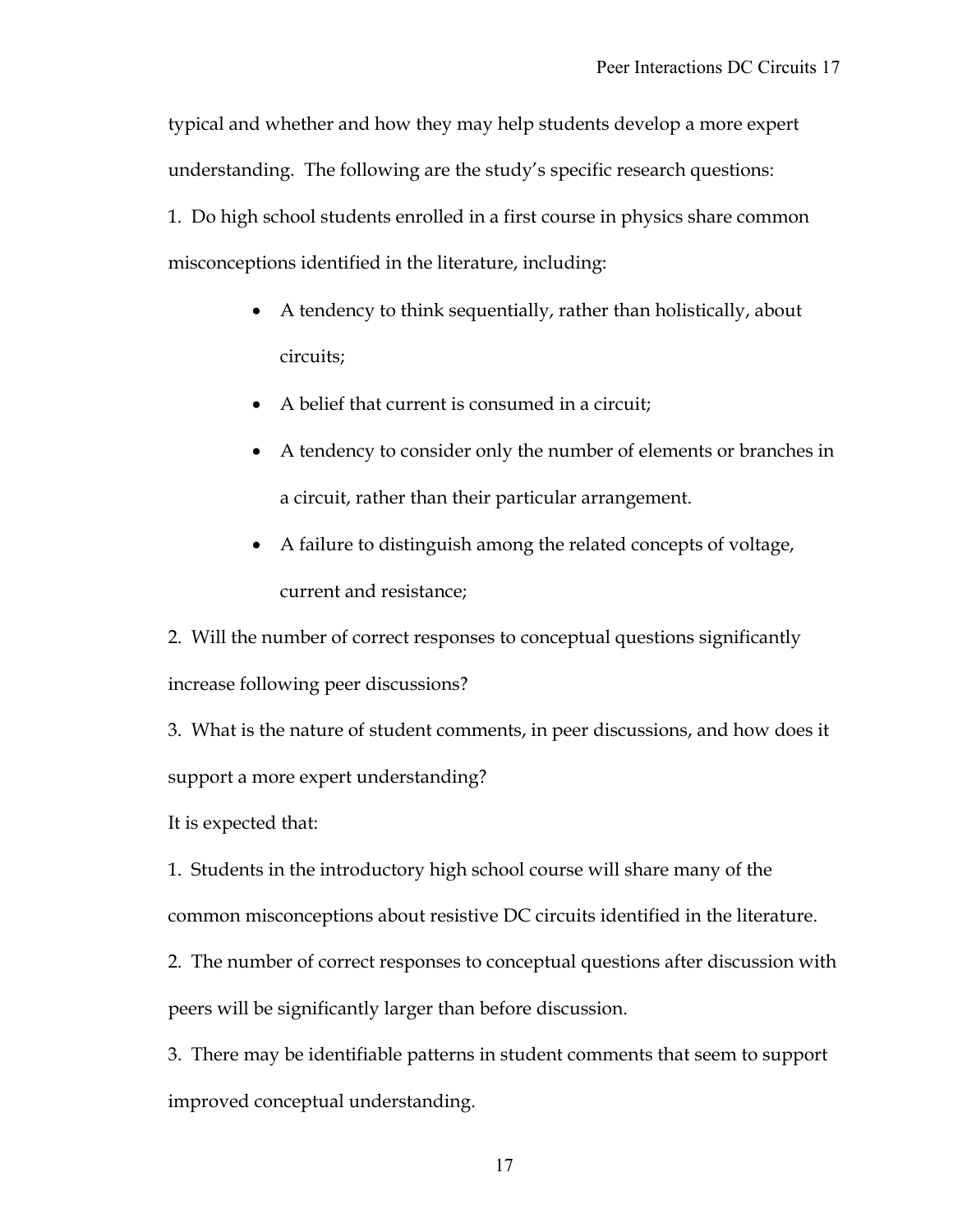typical and whether and how they may help students develop a more expert understanding. The following are the study's specific research questions:

1. Do high school students enrolled in a first course in physics share common misconceptions identified in the literature, including:

- A tendency to think sequentially, rather than holistically, about circuits;
- A belief that current is consumed in a circuit;
- A tendency to consider only the number of elements or branches in a circuit, rather than their particular arrangement.
- A failure to distinguish among the related concepts of voltage, current and resistance;

2. Will the number of correct responses to conceptual questions significantly increase following peer discussions?

3. What is the nature of student comments, in peer discussions, and how does it support a more expert understanding?

It is expected that:

1. Students in the introductory high school course will share many of the

common misconceptions about resistive DC circuits identified in the literature.

2. The number of correct responses to conceptual questions after discussion with peers will be significantly larger than before discussion.

3. There may be identifiable patterns in student comments that seem to support improved conceptual understanding.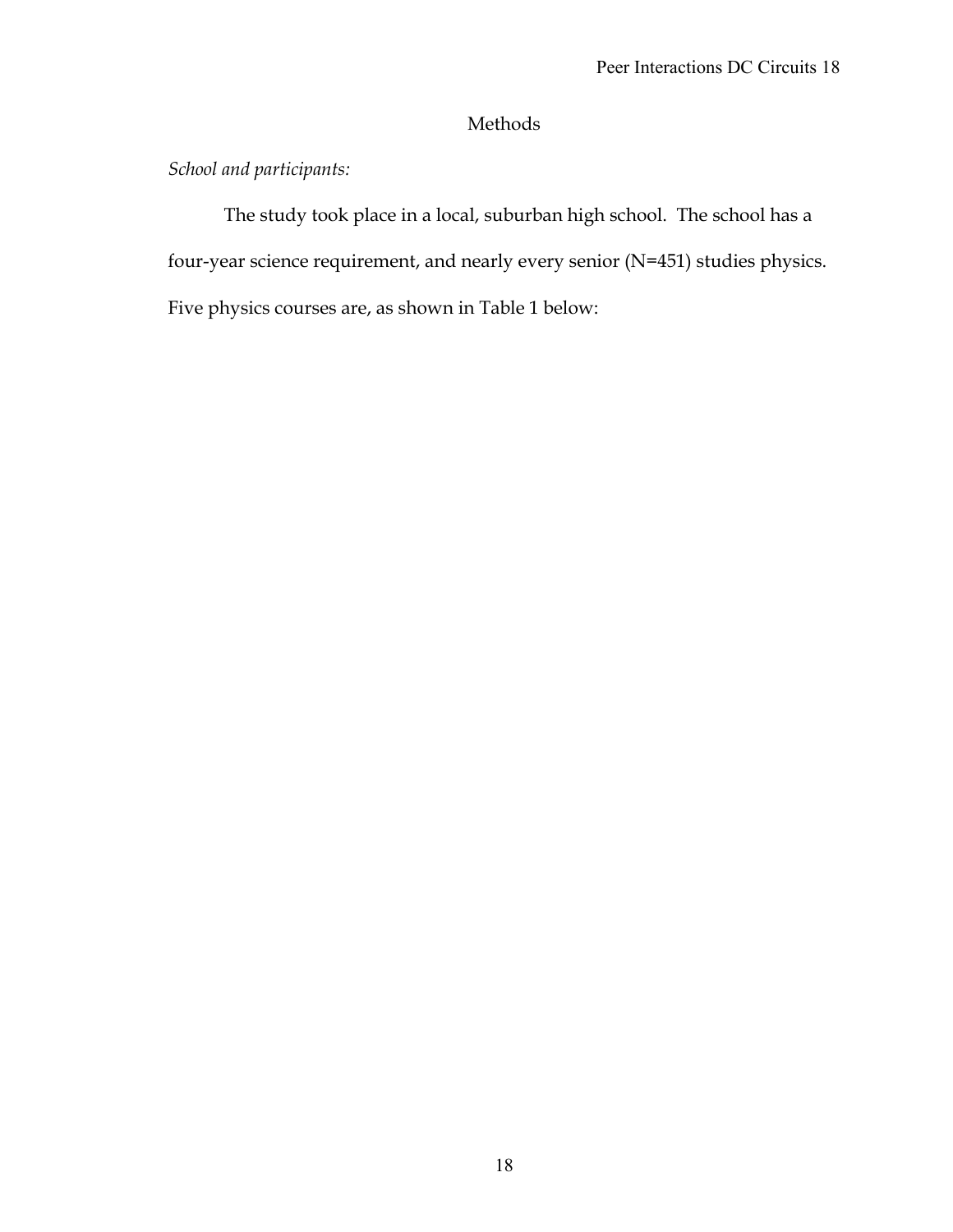# Methods

*School and participants:* 

The study took place in a local, suburban high school. The school has a four-year science requirement, and nearly every senior (N=451) studies physics. Five physics courses are, as shown in Table 1 below: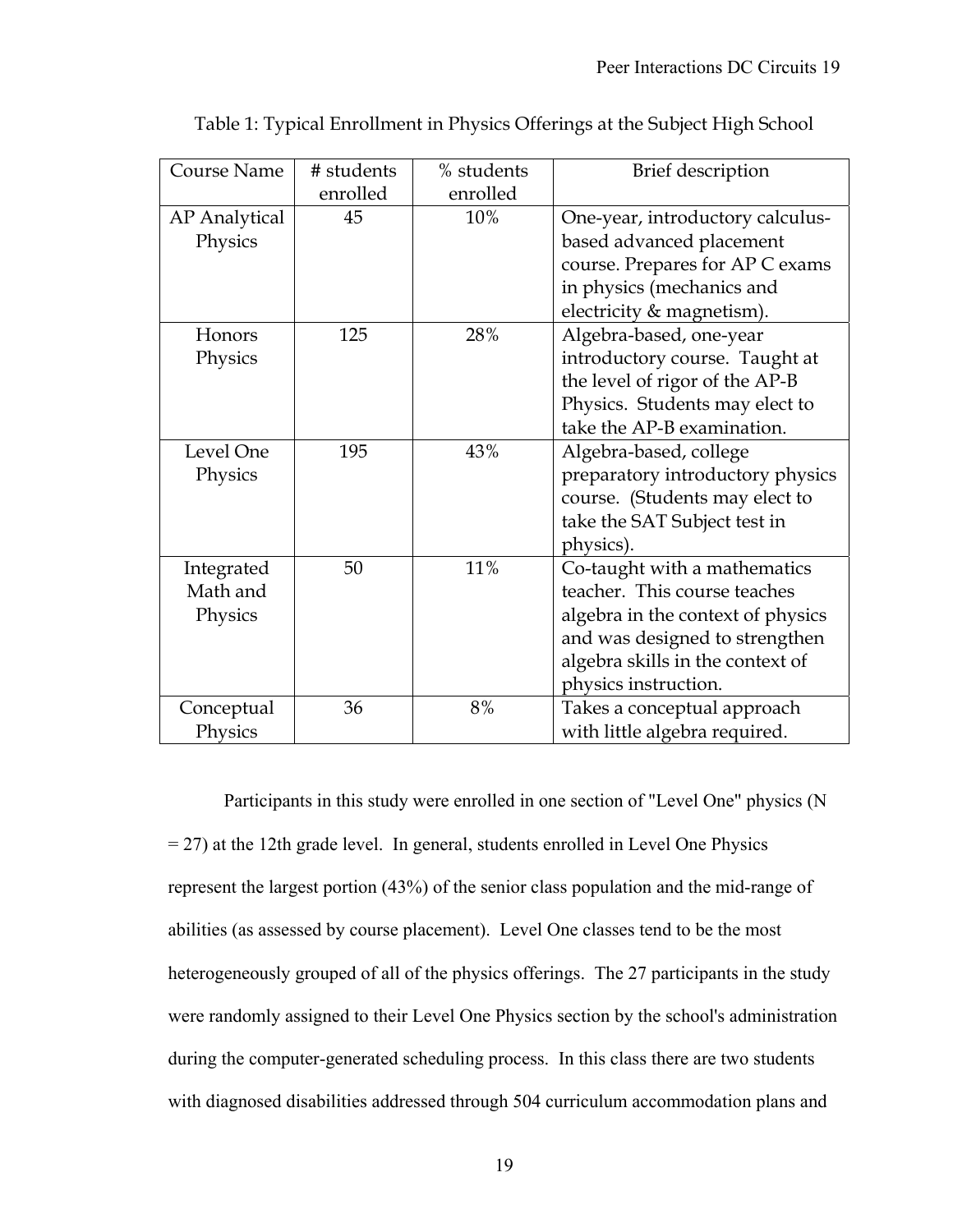| <b>Course Name</b>                | # students<br>enrolled | % students<br>enrolled | Brief description                                                                                                                                                                               |
|-----------------------------------|------------------------|------------------------|-------------------------------------------------------------------------------------------------------------------------------------------------------------------------------------------------|
| <b>AP</b> Analytical<br>Physics   | 45                     | 10%                    | One-year, introductory calculus-<br>based advanced placement<br>course. Prepares for AP C exams<br>in physics (mechanics and<br>electricity & magnetism).                                       |
| Honors<br>Physics                 | 125                    | 28%                    | Algebra-based, one-year<br>introductory course. Taught at<br>the level of rigor of the AP-B<br>Physics. Students may elect to<br>take the AP-B examination.                                     |
| Level One<br>Physics              | 195                    | 43%                    | Algebra-based, college<br>preparatory introductory physics<br>course. (Students may elect to<br>take the SAT Subject test in<br>physics).                                                       |
| Integrated<br>Math and<br>Physics | 50                     | 11%                    | Co-taught with a mathematics<br>teacher. This course teaches<br>algebra in the context of physics<br>and was designed to strengthen<br>algebra skills in the context of<br>physics instruction. |
| Conceptual<br>Physics             | 36                     | 8%                     | Takes a conceptual approach<br>with little algebra required.                                                                                                                                    |

Table 1: Typical Enrollment in Physics Offerings at the Subject High School

Participants in this study were enrolled in one section of "Level One" physics (N  $= 27$ ) at the 12th grade level. In general, students enrolled in Level One Physics represent the largest portion (43%) of the senior class population and the mid-range of abilities (as assessed by course placement). Level One classes tend to be the most heterogeneously grouped of all of the physics offerings. The 27 participants in the study were randomly assigned to their Level One Physics section by the school's administration during the computer-generated scheduling process. In this class there are two students with diagnosed disabilities addressed through 504 curriculum accommodation plans and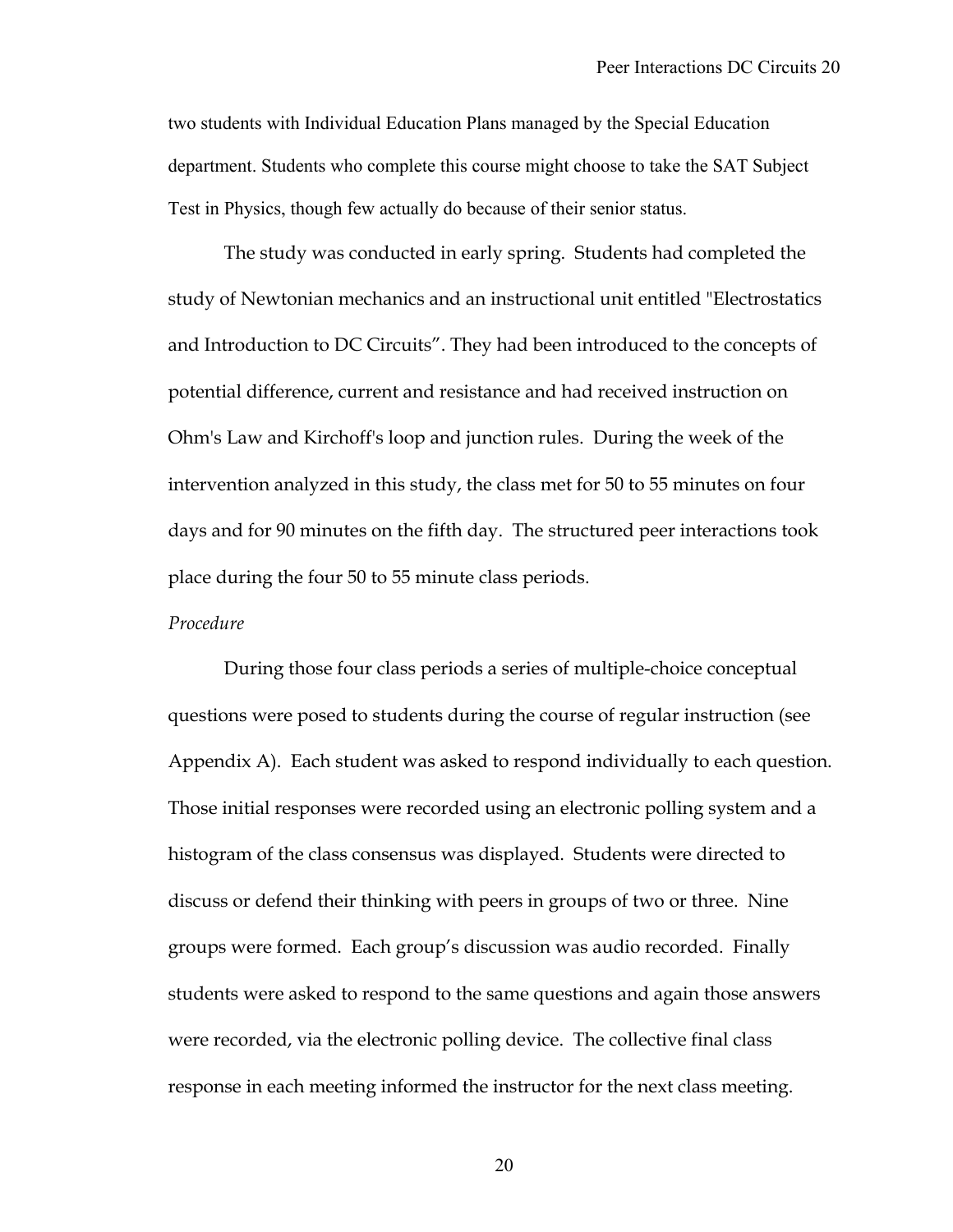two students with Individual Education Plans managed by the Special Education department. Students who complete this course might choose to take the SAT Subject Test in Physics, though few actually do because of their senior status.

The study was conducted in early spring. Students had completed the study of Newtonian mechanics and an instructional unit entitled "Electrostatics and Introduction to DC Circuits". They had been introduced to the concepts of potential difference, current and resistance and had received instruction on Ohm's Law and Kirchoff's loop and junction rules. During the week of the intervention analyzed in this study, the class met for 50 to 55 minutes on four days and for 90 minutes on the fifth day. The structured peer interactions took place during the four 50 to 55 minute class periods.

#### *Procedure*

During those four class periods a series of multiple-choice conceptual questions were posed to students during the course of regular instruction (see Appendix A). Each student was asked to respond individually to each question. Those initial responses were recorded using an electronic polling system and a histogram of the class consensus was displayed. Students were directed to discuss or defend their thinking with peers in groups of two or three. Nine groups were formed. Each group's discussion was audio recorded. Finally students were asked to respond to the same questions and again those answers were recorded, via the electronic polling device. The collective final class response in each meeting informed the instructor for the next class meeting.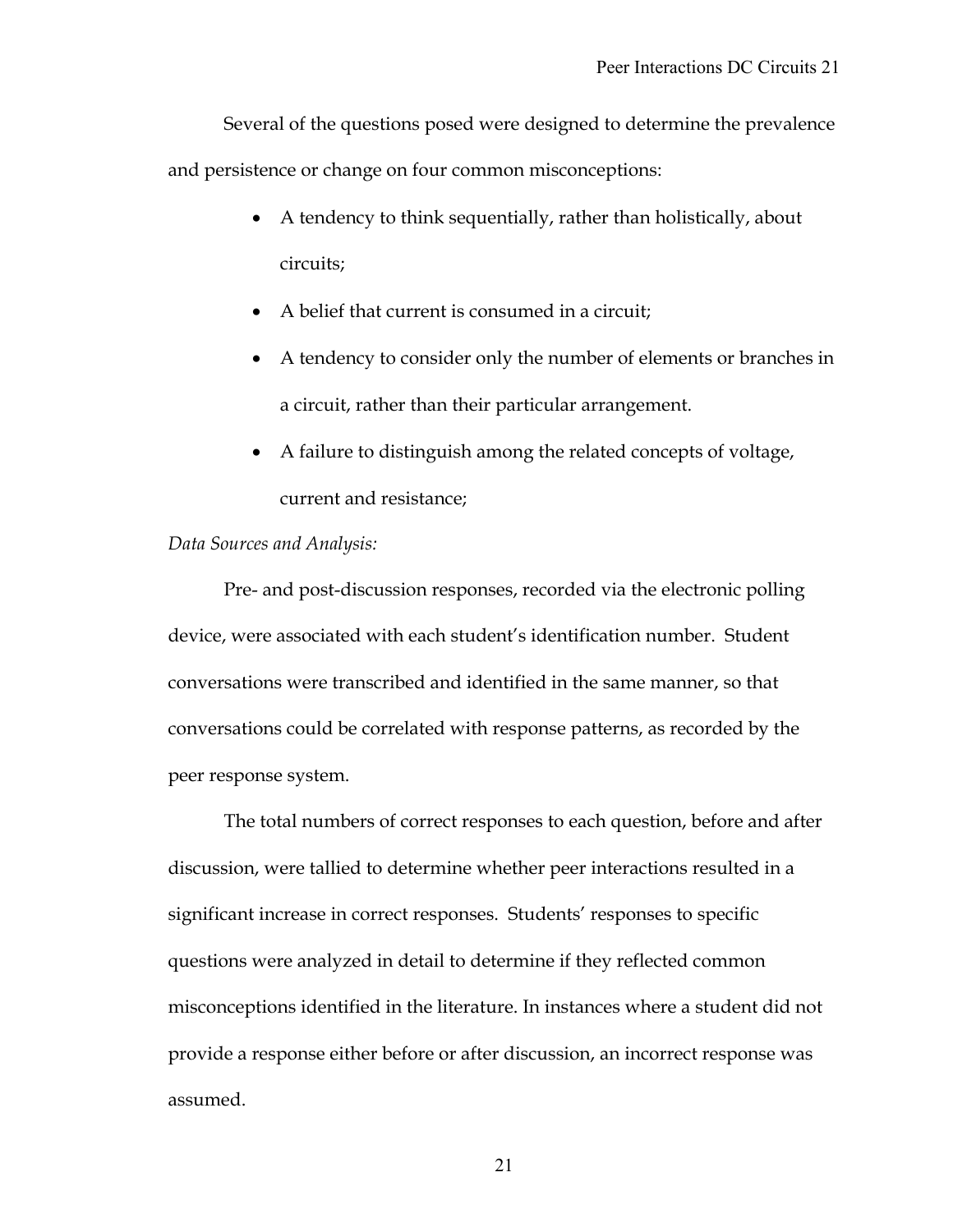Several of the questions posed were designed to determine the prevalence and persistence or change on four common misconceptions:

- A tendency to think sequentially, rather than holistically, about circuits;
- A belief that current is consumed in a circuit;
- A tendency to consider only the number of elements or branches in a circuit, rather than their particular arrangement.
- A failure to distinguish among the related concepts of voltage, current and resistance;

### *Data Sources and Analysis:*

Pre- and post-discussion responses, recorded via the electronic polling device, were associated with each student's identification number. Student conversations were transcribed and identified in the same manner, so that conversations could be correlated with response patterns, as recorded by the peer response system.

 The total numbers of correct responses to each question, before and after discussion, were tallied to determine whether peer interactions resulted in a significant increase in correct responses. Students' responses to specific questions were analyzed in detail to determine if they reflected common misconceptions identified in the literature. In instances where a student did not provide a response either before or after discussion, an incorrect response was assumed.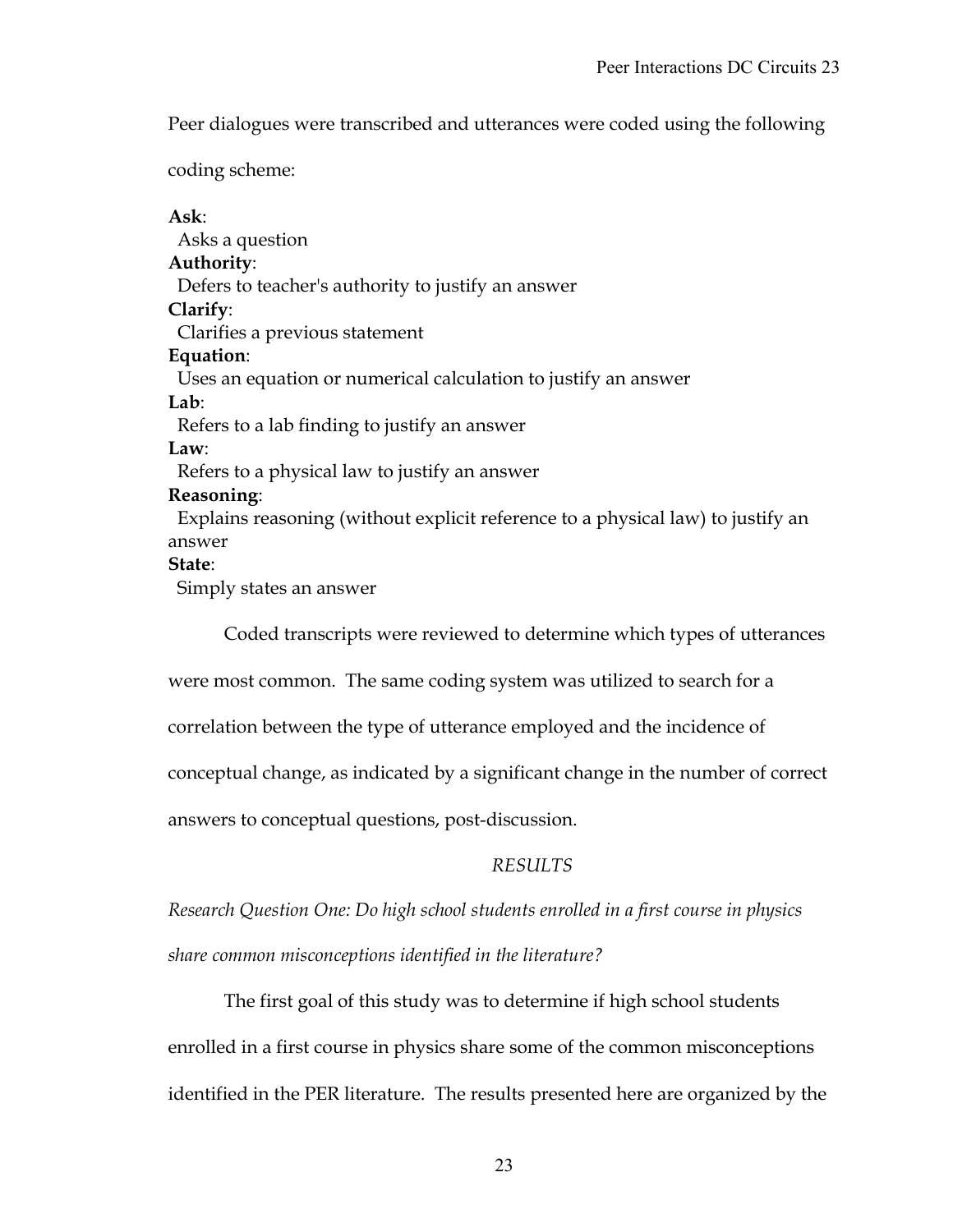Peer dialogues were transcribed and utterances were coded using the following

coding scheme:

**Ask**: Asks a question **Authority**: Defers to teacher's authority to justify an answer **Clarify**: Clarifies a previous statement **Equation**: Uses an equation or numerical calculation to justify an answer **Lab**: Refers to a lab finding to justify an answer **Law**: Refers to a physical law to justify an answer **Reasoning**: Explains reasoning (without explicit reference to a physical law) to justify an answer **State**: Simply states an answer

Coded transcripts were reviewed to determine which types of utterances

were most common. The same coding system was utilized to search for a

correlation between the type of utterance employed and the incidence of

conceptual change, as indicated by a significant change in the number of correct

answers to conceptual questions, post-discussion.

## *RESULTS*

*Research Question One: Do high school students enrolled in a first course in physics share common misconceptions identified in the literature?* 

 The first goal of this study was to determine if high school students enrolled in a first course in physics share some of the common misconceptions identified in the PER literature. The results presented here are organized by the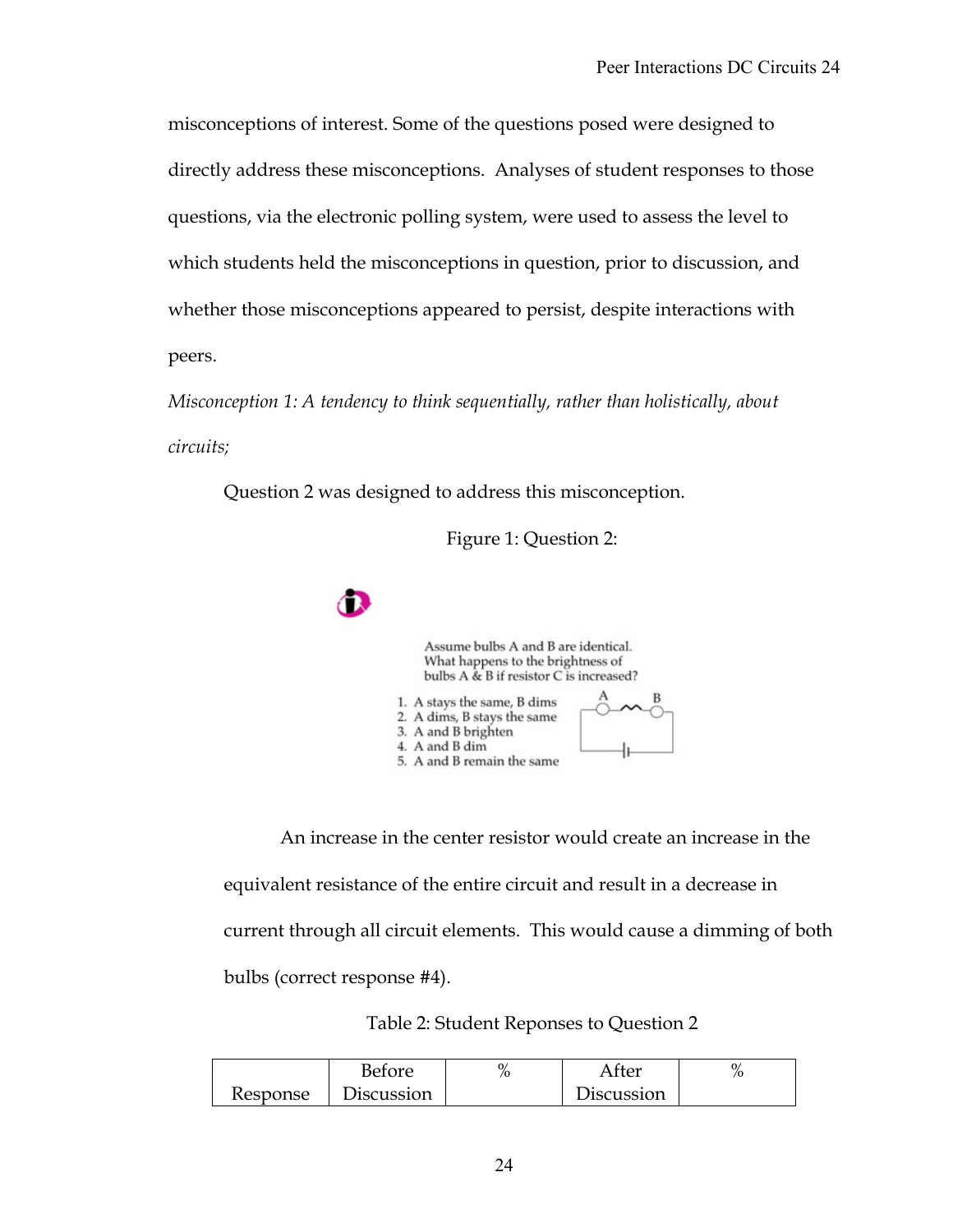misconceptions of interest. Some of the questions posed were designed to directly address these misconceptions. Analyses of student responses to those questions, via the electronic polling system, were used to assess the level to which students held the misconceptions in question, prior to discussion, and whether those misconceptions appeared to persist, despite interactions with peers.

*Misconception 1: A tendency to think sequentially, rather than holistically, about circuits;* 

Question 2 was designed to address this misconception.

Figure 1: Question 2:



Assume bulbs A and B are identical. What happens to the brightness of bulbs A & B if resistor C is increased?



 An increase in the center resistor would create an increase in the equivalent resistance of the entire circuit and result in a decrease in current through all circuit elements. This would cause a dimming of both bulbs (correct response #4).

Table 2: Student Reponses to Question 2

|          | <b>Before</b> | /0 | Atter      | /0 |
|----------|---------------|----|------------|----|
| Response | Discussion    |    | Discussion |    |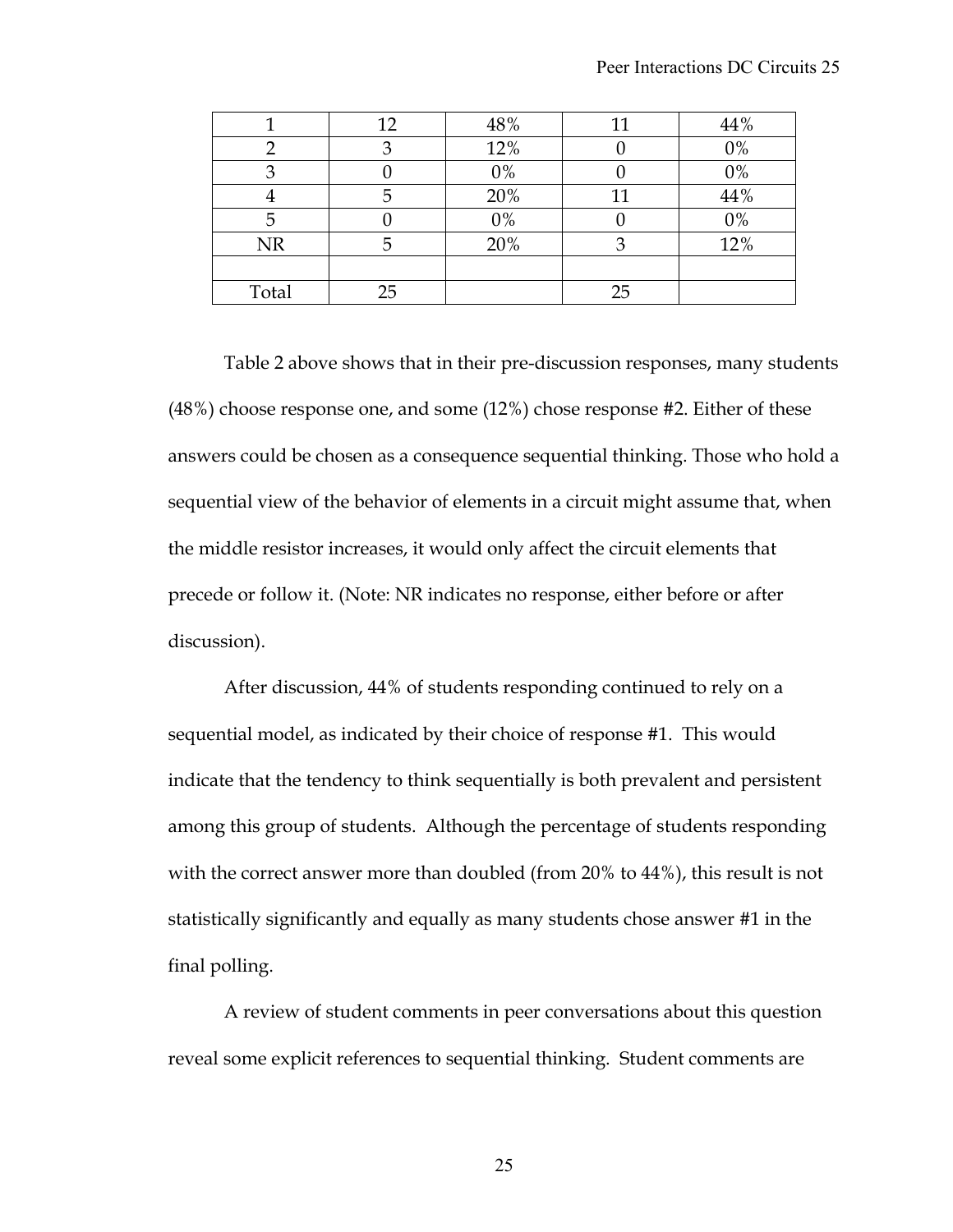|           | 12 | 48%   | 11 | 44%    |
|-----------|----|-------|----|--------|
|           |    | 12%   |    | $0\%$  |
|           |    | $0\%$ |    | $0\%$  |
|           |    | 20%   | 11 | $44\%$ |
| ∽         |    | $0\%$ |    | $0\%$  |
| <b>NR</b> |    | 20%   |    | 12%    |
|           |    |       |    |        |
| Total     | 25 |       | 25 |        |

 Table 2 above shows that in their pre-discussion responses, many students (48%) choose response one, and some (12%) chose response #2. Either of these answers could be chosen as a consequence sequential thinking. Those who hold a sequential view of the behavior of elements in a circuit might assume that, when the middle resistor increases, it would only affect the circuit elements that precede or follow it. (Note: NR indicates no response, either before or after discussion).

 After discussion, 44% of students responding continued to rely on a sequential model, as indicated by their choice of response #1. This would indicate that the tendency to think sequentially is both prevalent and persistent among this group of students. Although the percentage of students responding with the correct answer more than doubled (from 20% to 44%), this result is not statistically significantly and equally as many students chose answer #1 in the final polling.

 A review of student comments in peer conversations about this question reveal some explicit references to sequential thinking. Student comments are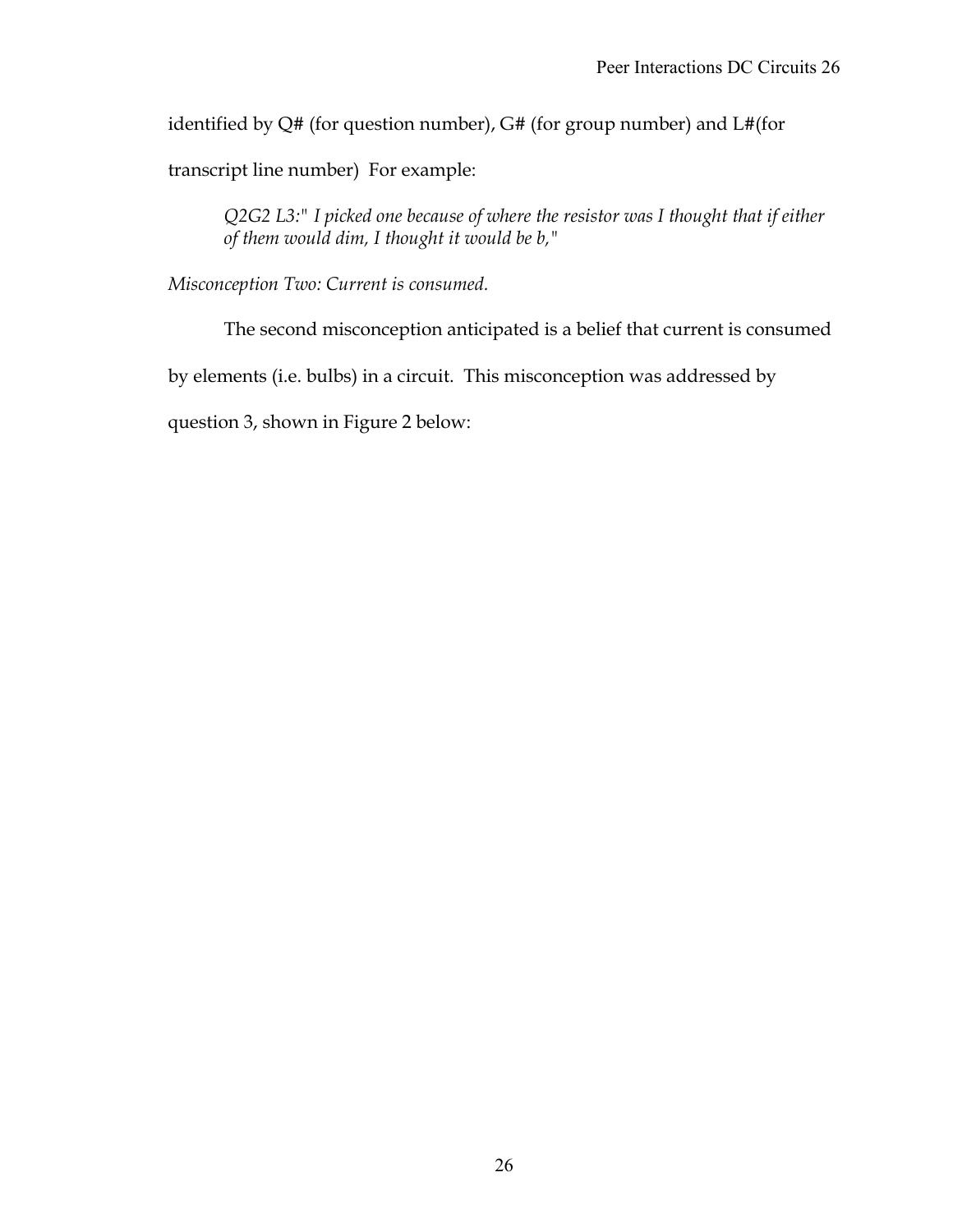identified by Q# (for question number), G# (for group number) and L#(for

transcript line number) For example:

 *Q2G2 L3:" I picked one because of where the resistor was I thought that if either of them would dim, I thought it would be b,"*

*Misconception Two: Current is consumed.* 

The second misconception anticipated is a belief that current is consumed

by elements (i.e. bulbs) in a circuit. This misconception was addressed by

question 3, shown in Figure 2 below: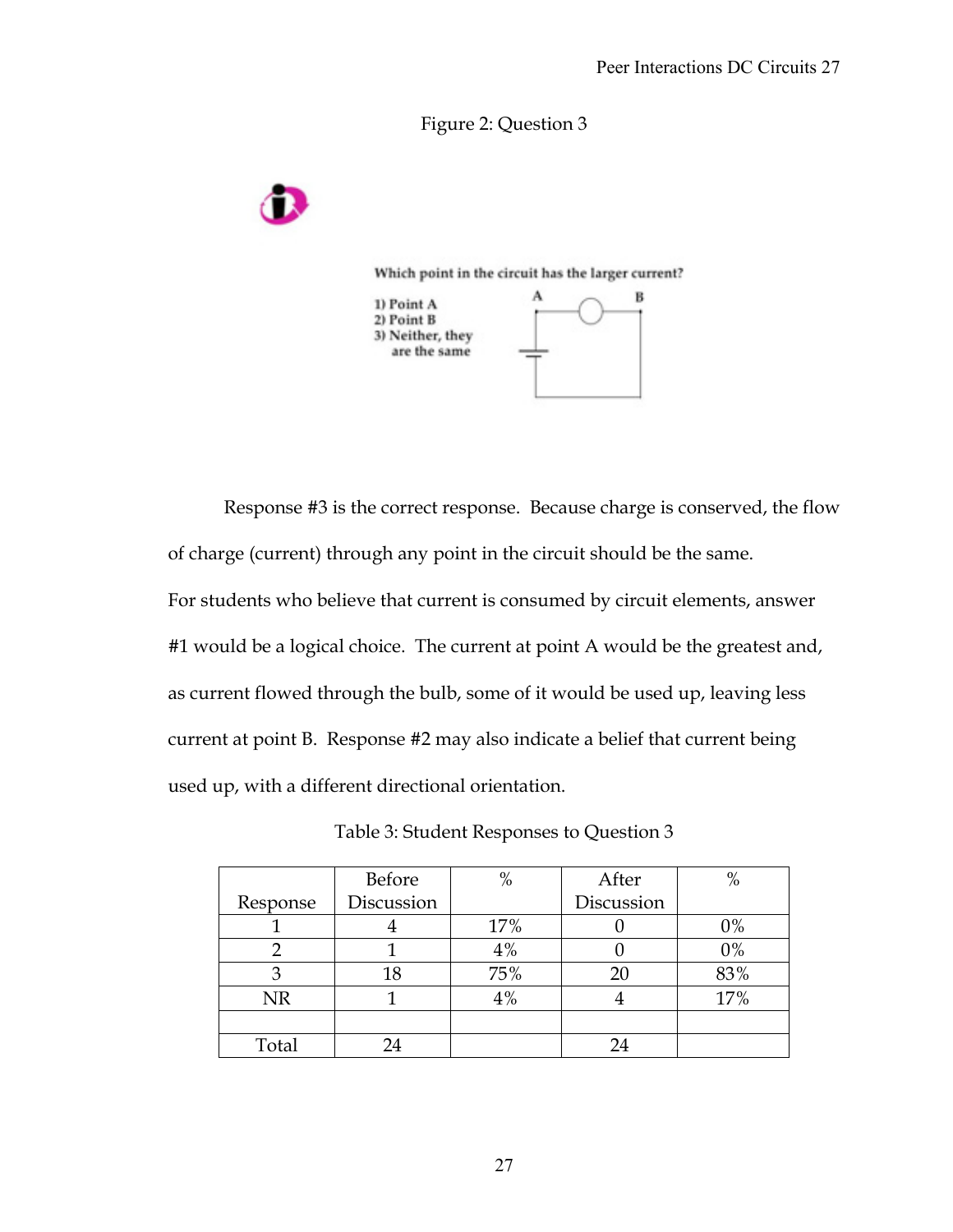Figure 2: Question 3





 Response #3 is the correct response. Because charge is conserved, the flow of charge (current) through any point in the circuit should be the same. For students who believe that current is consumed by circuit elements, answer #1 would be a logical choice. The current at point A would be the greatest and, as current flowed through the bulb, some of it would be used up, leaving less current at point B. Response #2 may also indicate a belief that current being

used up, with a different directional orientation.

|          | Before     | $\%$ | After      | %     |
|----------|------------|------|------------|-------|
| Response | Discussion |      | Discussion |       |
|          |            | 17%  |            | $0\%$ |
|          |            | 4%   |            | 0%    |
|          | 18         | 75%  | 20         | 83%   |
| NR       |            | 4%   |            | 17%   |
|          |            |      |            |       |
| Total    |            |      | 24         |       |

Table 3: Student Responses to Question 3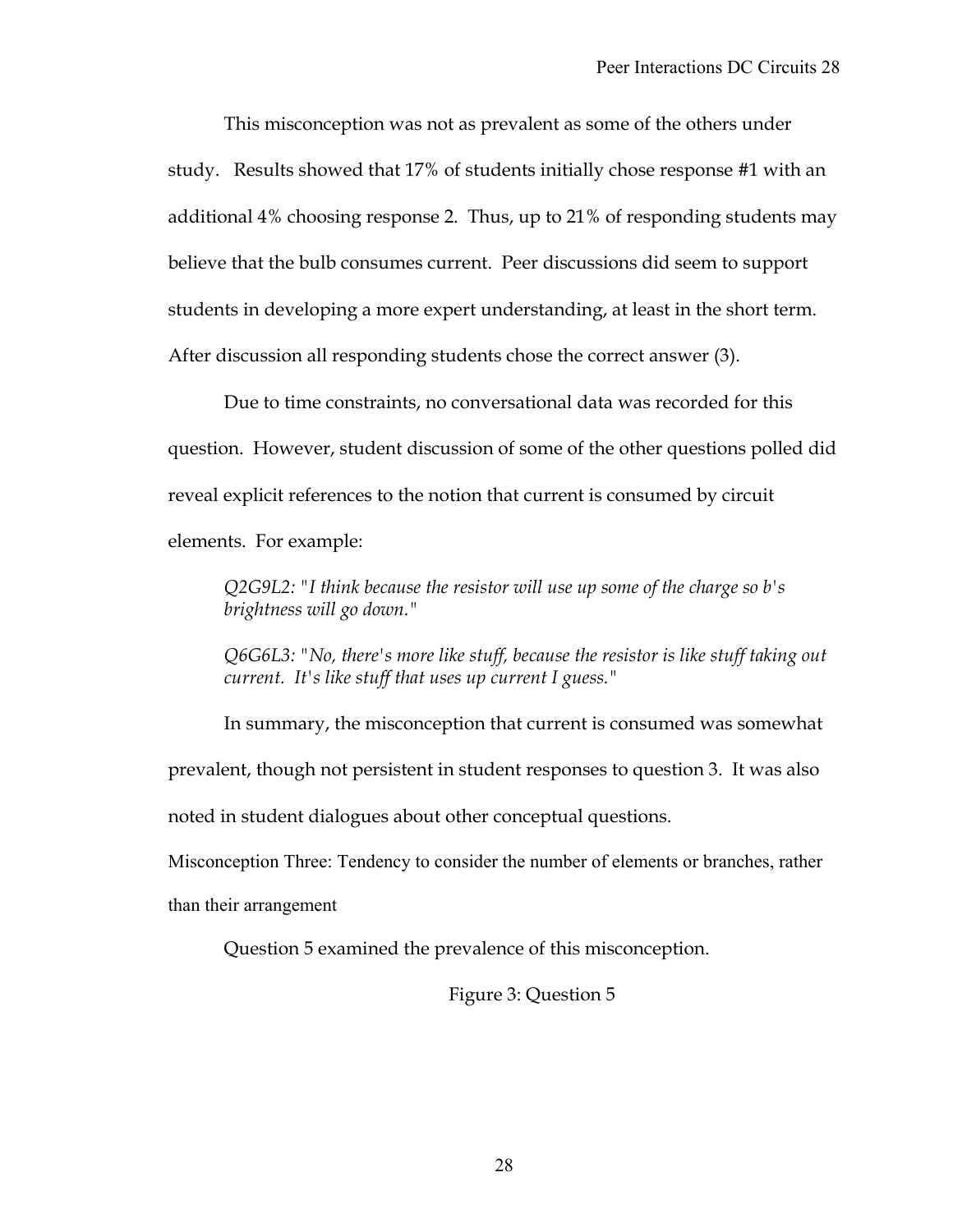This misconception was not as prevalent as some of the others under study. Results showed that 17% of students initially chose response #1 with an additional 4% choosing response 2. Thus, up to 21% of responding students may believe that the bulb consumes current. Peer discussions did seem to support students in developing a more expert understanding, at least in the short term. After discussion all responding students chose the correct answer (3).

 Due to time constraints, no conversational data was recorded for this question. However, student discussion of some of the other questions polled did reveal explicit references to the notion that current is consumed by circuit elements. For example:

*Q2G9L2: "I think because the resistor will use up some of the charge so b's brightness will go down."* 

*Q6G6L3: "No, there's more like stuff, because the resistor is like stuff taking out current. It's like stuff that uses up current I guess."* 

In summary, the misconception that current is consumed was somewhat prevalent, though not persistent in student responses to question 3. It was also noted in student dialogues about other conceptual questions.

Misconception Three: Tendency to consider the number of elements or branches, rather than their arrangement

Question 5 examined the prevalence of this misconception.

Figure 3: Question 5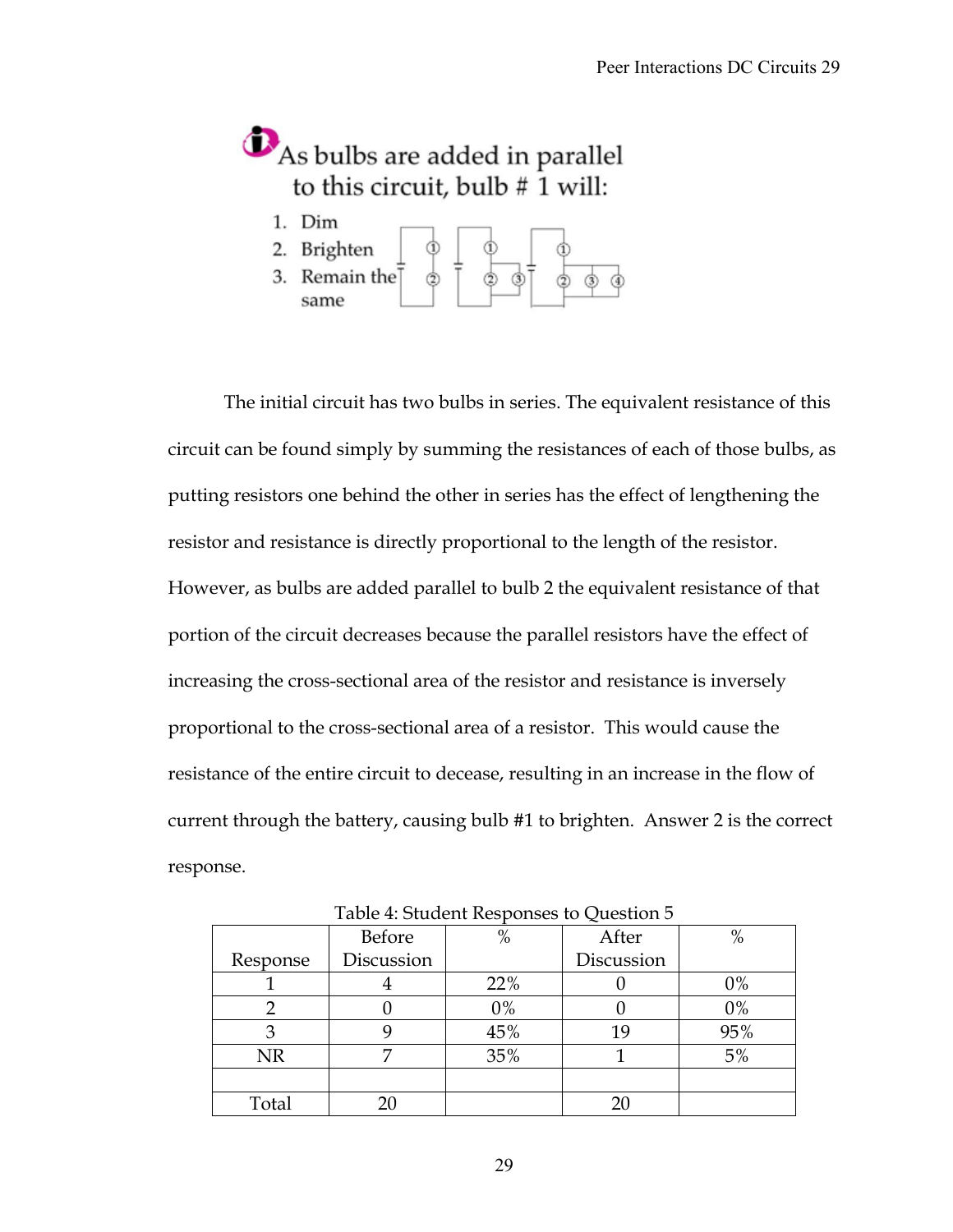As bulbs are added in parallel to this circuit, bulb # 1 will: 1. Dim 2. Brighten

3. Remain the same

 The initial circuit has two bulbs in series. The equivalent resistance of this circuit can be found simply by summing the resistances of each of those bulbs, as putting resistors one behind the other in series has the effect of lengthening the resistor and resistance is directly proportional to the length of the resistor. However, as bulbs are added parallel to bulb 2 the equivalent resistance of that portion of the circuit decreases because the parallel resistors have the effect of increasing the cross-sectional area of the resistor and resistance is inversely proportional to the cross-sectional area of a resistor. This would cause the resistance of the entire circuit to decease, resulting in an increase in the flow of current through the battery, causing bulb #1 to brighten. Answer 2 is the correct response.

|           | Before     | $\%$  | After      | %     |
|-----------|------------|-------|------------|-------|
| Response  | Discussion |       | Discussion |       |
|           |            | 22%   |            | $0\%$ |
|           |            | $0\%$ |            | 0%    |
|           |            | 45%   | 19         | 95%   |
| <b>NR</b> |            | 35%   |            | 5%    |
|           |            |       |            |       |
| Total     |            |       |            |       |

Table 4: Student Responses to Question 5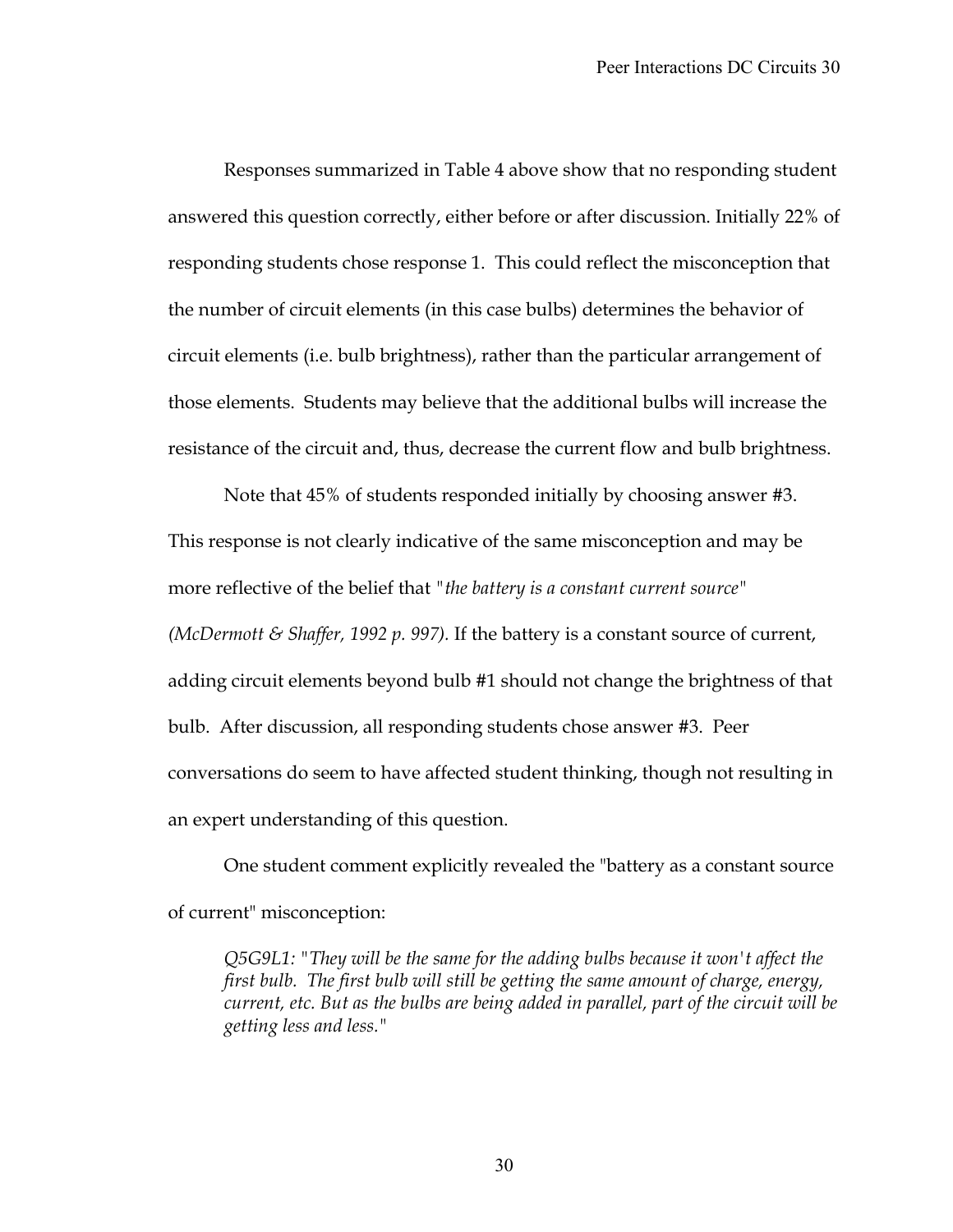Responses summarized in Table 4 above show that no responding student answered this question correctly, either before or after discussion. Initially 22% of responding students chose response 1. This could reflect the misconception that the number of circuit elements (in this case bulbs) determines the behavior of circuit elements (i.e. bulb brightness), rather than the particular arrangement of those elements. Students may believe that the additional bulbs will increase the resistance of the circuit and, thus, decrease the current flow and bulb brightness.

 Note that 45% of students responded initially by choosing answer #3. This response is not clearly indicative of the same misconception and may be more reflective of the belief that *"the battery is a constant current source" (McDermott & Shaffer, 1992 p. 997).* If the battery is a constant source of current, adding circuit elements beyond bulb #1 should not change the brightness of that bulb. After discussion, all responding students chose answer #3. Peer conversations do seem to have affected student thinking, though not resulting in an expert understanding of this question.

 One student comment explicitly revealed the "battery as a constant source of current" misconception:

*Q5G9L1: "They will be the same for the adding bulbs because it won't affect the first bulb. The first bulb will still be getting the same amount of charge, energy, current, etc. But as the bulbs are being added in parallel, part of the circuit will be getting less and less."*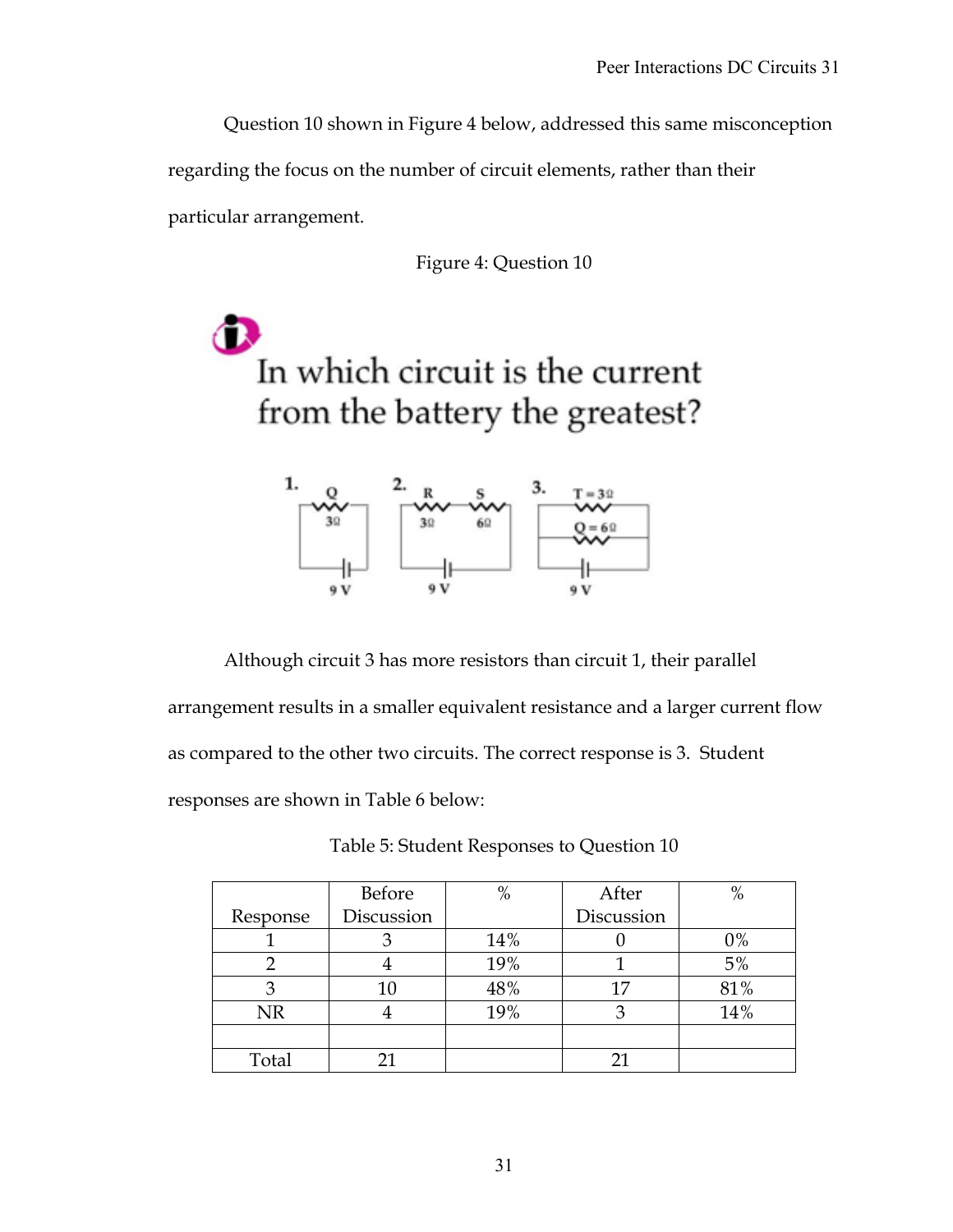Question 10 shown in Figure 4 below, addressed this same misconception

regarding the focus on the number of circuit elements, rather than their

particular arrangement.

Figure 4: Question 10

In which circuit is the current from the battery the greatest?



 Although circuit 3 has more resistors than circuit 1, their parallel arrangement results in a smaller equivalent resistance and a larger current flow as compared to the other two circuits. The correct response is 3. Student responses are shown in Table 6 below:

|          | Before     | $\%$ | After      | $\%$  |
|----------|------------|------|------------|-------|
| Response | Discussion |      | Discussion |       |
|          |            | 14%  |            | $0\%$ |
|          |            | 19%  |            | 5%    |
|          | 10         | 48%  | 17         | 81%   |
| NR       |            | 19%  |            | 14%   |
|          |            |      |            |       |
| Total    |            |      |            |       |

Table 5: Student Responses to Question 10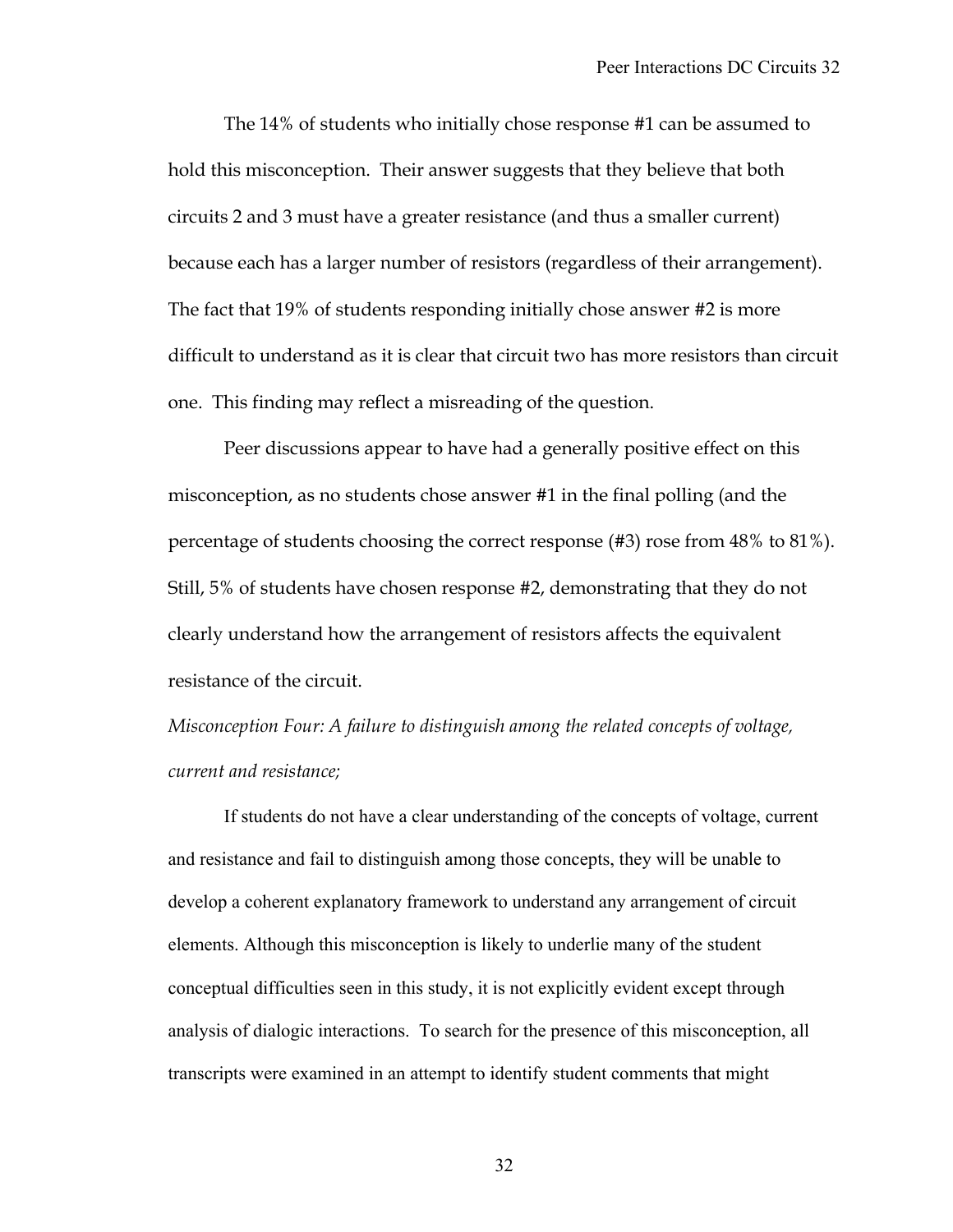The 14% of students who initially chose response #1 can be assumed to hold this misconception. Their answer suggests that they believe that both circuits 2 and 3 must have a greater resistance (and thus a smaller current) because each has a larger number of resistors (regardless of their arrangement). The fact that 19% of students responding initially chose answer #2 is more difficult to understand as it is clear that circuit two has more resistors than circuit one. This finding may reflect a misreading of the question.

 Peer discussions appear to have had a generally positive effect on this misconception, as no students chose answer #1 in the final polling (and the percentage of students choosing the correct response (#3) rose from 48% to 81%). Still, 5% of students have chosen response #2, demonstrating that they do not clearly understand how the arrangement of resistors affects the equivalent resistance of the circuit.

*Misconception Four: A failure to distinguish among the related concepts of voltage, current and resistance;* 

 If students do not have a clear understanding of the concepts of voltage, current and resistance and fail to distinguish among those concepts, they will be unable to develop a coherent explanatory framework to understand any arrangement of circuit elements. Although this misconception is likely to underlie many of the student conceptual difficulties seen in this study, it is not explicitly evident except through analysis of dialogic interactions. To search for the presence of this misconception, all transcripts were examined in an attempt to identify student comments that might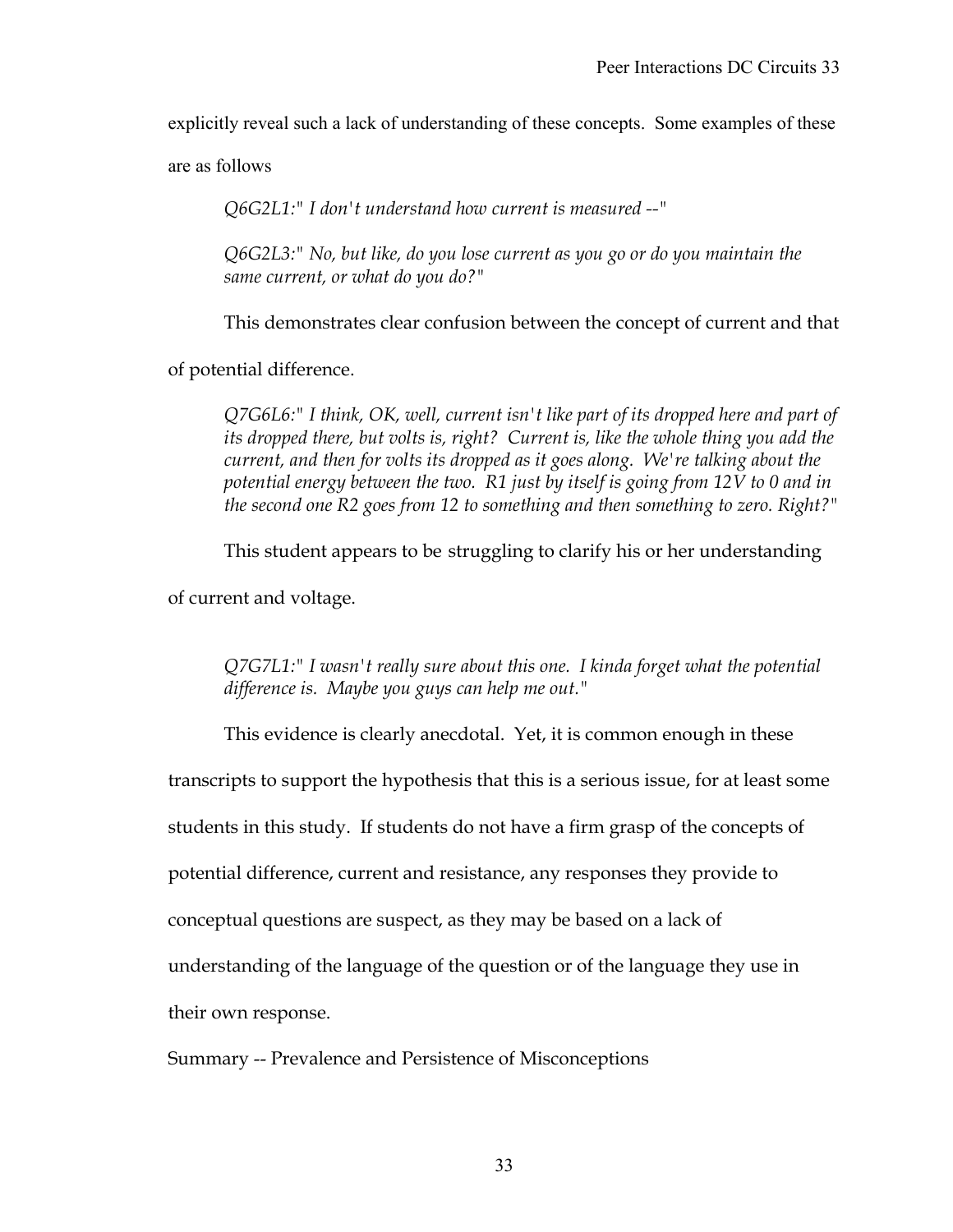explicitly reveal such a lack of understanding of these concepts. Some examples of these

are as follows

 *Q6G2L1:" I don't understand how current is measured --"* 

 *Q6G2L3:" No, but like, do you lose current as you go or do you maintain the same current, or what do you do?"*

This demonstrates clear confusion between the concept of current and that

of potential difference.

 *Q7G6L6:" I think, OK, well, current isn't like part of its dropped here and part of its dropped there, but volts is, right? Current is, like the whole thing you add the current, and then for volts its dropped as it goes along. We're talking about the potential energy between the two. R1 just by itself is going from 12V to 0 and in the second one R2 goes from 12 to something and then something to zero. Right?"*

This student appears to be struggling to clarify his or her understanding

of current and voltage.

 *Q7G7L1:" I wasn't really sure about this one. I kinda forget what the potential difference is. Maybe you guys can help me out."* 

 This evidence is clearly anecdotal. Yet, it is common enough in these transcripts to support the hypothesis that this is a serious issue, for at least some students in this study. If students do not have a firm grasp of the concepts of potential difference, current and resistance, any responses they provide to conceptual questions are suspect, as they may be based on a lack of understanding of the language of the question or of the language they use in their own response.

Summary -- Prevalence and Persistence of Misconceptions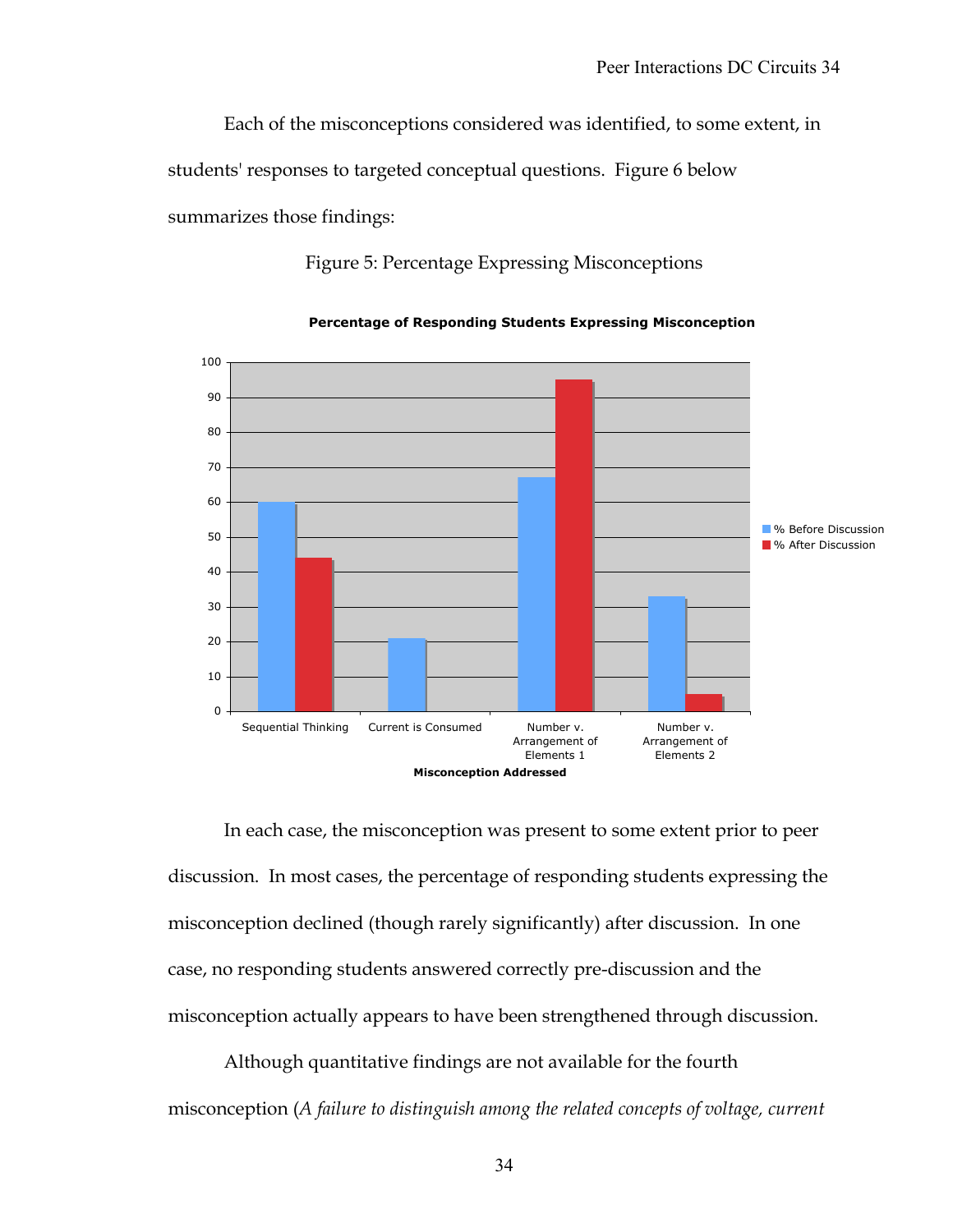Each of the misconceptions considered was identified, to some extent, in

students' responses to targeted conceptual questions. Figure 6 below

summarizes those findings:

Figure 5: Percentage Expressing Misconceptions



**Percentage of Responding Students Expressing Misconception**

 In each case, the misconception was present to some extent prior to peer discussion. In most cases, the percentage of responding students expressing the misconception declined (though rarely significantly) after discussion. In one case, no responding students answered correctly pre-discussion and the misconception actually appears to have been strengthened through discussion.

 Although quantitative findings are not available for the fourth misconception (*A failure to distinguish among the related concepts of voltage, current*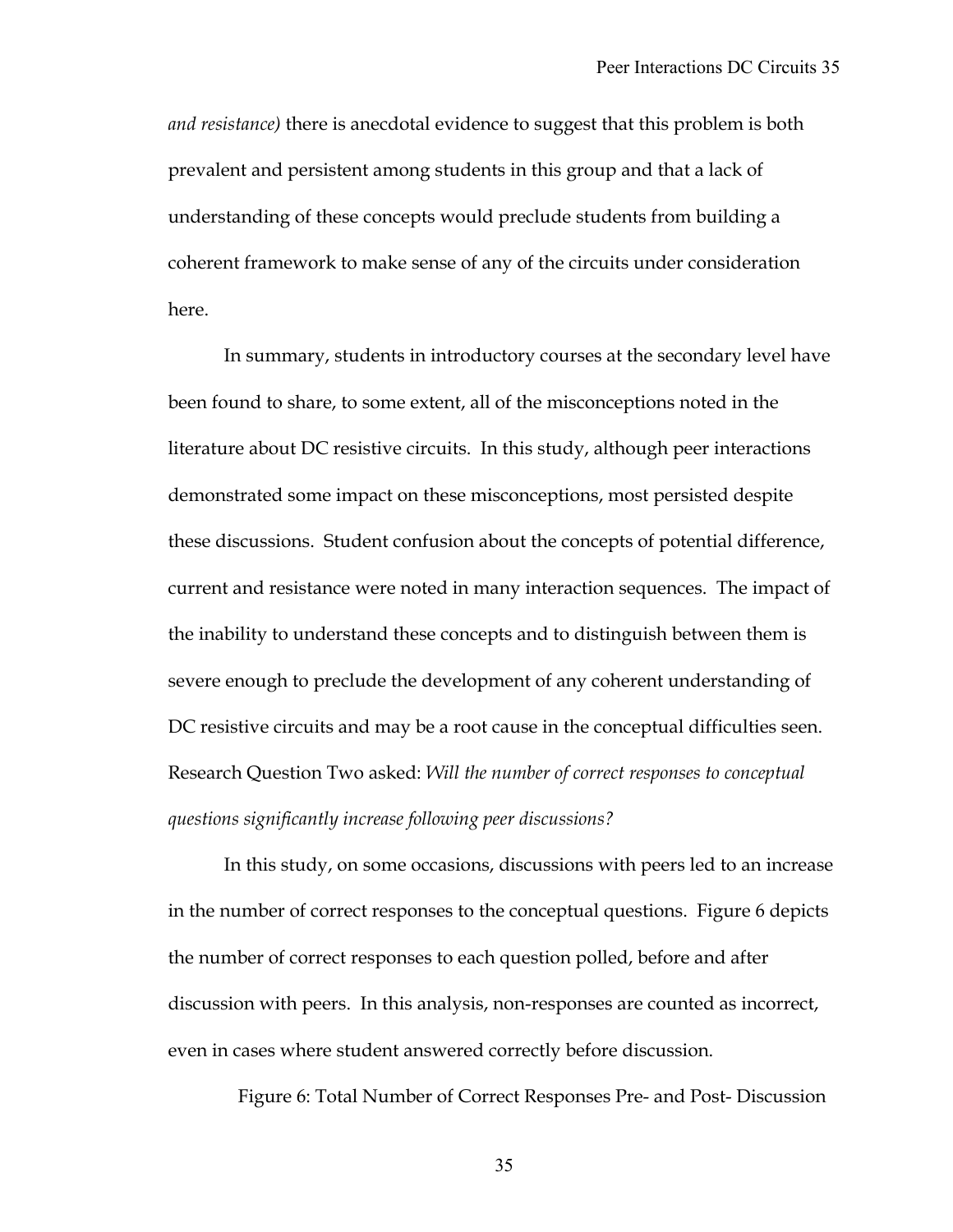*and resistance)* there is anecdotal evidence to suggest that this problem is both prevalent and persistent among students in this group and that a lack of understanding of these concepts would preclude students from building a coherent framework to make sense of any of the circuits under consideration here.

 In summary, students in introductory courses at the secondary level have been found to share, to some extent, all of the misconceptions noted in the literature about DC resistive circuits. In this study, although peer interactions demonstrated some impact on these misconceptions, most persisted despite these discussions. Student confusion about the concepts of potential difference, current and resistance were noted in many interaction sequences. The impact of the inability to understand these concepts and to distinguish between them is severe enough to preclude the development of any coherent understanding of DC resistive circuits and may be a root cause in the conceptual difficulties seen. Research Question Two asked: *Will the number of correct responses to conceptual questions significantly increase following peer discussions?* 

In this study, on some occasions, discussions with peers led to an increase in the number of correct responses to the conceptual questions. Figure 6 depicts the number of correct responses to each question polled, before and after discussion with peers. In this analysis, non-responses are counted as incorrect, even in cases where student answered correctly before discussion.

Figure 6: Total Number of Correct Responses Pre- and Post- Discussion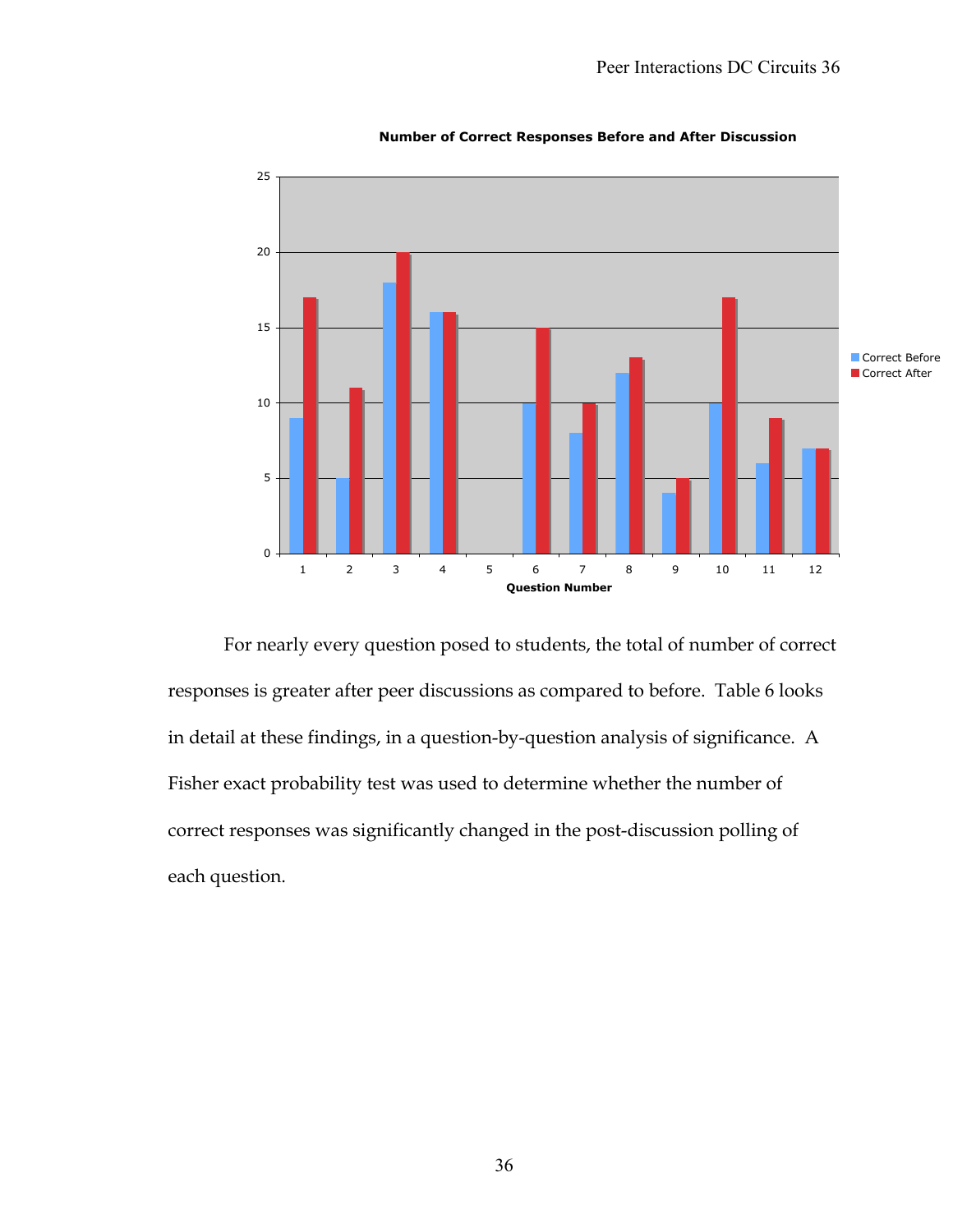

**Number of Correct Responses Before and After Discussion**

For nearly every question posed to students, the total of number of correct responses is greater after peer discussions as compared to before. Table 6 looks in detail at these findings, in a question-by-question analysis of significance. A Fisher exact probability test was used to determine whether the number of correct responses was significantly changed in the post-discussion polling of each question.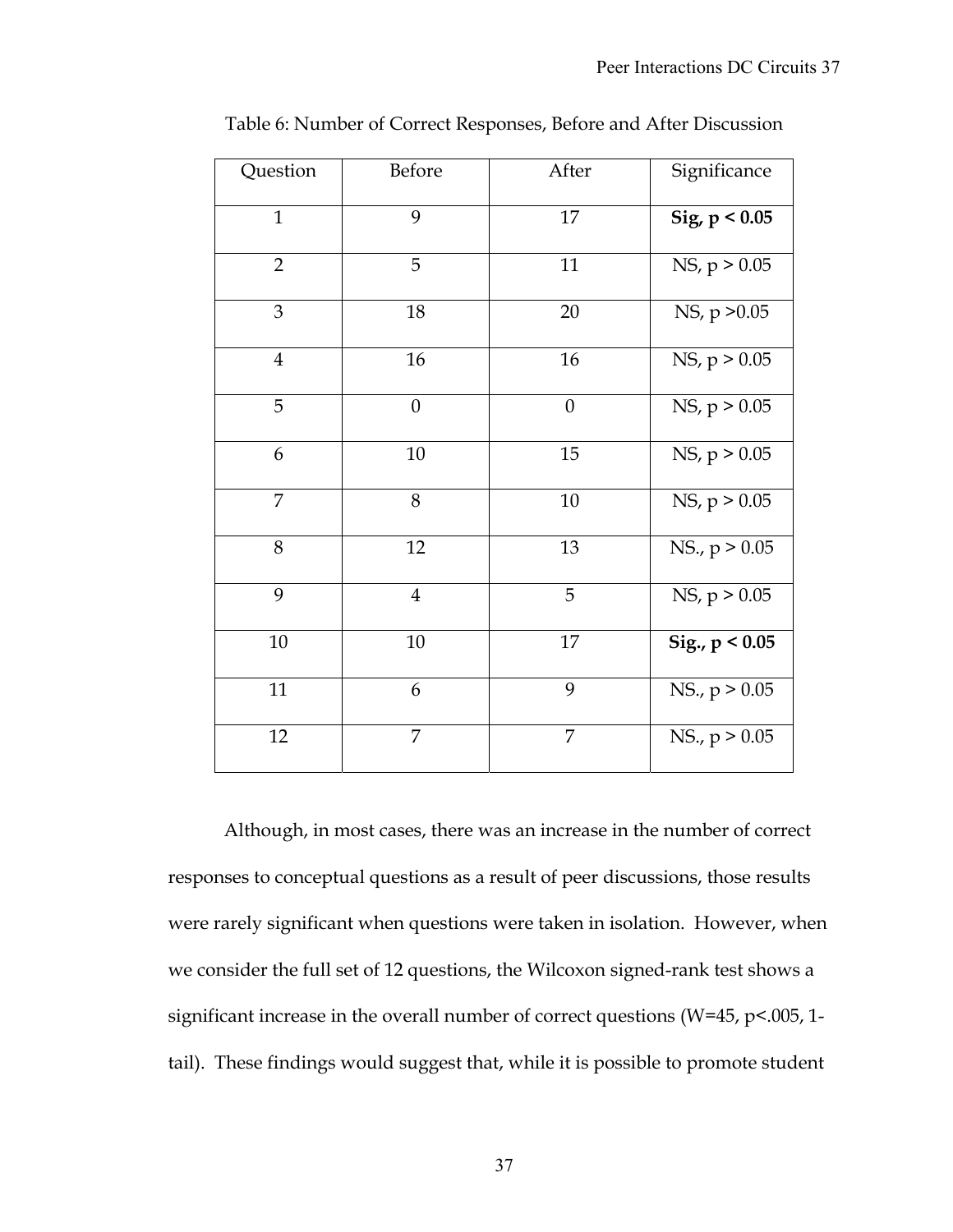| Question       | Before         | After          | Significance       |
|----------------|----------------|----------------|--------------------|
| $\overline{1}$ | 9              | 17             | Sig, $p < 0.05$    |
| $\overline{2}$ | 5              | 11             | NS, p > 0.05       |
| 3              | 18             | 20             | NS, p > 0.05       |
| $\overline{4}$ | 16             | 16             | NS, p > 0.05       |
| 5              | $\overline{0}$ | $\overline{0}$ | NS, p > 0.05       |
| 6              | $10\,$         | 15             | NS, p > 0.05       |
| 7              | $8\,$          | 10             | NS, p > 0.05       |
| 8              | 12             | 13             | $NS.$ , $p > 0.05$ |
| 9              | $\overline{4}$ | 5              | NS, p > 0.05       |
| 10             | 10             | 17             | Sig., $p < 0.05$   |
| $11\,$         | 6              | 9              | $NS.$ , $p > 0.05$ |
| 12             | $\overline{7}$ | $\overline{7}$ | $NS.$ , $p > 0.05$ |

Table 6: Number of Correct Responses, Before and After Discussion

 Although, in most cases, there was an increase in the number of correct responses to conceptual questions as a result of peer discussions, those results were rarely significant when questions were taken in isolation. However, when we consider the full set of 12 questions, the Wilcoxon signed-rank test shows a significant increase in the overall number of correct questions (W=45, p<.005, 1 tail). These findings would suggest that, while it is possible to promote student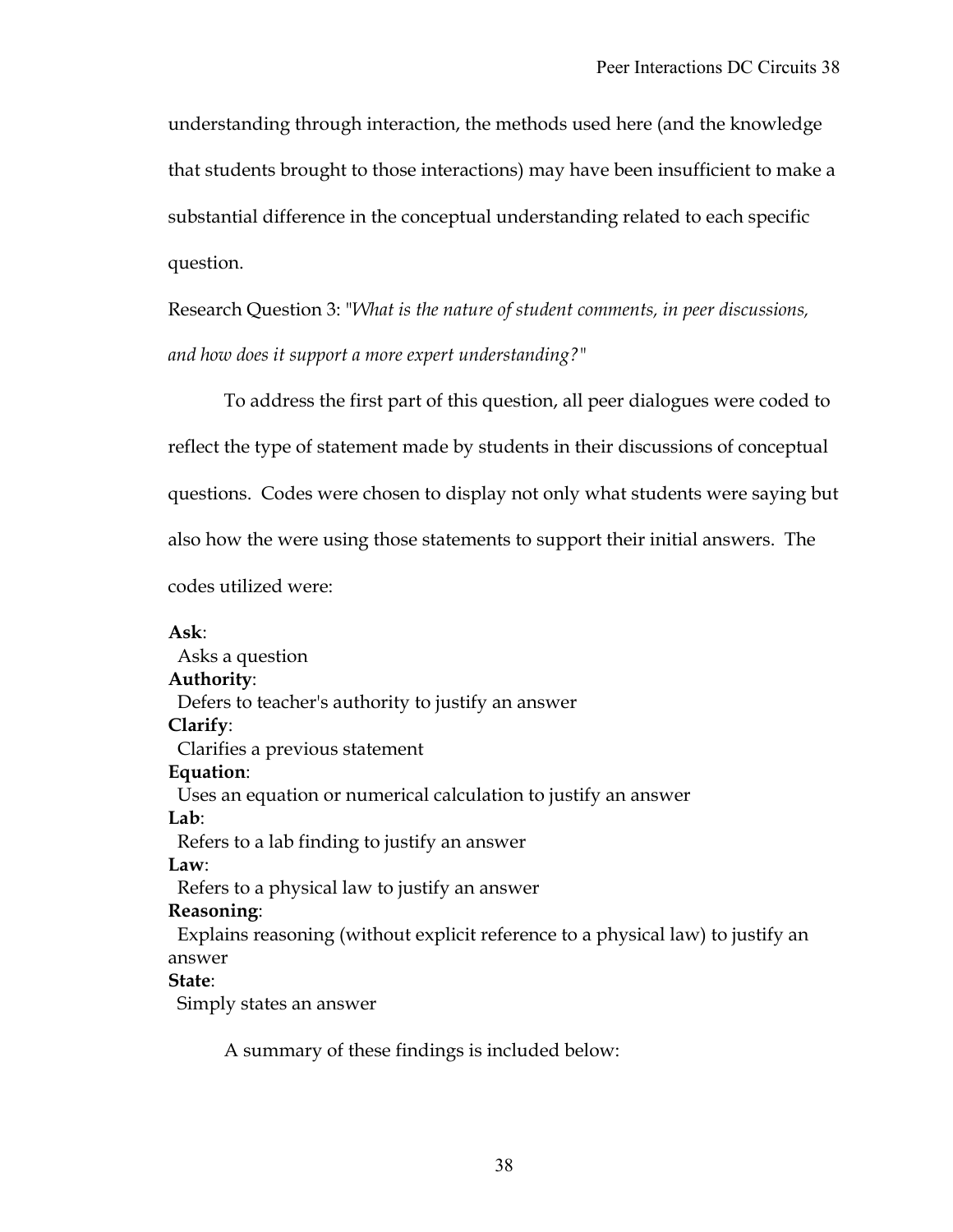understanding through interaction, the methods used here (and the knowledge that students brought to those interactions) may have been insufficient to make a substantial difference in the conceptual understanding related to each specific question.

Research Question 3: "*What is the nature of student comments, in peer discussions, and how does it support a more expert understanding?"*

 To address the first part of this question, all peer dialogues were coded to reflect the type of statement made by students in their discussions of conceptual questions. Codes were chosen to display not only what students were saying but also how the were using those statements to support their initial answers. The codes utilized were:

**Ask**: Asks a question **Authority**: Defers to teacher's authority to justify an answer **Clarify**: Clarifies a previous statement **Equation**: Uses an equation or numerical calculation to justify an answer **Lab**: Refers to a lab finding to justify an answer **Law**: Refers to a physical law to justify an answer **Reasoning**: Explains reasoning (without explicit reference to a physical law) to justify an answer **State**: Simply states an answer

A summary of these findings is included below: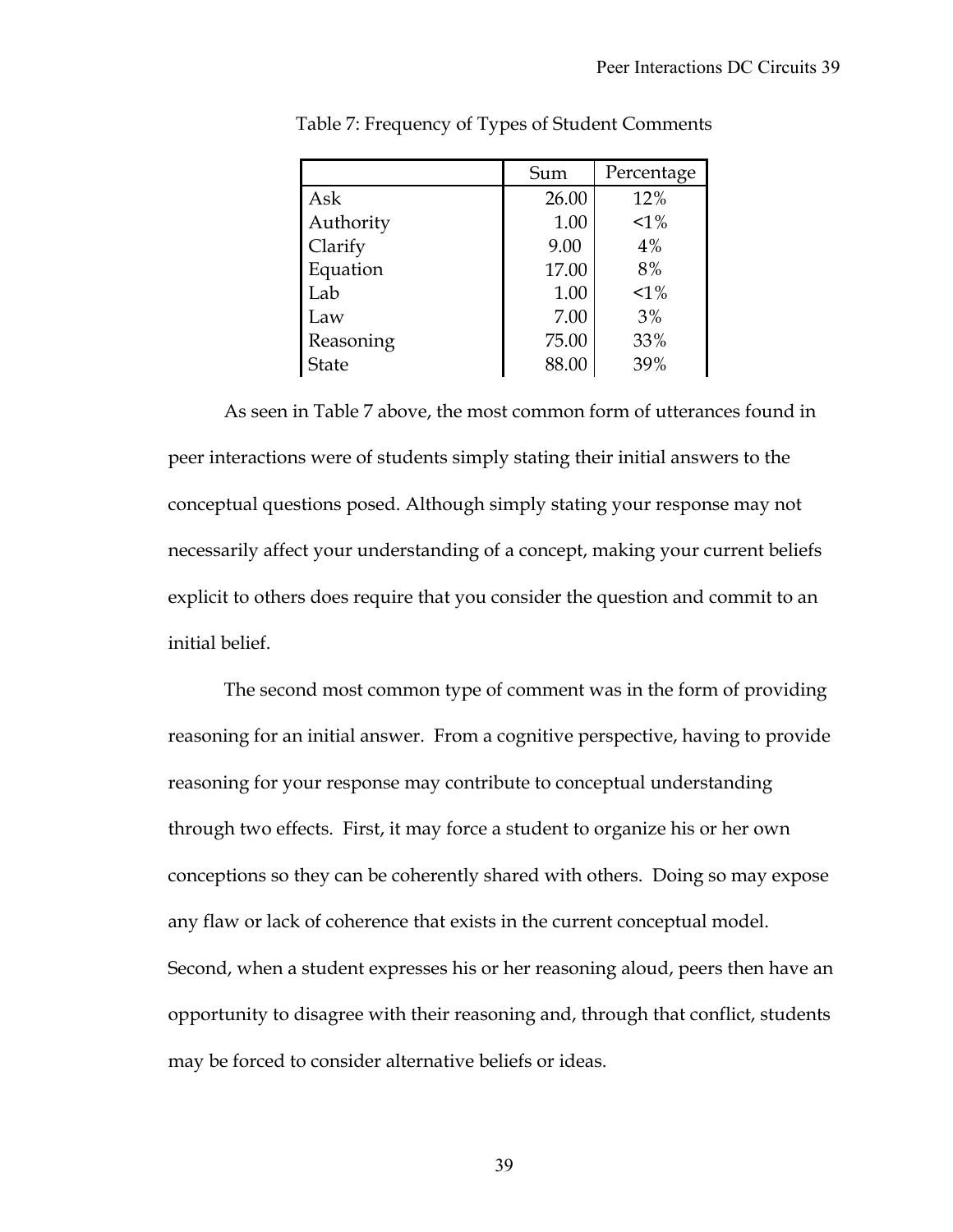|              | Sum   | Percentage |
|--------------|-------|------------|
| Ask          | 26.00 | 12%        |
| Authority    | 1.00  | $1\%$      |
| Clarify      | 9.00  | 4%         |
| Equation     | 17.00 | 8%         |
| Lab          | 1.00  | $1\%$      |
| Law          | 7.00  | 3%         |
| Reasoning    | 75.00 | 33%        |
| <b>State</b> | 88.00 | 39%        |

Table 7: Frequency of Types of Student Comments

 As seen in Table 7 above, the most common form of utterances found in peer interactions were of students simply stating their initial answers to the conceptual questions posed. Although simply stating your response may not necessarily affect your understanding of a concept, making your current beliefs explicit to others does require that you consider the question and commit to an initial belief.

 The second most common type of comment was in the form of providing reasoning for an initial answer. From a cognitive perspective, having to provide reasoning for your response may contribute to conceptual understanding through two effects. First, it may force a student to organize his or her own conceptions so they can be coherently shared with others. Doing so may expose any flaw or lack of coherence that exists in the current conceptual model. Second, when a student expresses his or her reasoning aloud, peers then have an opportunity to disagree with their reasoning and, through that conflict, students may be forced to consider alternative beliefs or ideas.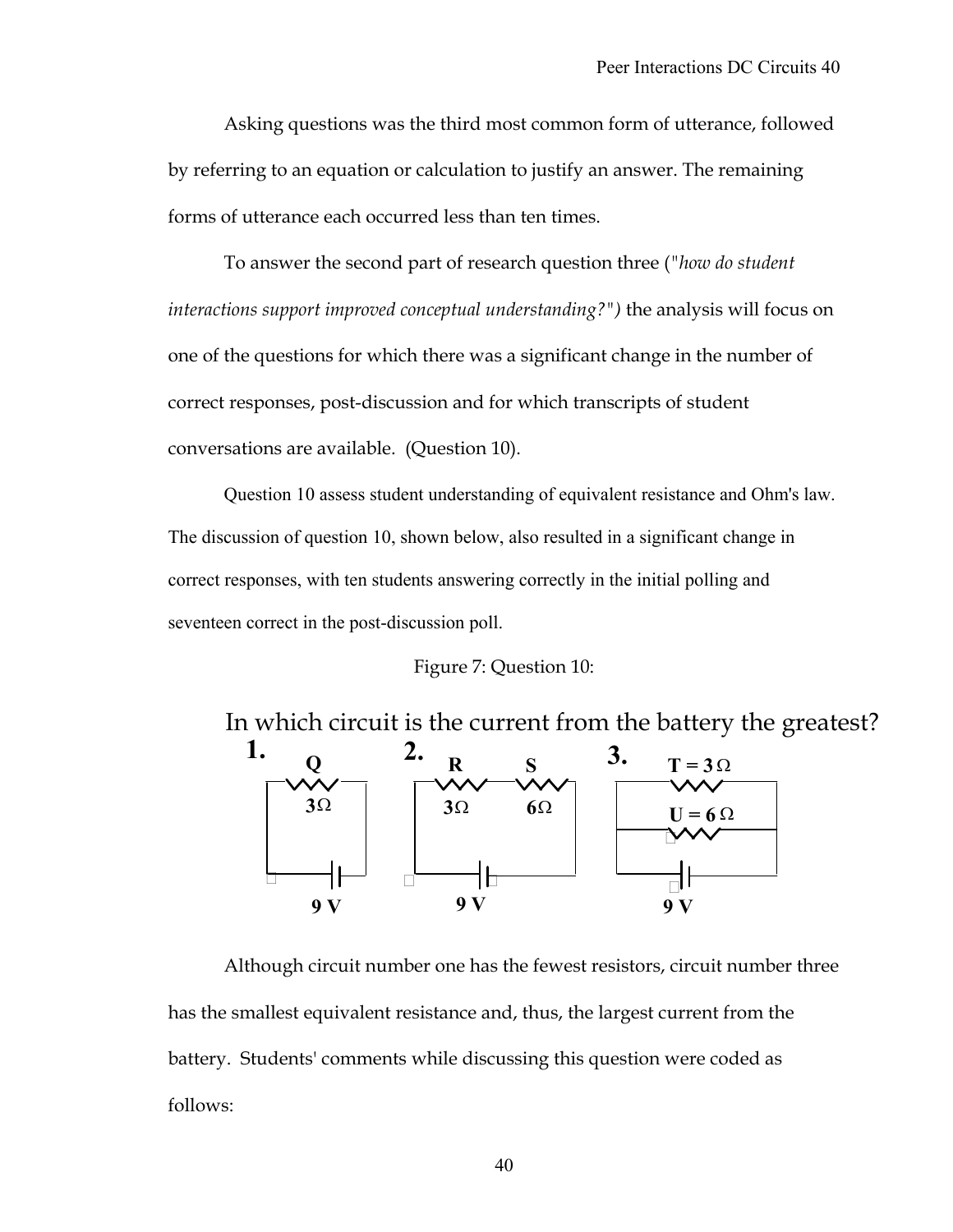Asking questions was the third most common form of utterance, followed by referring to an equation or calculation to justify an answer. The remaining forms of utterance each occurred less than ten times.

 To answer the second part of research question three (*"how do student interactions support improved conceptual understanding?")* the analysis will focus on one of the questions for which there was a significant change in the number of correct responses, post-discussion and for which transcripts of student conversations are available. (Question 10).

 Question 10 assess student understanding of equivalent resistance and Ohm's law. The discussion of question 10, shown below, also resulted in a significant change in correct responses, with ten students answering correctly in the initial polling and seventeen correct in the post-discussion poll.

Figure 7: Question 10:

In which circuit is the current from the battery the greatest? **9 V Q 3** 5 Ω **3** Г  $3\Omega$ ┢ Ω **R S 9 V**  $T = 3 \Omega$ È  $U = 6 \Omega$  $\Box$ **9 V 1. a 2. B s 3.** 

 Although circuit number one has the fewest resistors, circuit number three has the smallest equivalent resistance and, thus, the largest current from the battery. Students' comments while discussing this question were coded as follows: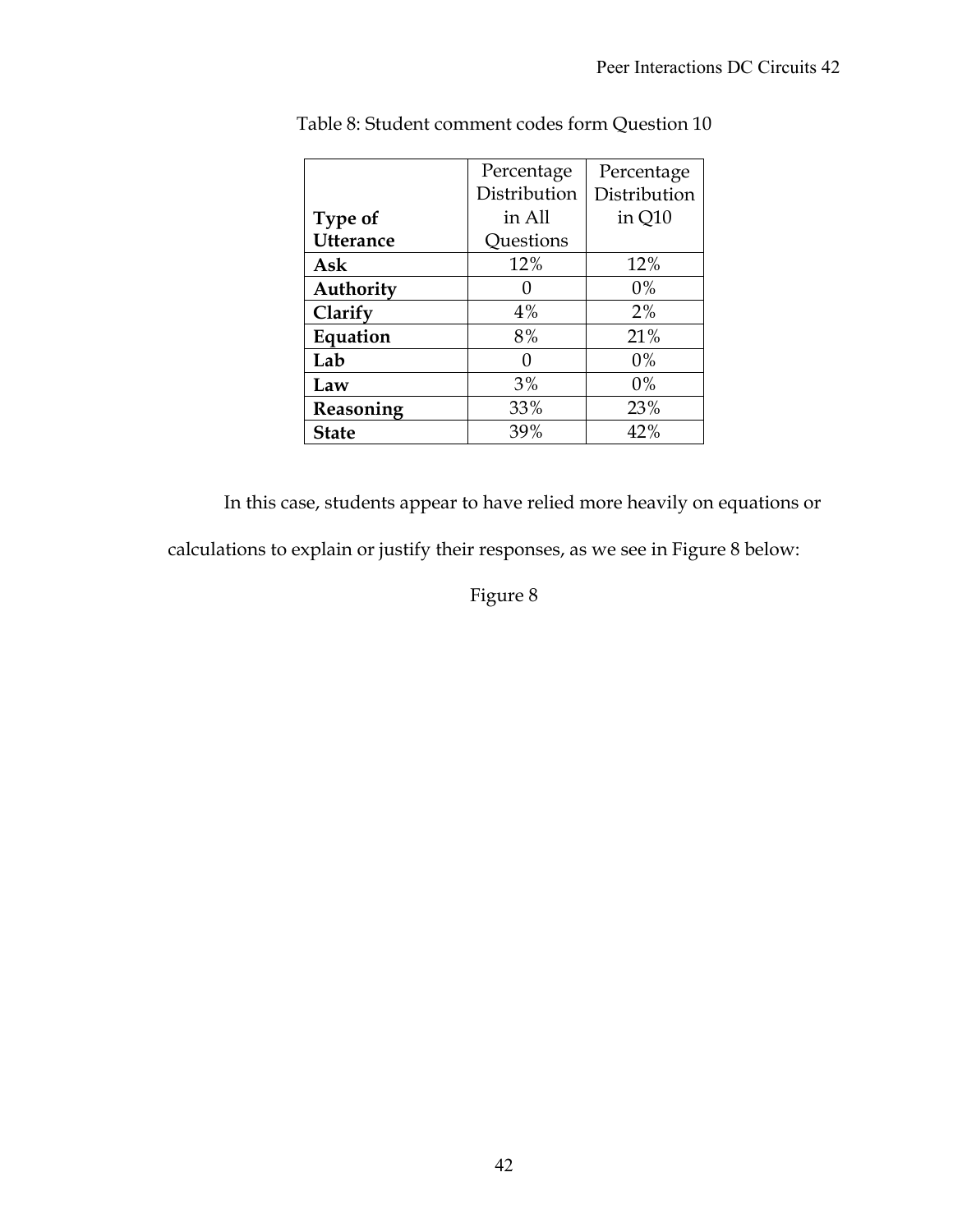|                  | Percentage   | Percentage   |
|------------------|--------------|--------------|
|                  | Distribution | Distribution |
| Type of          | in All       | in Q10       |
| <b>Utterance</b> | Questions    |              |
| Ask              | 12%          | 12%          |
| Authority        |              | $0\%$        |
| Clarify          | 4%           | 2%           |
| Equation         | 8%           | 21%          |
| Lab              |              | $0\%$        |
| Law              | 3%           | $0\%$        |
| Reasoning        | 33%          | 23%          |
| <b>State</b>     | 39%          | 42%          |

Table 8: Student comment codes form Question 10

In this case, students appear to have relied more heavily on equations or

calculations to explain or justify their responses, as we see in Figure 8 below:

Figure 8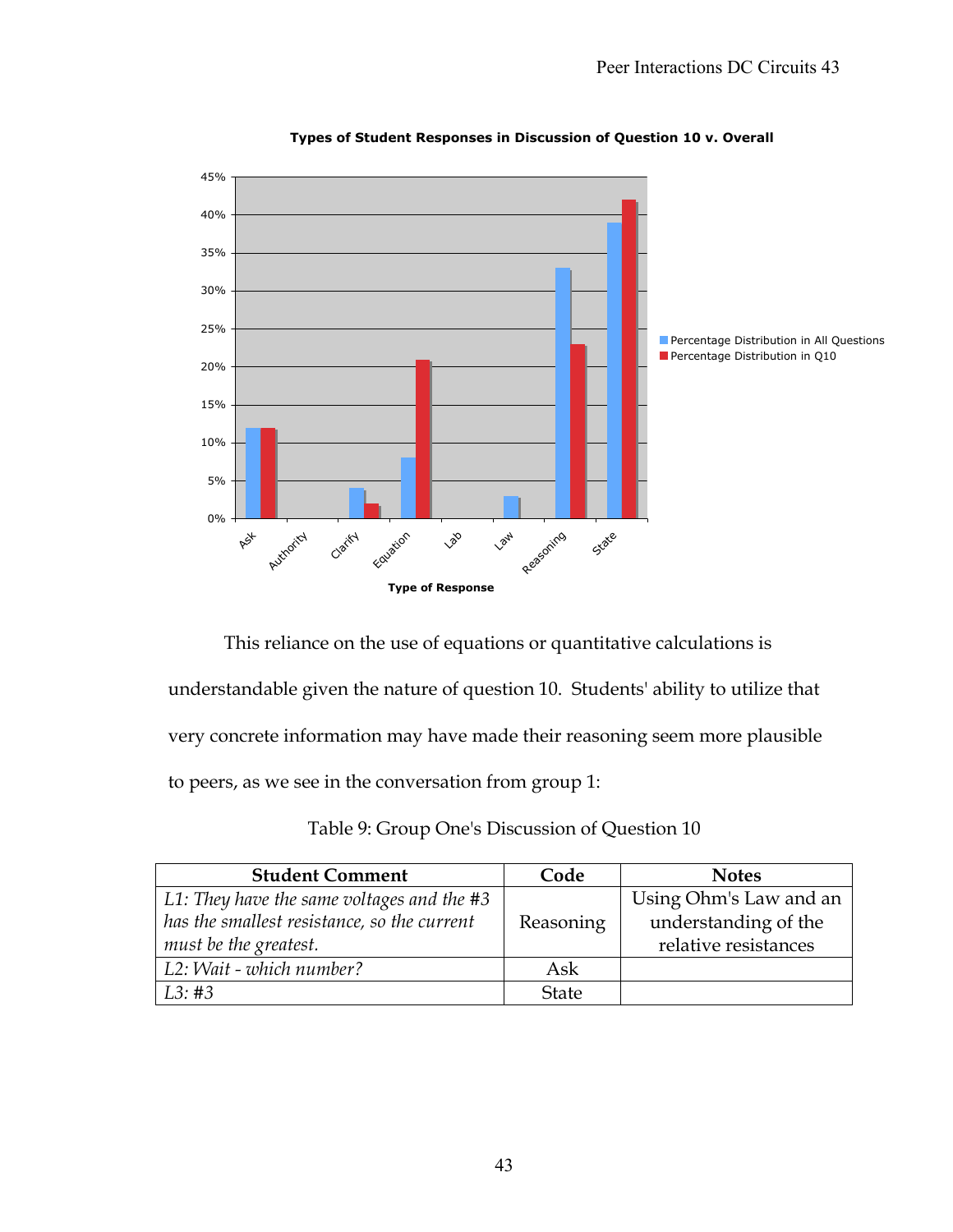

**Types of Student Responses in Discussion of Question 10 v. Overall**

 This reliance on the use of equations or quantitative calculations is understandable given the nature of question 10. Students' ability to utilize that very concrete information may have made their reasoning seem more plausible to peers, as we see in the conversation from group 1:

| Table 9: Group One's Discussion of Question 10 |  |  |  |
|------------------------------------------------|--|--|--|
|------------------------------------------------|--|--|--|

| <b>Student Comment</b>                                                                      | Code         | <b>Notes</b>                                   |
|---------------------------------------------------------------------------------------------|--------------|------------------------------------------------|
| L1: They have the same voltages and the $#3$<br>has the smallest resistance, so the current | Reasoning    | Using Ohm's Law and an<br>understanding of the |
| must be the greatest.                                                                       |              | relative resistances                           |
| L2: Wait - which number?                                                                    | Ask          |                                                |
| L3: #3                                                                                      | <b>State</b> |                                                |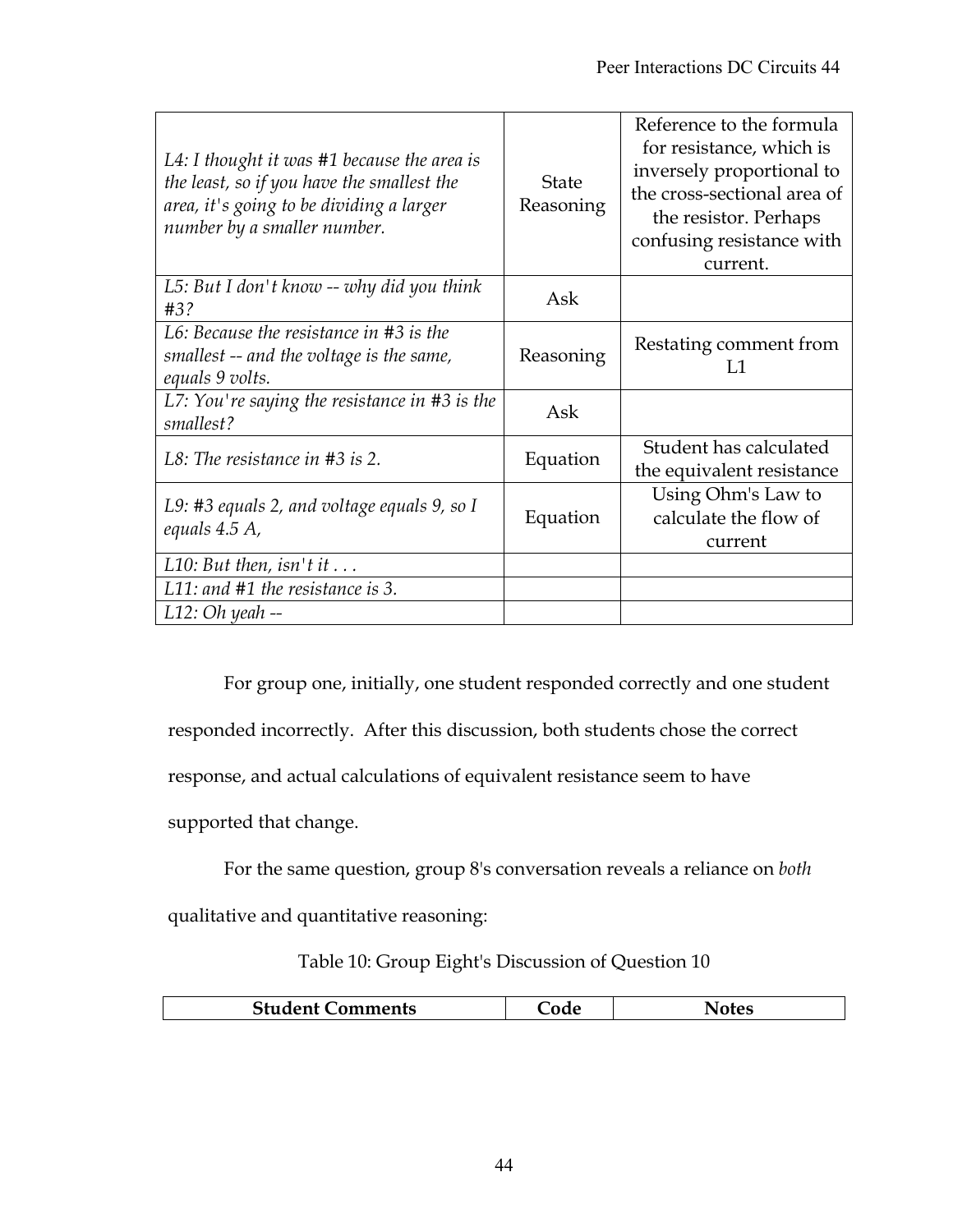| L4: I thought it was $#1$ because the area is<br>the least, so if you have the smallest the<br>area, it's going to be dividing a larger<br>number by a smaller number. | <b>State</b><br>Reasoning | Reference to the formula<br>for resistance, which is<br>inversely proportional to<br>the cross-sectional area of<br>the resistor. Perhaps<br>confusing resistance with<br>current. |
|------------------------------------------------------------------------------------------------------------------------------------------------------------------------|---------------------------|------------------------------------------------------------------------------------------------------------------------------------------------------------------------------------|
| L5: But I don't know -- why did you think<br>#3?                                                                                                                       | Ask                       |                                                                                                                                                                                    |
| L6: Because the resistance in #3 is the<br>smallest -- and the voltage is the same,<br>equals 9 volts.                                                                 | Reasoning                 | Restating comment from<br>L1                                                                                                                                                       |
| L7: You're saying the resistance in #3 is the<br>smallest?                                                                                                             | Ask                       |                                                                                                                                                                                    |
| L8: The resistance in #3 is 2.                                                                                                                                         | Equation                  | Student has calculated<br>the equivalent resistance                                                                                                                                |
| L9: #3 equals 2, and voltage equals 9, so $I$<br>equals $4.5$ A,                                                                                                       | Equation                  | Using Ohm's Law to<br>calculate the flow of<br>current                                                                                                                             |
| L10: But then, isn't it                                                                                                                                                |                           |                                                                                                                                                                                    |
| L11: and $#1$ the resistance is 3.                                                                                                                                     |                           |                                                                                                                                                                                    |
| $L12$ : Oh yeah --                                                                                                                                                     |                           |                                                                                                                                                                                    |

 For group one, initially, one student responded correctly and one student responded incorrectly. After this discussion, both students chose the correct response, and actual calculations of equivalent resistance seem to have supported that change.

For the same question, group 8's conversation reveals a reliance on *both*

qualitative and quantitative reasoning:

Table 10: Group Eight's Discussion of Question 10

| Student<br>_omments_ |  |  |
|----------------------|--|--|
|----------------------|--|--|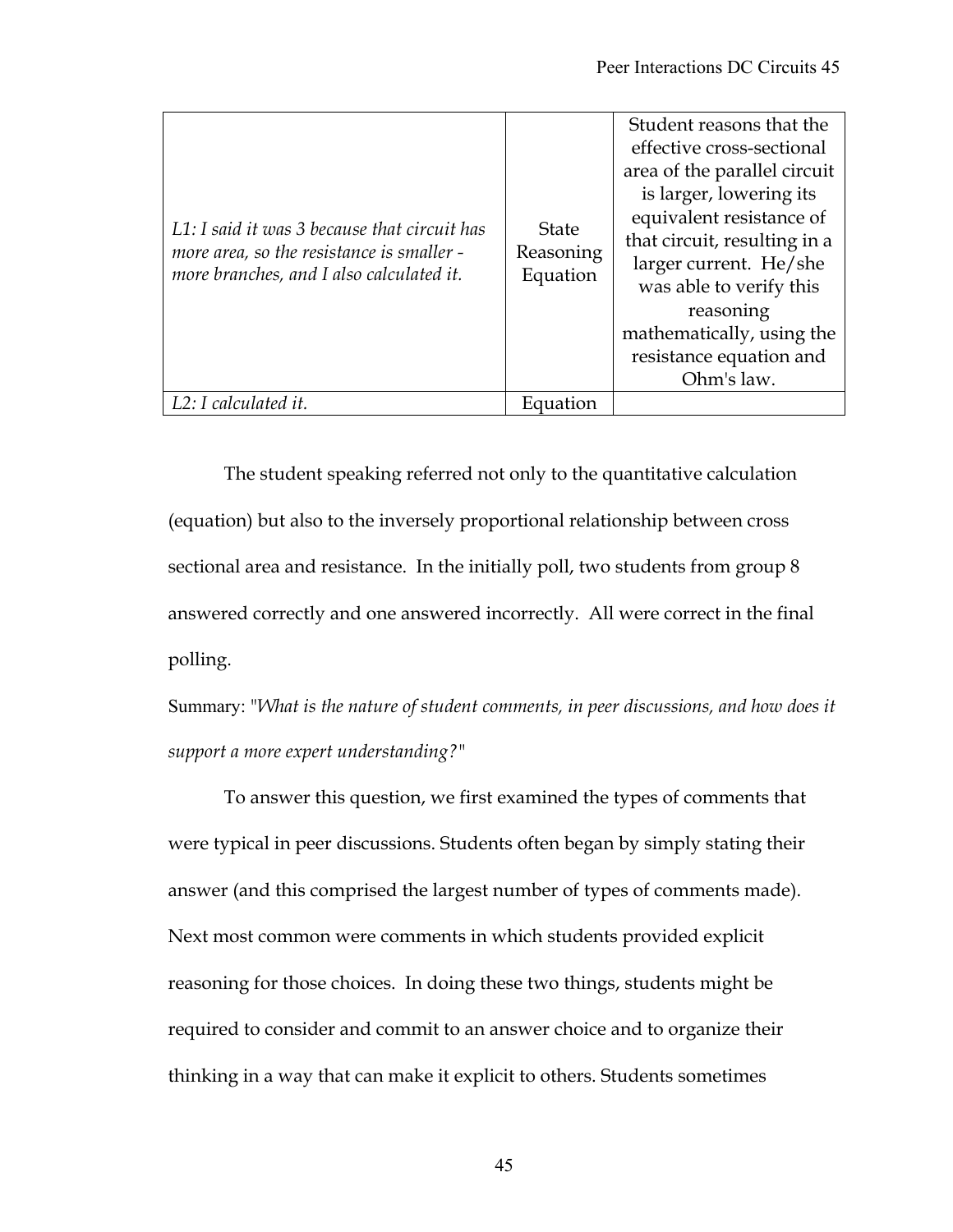| L1: I said it was 3 because that circuit has<br>more area, so the resistance is smaller -<br>more branches, and I also calculated it. | State<br>Reasoning<br>Equation | Student reasons that the<br>effective cross-sectional<br>area of the parallel circuit<br>is larger, lowering its<br>equivalent resistance of<br>that circuit, resulting in a<br>larger current. He/she<br>was able to verify this<br>reasoning<br>mathematically, using the<br>resistance equation and<br>Ohm's law. |
|---------------------------------------------------------------------------------------------------------------------------------------|--------------------------------|----------------------------------------------------------------------------------------------------------------------------------------------------------------------------------------------------------------------------------------------------------------------------------------------------------------------|
| L2: I calculated it.                                                                                                                  | Equation                       |                                                                                                                                                                                                                                                                                                                      |

 The student speaking referred not only to the quantitative calculation (equation) but also to the inversely proportional relationship between cross sectional area and resistance. In the initially poll, two students from group 8 answered correctly and one answered incorrectly. All were correct in the final polling.

Summary: "*What is the nature of student comments, in peer discussions, and how does it support a more expert understanding?"*

 To answer this question, we first examined the types of comments that were typical in peer discussions. Students often began by simply stating their answer (and this comprised the largest number of types of comments made). Next most common were comments in which students provided explicit reasoning for those choices. In doing these two things, students might be required to consider and commit to an answer choice and to organize their thinking in a way that can make it explicit to others. Students sometimes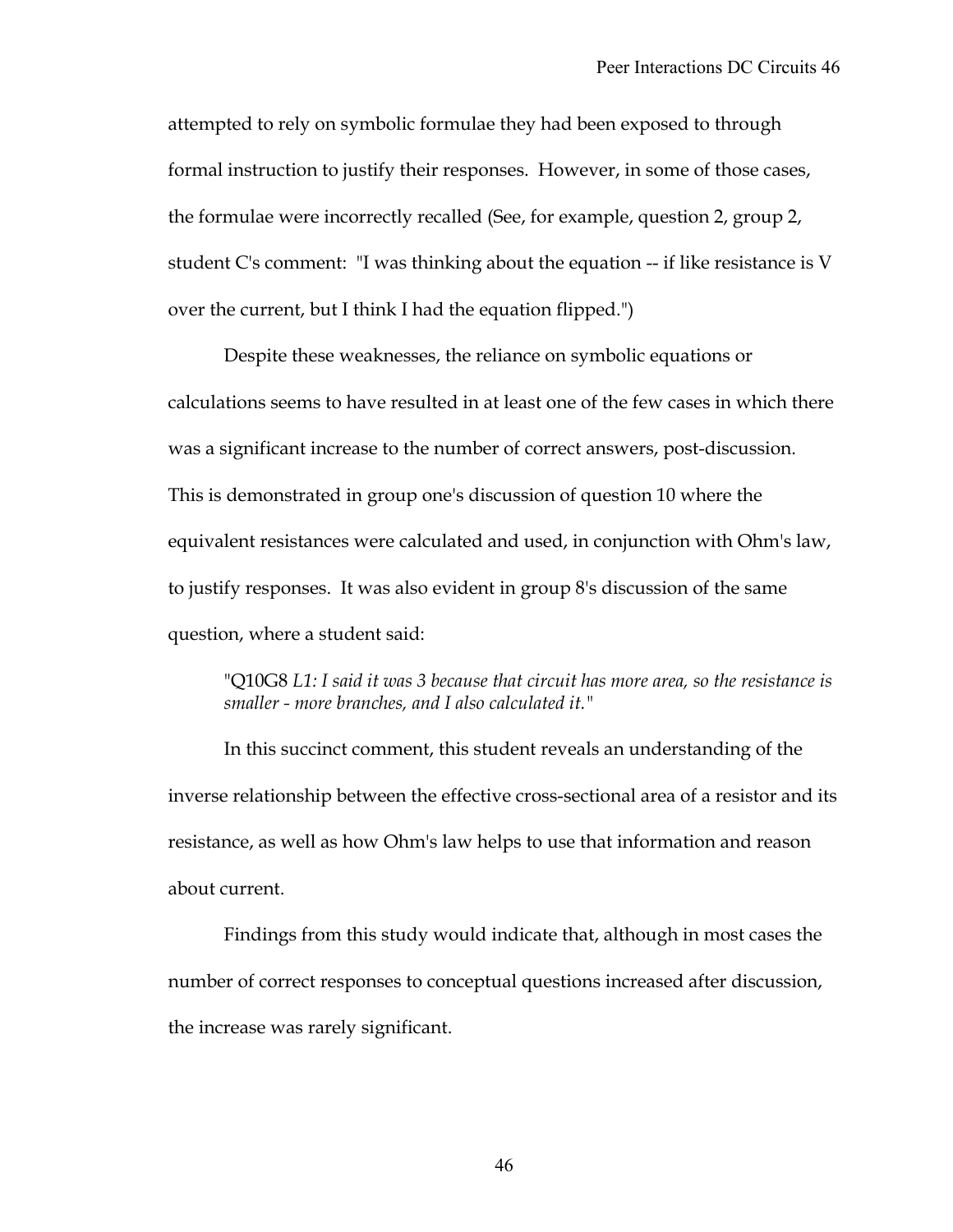attempted to rely on symbolic formulae they had been exposed to through formal instruction to justify their responses. However, in some of those cases, the formulae were incorrectly recalled (See, for example, question 2, group 2, student C's comment: "I was thinking about the equation -- if like resistance is V over the current, but I think I had the equation flipped.")

 Despite these weaknesses, the reliance on symbolic equations or calculations seems to have resulted in at least one of the few cases in which there was a significant increase to the number of correct answers, post-discussion. This is demonstrated in group one's discussion of question 10 where the equivalent resistances were calculated and used, in conjunction with Ohm's law, to justify responses. It was also evident in group 8's discussion of the same question, where a student said:

 "Q10G8 *L1: I said it was 3 because that circuit has more area, so the resistance is smaller - more branches, and I also calculated it."* 

 In this succinct comment, this student reveals an understanding of the inverse relationship between the effective cross-sectional area of a resistor and its resistance, as well as how Ohm's law helps to use that information and reason about current.

Findings from this study would indicate that, although in most cases the number of correct responses to conceptual questions increased after discussion, the increase was rarely significant.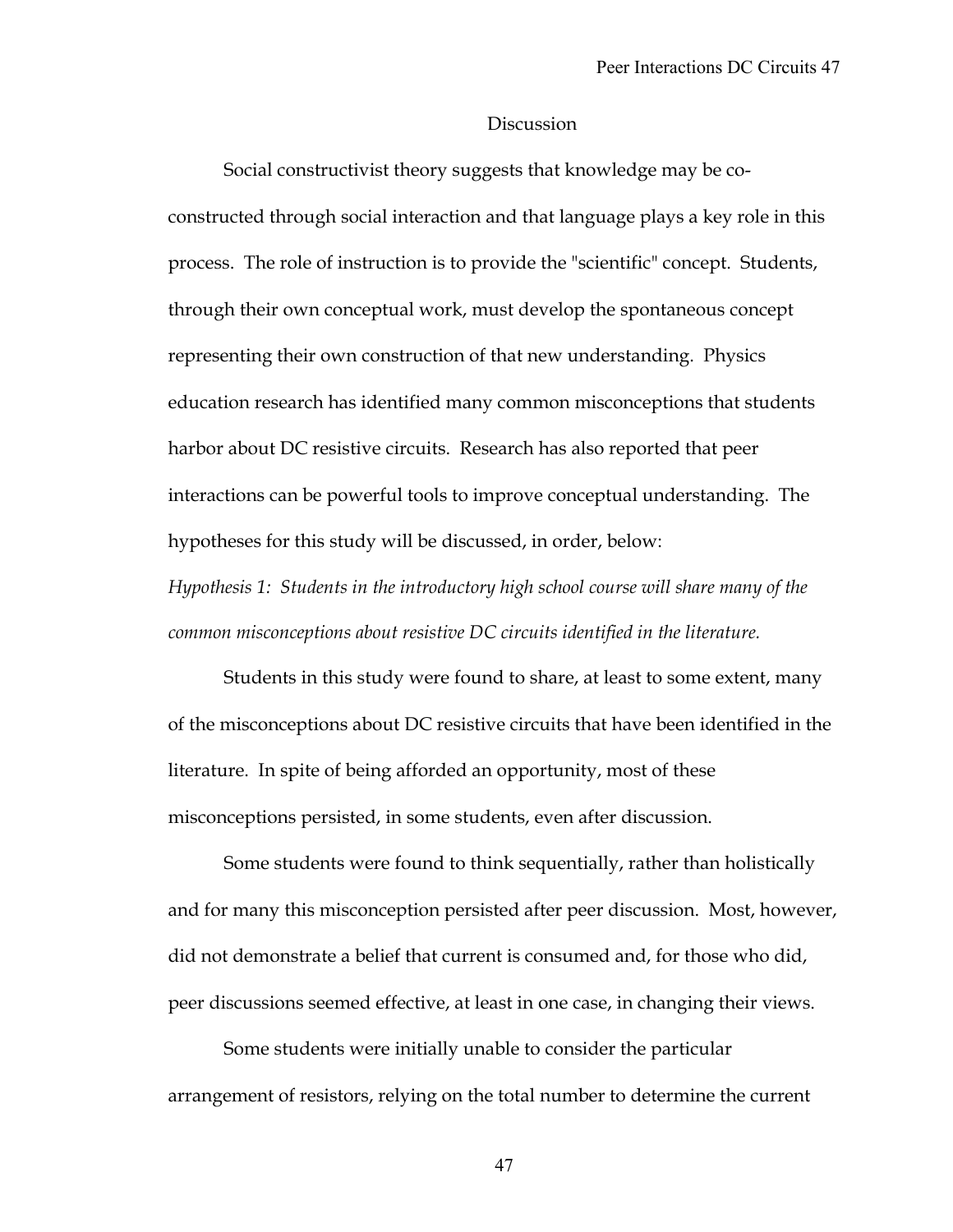#### **Discussion**

Social constructivist theory suggests that knowledge may be coconstructed through social interaction and that language plays a key role in this process. The role of instruction is to provide the "scientific" concept. Students, through their own conceptual work, must develop the spontaneous concept representing their own construction of that new understanding. Physics education research has identified many common misconceptions that students harbor about DC resistive circuits. Research has also reported that peer interactions can be powerful tools to improve conceptual understanding. The hypotheses for this study will be discussed, in order, below:

*Hypothesis 1: Students in the introductory high school course will share many of the common misconceptions about resistive DC circuits identified in the literature.* 

 Students in this study were found to share, at least to some extent, many of the misconceptions about DC resistive circuits that have been identified in the literature. In spite of being afforded an opportunity, most of these misconceptions persisted, in some students, even after discussion.

Some students were found to think sequentially, rather than holistically and for many this misconception persisted after peer discussion. Most, however, did not demonstrate a belief that current is consumed and, for those who did, peer discussions seemed effective, at least in one case, in changing their views.

Some students were initially unable to consider the particular arrangement of resistors, relying on the total number to determine the current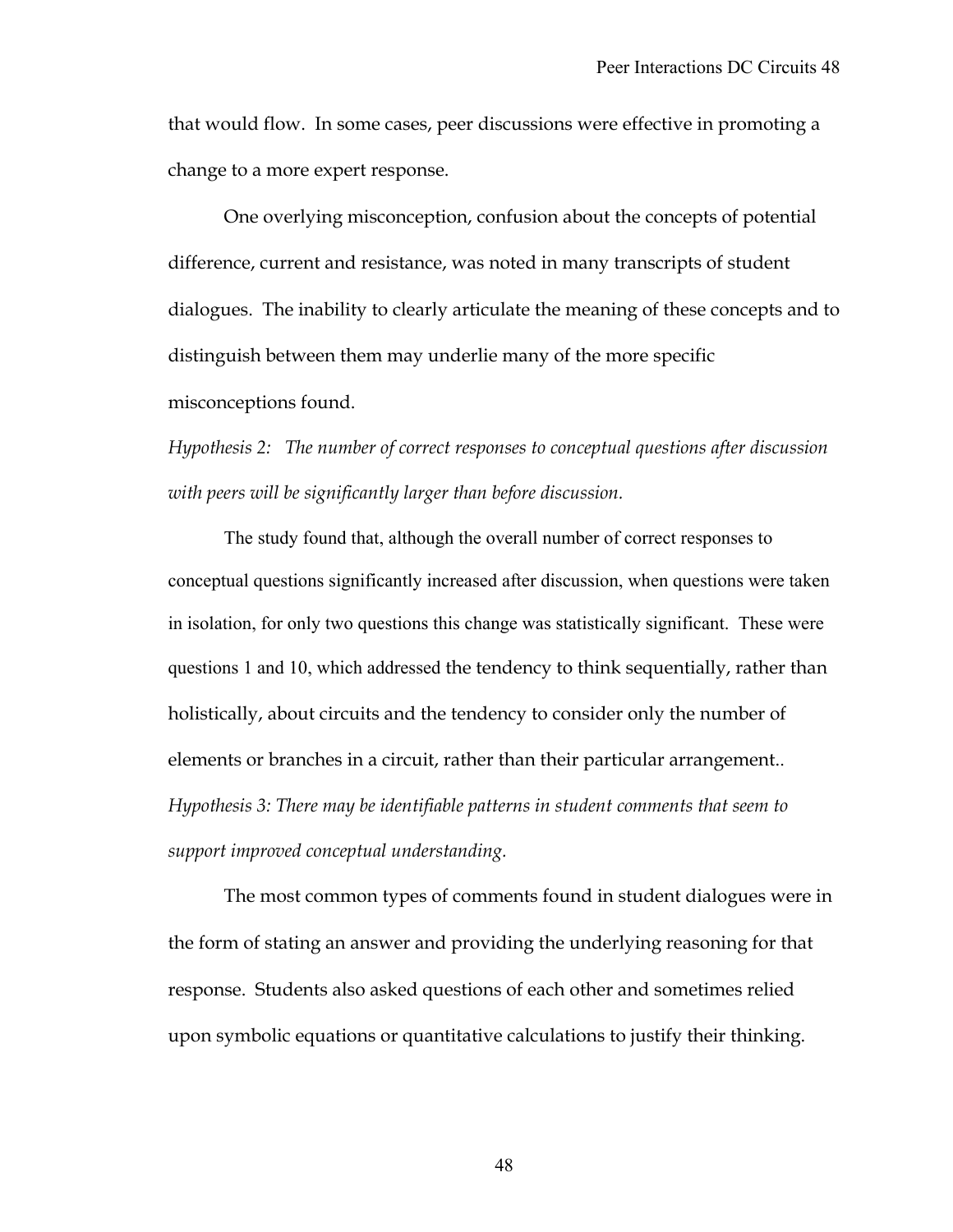that would flow. In some cases, peer discussions were effective in promoting a change to a more expert response.

 One overlying misconception, confusion about the concepts of potential difference, current and resistance, was noted in many transcripts of student dialogues. The inability to clearly articulate the meaning of these concepts and to distinguish between them may underlie many of the more specific misconceptions found.

*Hypothesis 2: The number of correct responses to conceptual questions after discussion with peers will be significantly larger than before discussion.* 

 The study found that, although the overall number of correct responses to conceptual questions significantly increased after discussion, when questions were taken in isolation, for only two questions this change was statistically significant. These were questions 1 and 10, which addressed the tendency to think sequentially, rather than holistically, about circuits and the tendency to consider only the number of elements or branches in a circuit, rather than their particular arrangement.. *Hypothesis 3: There may be identifiable patterns in student comments that seem to support improved conceptual understanding.* 

 The most common types of comments found in student dialogues were in the form of stating an answer and providing the underlying reasoning for that response. Students also asked questions of each other and sometimes relied upon symbolic equations or quantitative calculations to justify their thinking.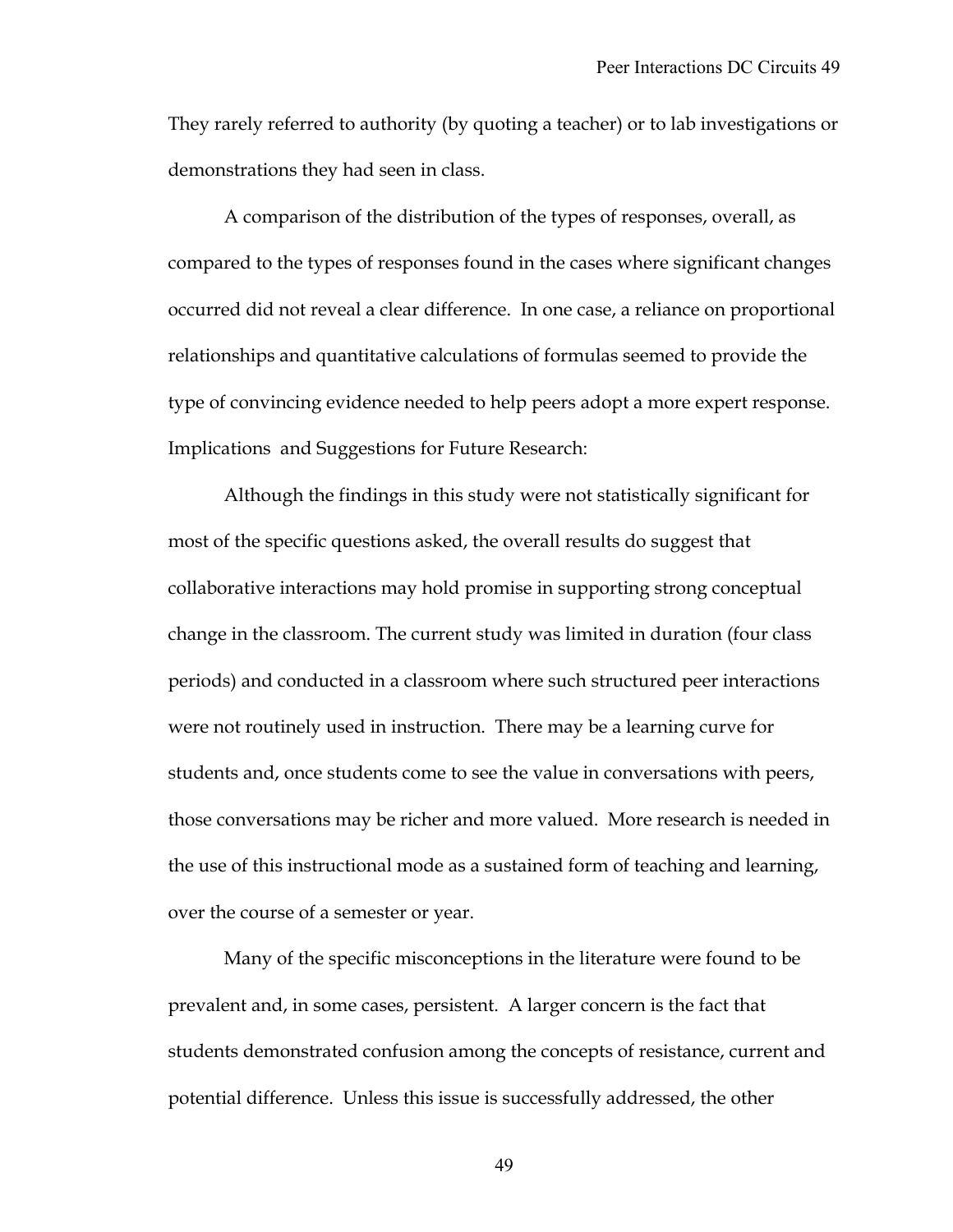They rarely referred to authority (by quoting a teacher) or to lab investigations or demonstrations they had seen in class.

A comparison of the distribution of the types of responses, overall, as compared to the types of responses found in the cases where significant changes occurred did not reveal a clear difference. In one case, a reliance on proportional relationships and quantitative calculations of formulas seemed to provide the type of convincing evidence needed to help peers adopt a more expert response. Implications and Suggestions for Future Research:

 Although the findings in this study were not statistically significant for most of the specific questions asked, the overall results do suggest that collaborative interactions may hold promise in supporting strong conceptual change in the classroom. The current study was limited in duration (four class periods) and conducted in a classroom where such structured peer interactions were not routinely used in instruction. There may be a learning curve for students and, once students come to see the value in conversations with peers, those conversations may be richer and more valued. More research is needed in the use of this instructional mode as a sustained form of teaching and learning, over the course of a semester or year.

 Many of the specific misconceptions in the literature were found to be prevalent and, in some cases, persistent. A larger concern is the fact that students demonstrated confusion among the concepts of resistance, current and potential difference. Unless this issue is successfully addressed, the other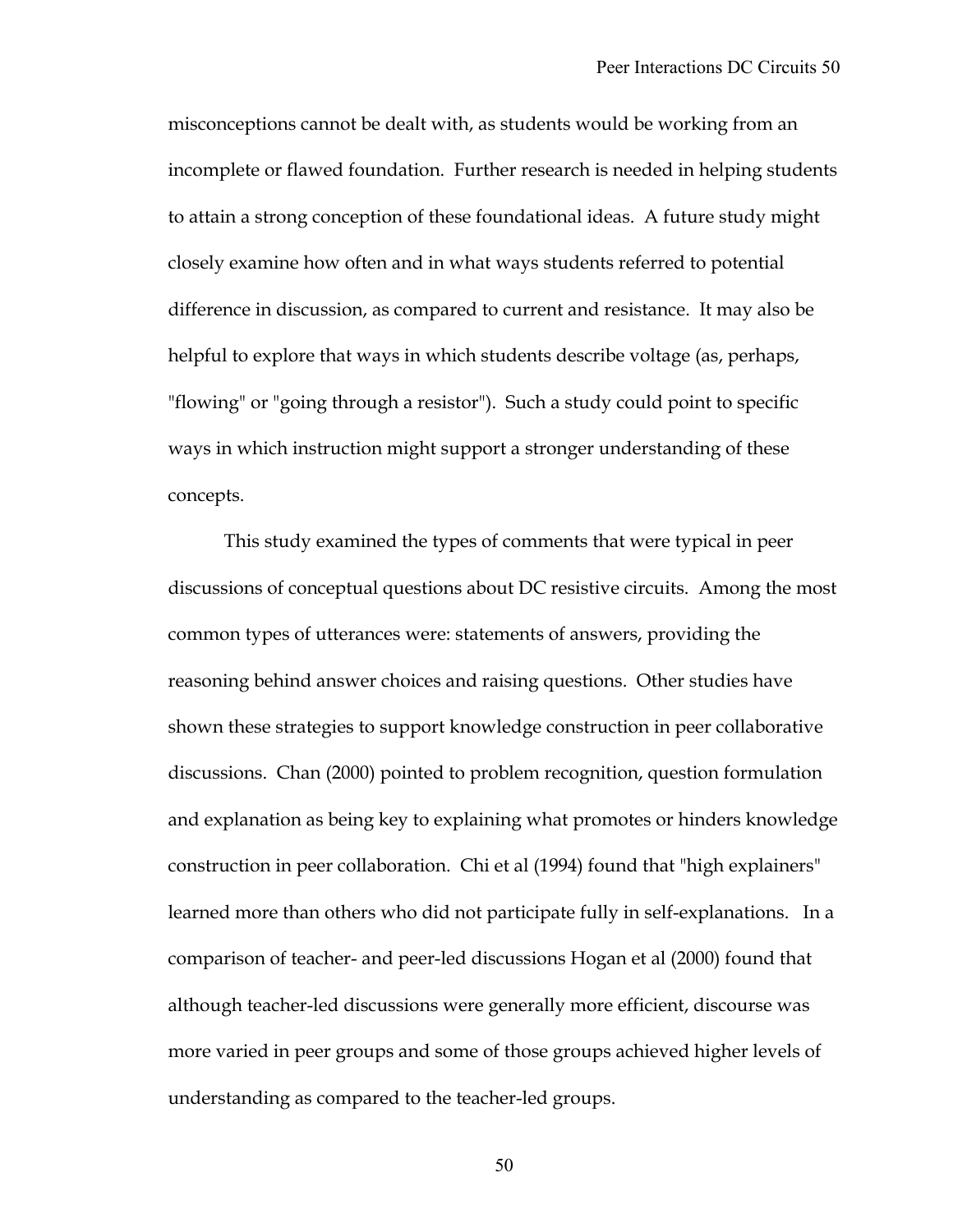misconceptions cannot be dealt with, as students would be working from an incomplete or flawed foundation. Further research is needed in helping students to attain a strong conception of these foundational ideas. A future study might closely examine how often and in what ways students referred to potential difference in discussion, as compared to current and resistance. It may also be helpful to explore that ways in which students describe voltage (as, perhaps, "flowing" or "going through a resistor"). Such a study could point to specific ways in which instruction might support a stronger understanding of these concepts.

 This study examined the types of comments that were typical in peer discussions of conceptual questions about DC resistive circuits. Among the most common types of utterances were: statements of answers, providing the reasoning behind answer choices and raising questions. Other studies have shown these strategies to support knowledge construction in peer collaborative discussions. Chan (2000) pointed to problem recognition, question formulation and explanation as being key to explaining what promotes or hinders knowledge construction in peer collaboration. Chi et al (1994) found that "high explainers" learned more than others who did not participate fully in self-explanations. In a comparison of teacher- and peer-led discussions Hogan et al (2000) found that although teacher-led discussions were generally more efficient, discourse was more varied in peer groups and some of those groups achieved higher levels of understanding as compared to the teacher-led groups.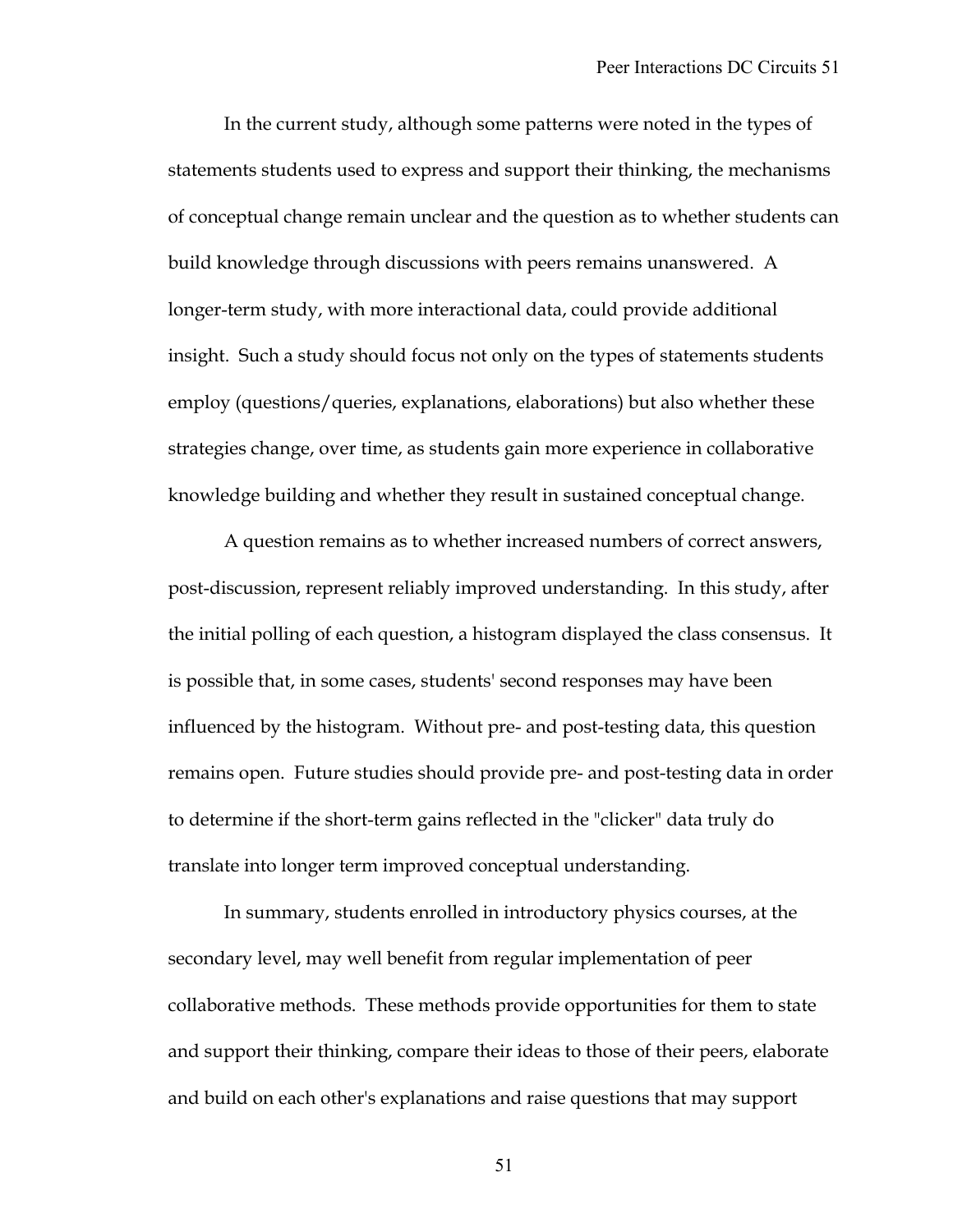In the current study, although some patterns were noted in the types of statements students used to express and support their thinking, the mechanisms of conceptual change remain unclear and the question as to whether students can build knowledge through discussions with peers remains unanswered. A longer-term study, with more interactional data, could provide additional insight. Such a study should focus not only on the types of statements students employ (questions/queries, explanations, elaborations) but also whether these strategies change, over time, as students gain more experience in collaborative knowledge building and whether they result in sustained conceptual change.

 A question remains as to whether increased numbers of correct answers, post-discussion, represent reliably improved understanding. In this study, after the initial polling of each question, a histogram displayed the class consensus. It is possible that, in some cases, students' second responses may have been influenced by the histogram. Without pre- and post-testing data, this question remains open. Future studies should provide pre- and post-testing data in order to determine if the short-term gains reflected in the "clicker" data truly do translate into longer term improved conceptual understanding.

 In summary, students enrolled in introductory physics courses, at the secondary level, may well benefit from regular implementation of peer collaborative methods. These methods provide opportunities for them to state and support their thinking, compare their ideas to those of their peers, elaborate and build on each other's explanations and raise questions that may support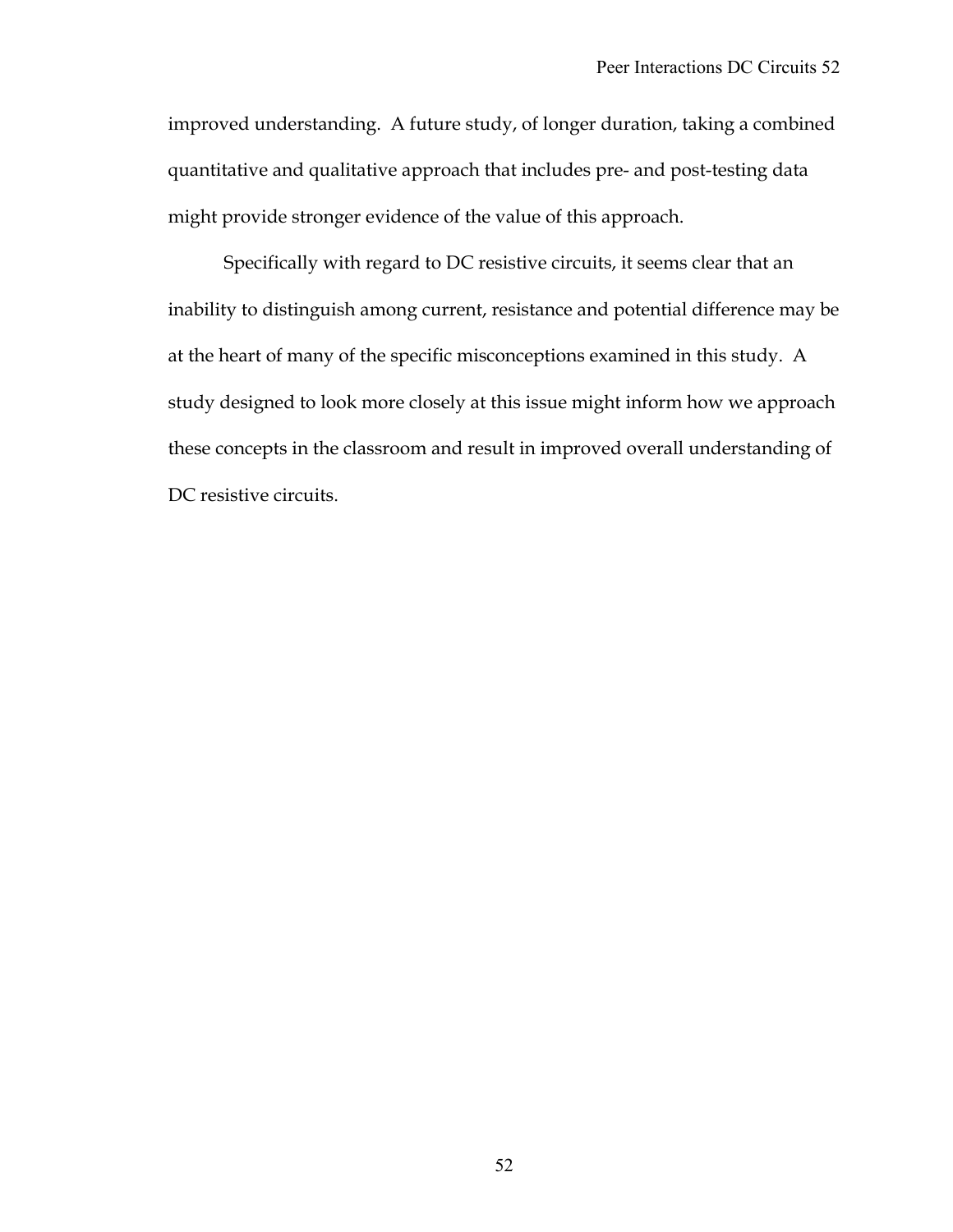improved understanding. A future study, of longer duration, taking a combined quantitative and qualitative approach that includes pre- and post-testing data might provide stronger evidence of the value of this approach.

 Specifically with regard to DC resistive circuits, it seems clear that an inability to distinguish among current, resistance and potential difference may be at the heart of many of the specific misconceptions examined in this study. A study designed to look more closely at this issue might inform how we approach these concepts in the classroom and result in improved overall understanding of DC resistive circuits.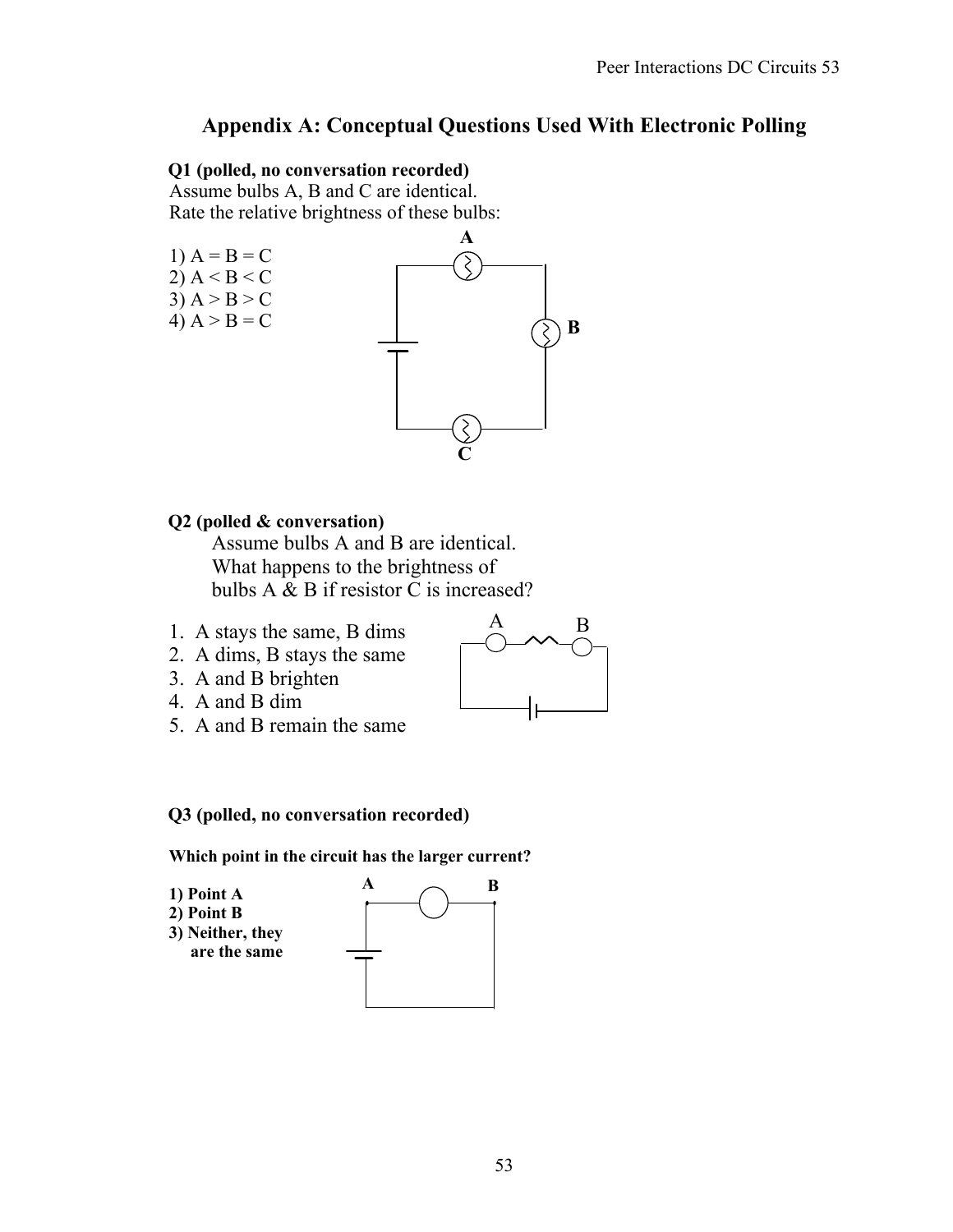# **Appendix A: Conceptual Questions Used With Electronic Polling**

## **Q1 (polled, no conversation recorded)**

Assume bulbs A, B and C are identical. Rate the relative brightness of these bulbs:



## **Q2 (polled & conversation)**

Assume bulbs A and B are identical. What happens to the brightness of bulbs A & B if resistor C is increased?

- 1. A stays the same, B dims
- 2. A dims, B stays the same
- 3. A and B brighten
- 4. A and B dim
- 5. A and B remain the same



## **Q3 (polled, no conversation recorded)**

**Which point in the circuit has the larger current?**

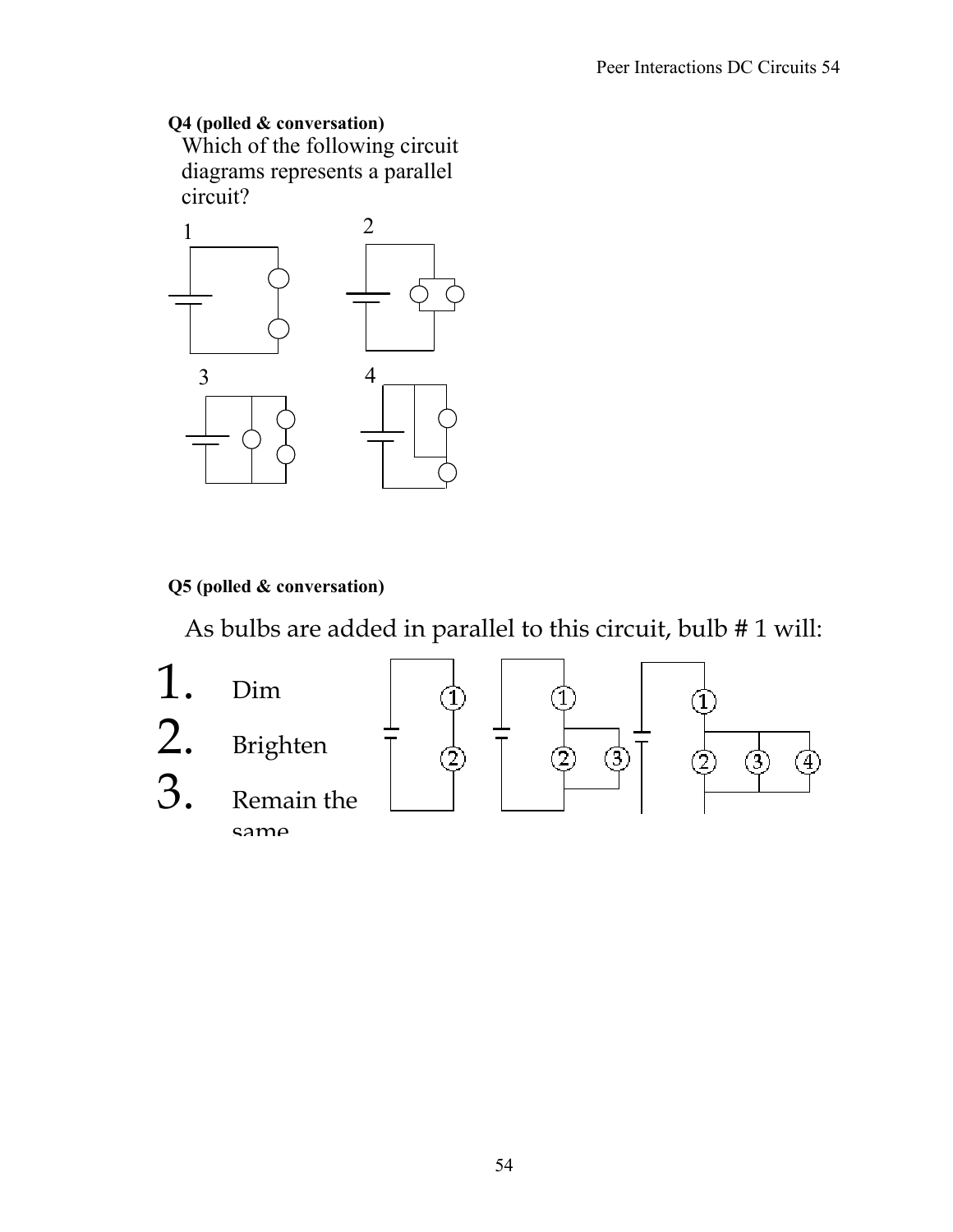# **Q4 (polled & conversation)**

Which of the following circuit diagrams represents a parallel circuit?



# **Q5 (polled & conversation)**

As bulbs are added in parallel to this circuit, bulb # 1 will:

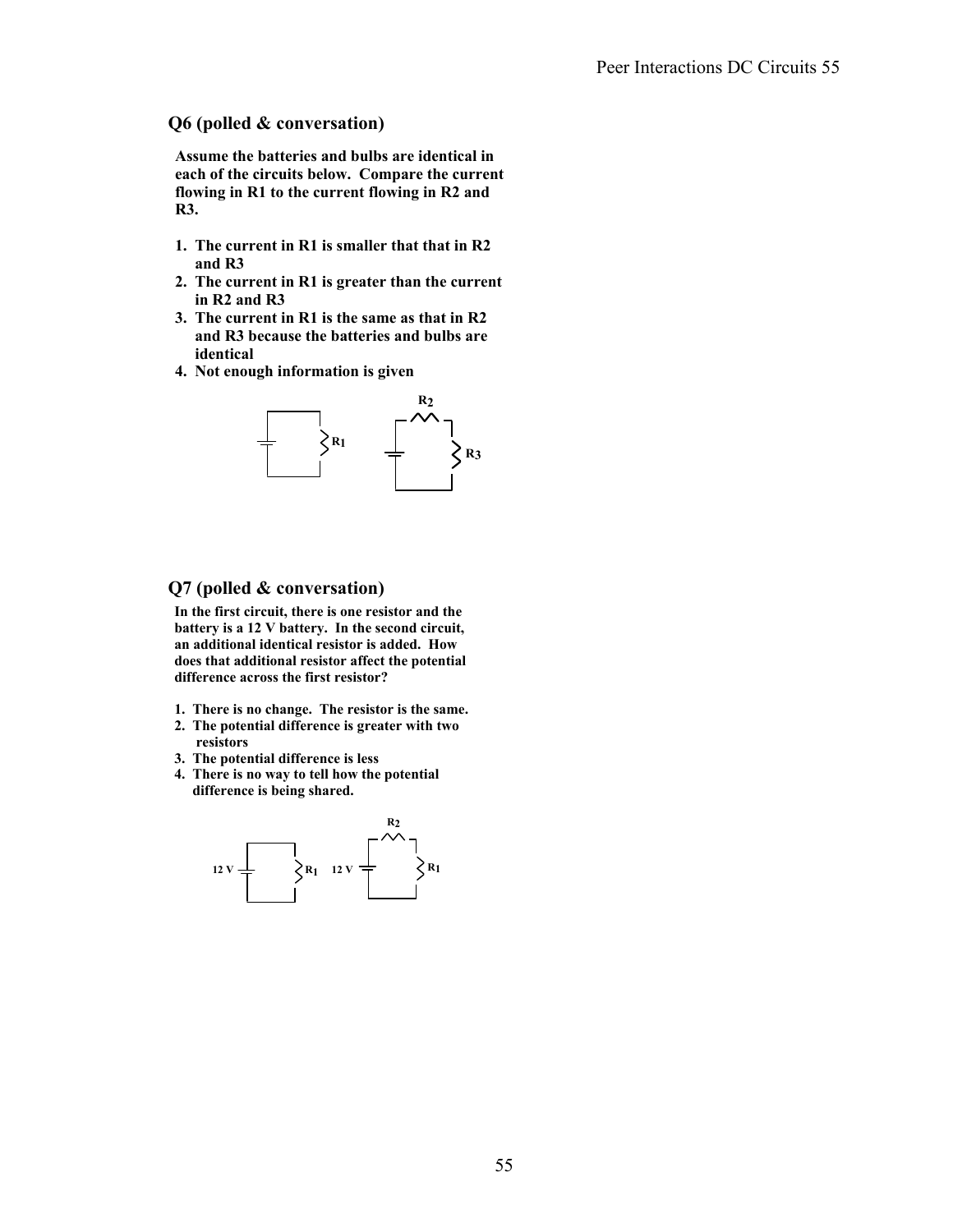#### **Q6 (polled & conversation)**

**Assume the batteries and bulbs are identical in each of the circuits below. Compare the current flowing in R1 to the current flowing in R2 and R3.**

- **1. The current in R1 is smaller that that in R2 and R3**
- **2. The current in R1 is greater than the current in R2 and R3**
- **3. The current in R1 is the same as that in R2 and R3 because the batteries and bulbs are identical**
- **4. Not enough information is given**



### **Q7 (polled & conversation)**

**In the first circuit, there is one resistor and the battery is a 12 V battery. In the second circuit, an additional identical resistor is added. How does that additional resistor affect the potential difference across the first resistor?**

- **1. There is no change. The resistor is the same.**
- **2. The potential difference is greater with two resistors**
- **3. The potential difference is less**
- **4. There is no way to tell how the potential difference is being shared.**

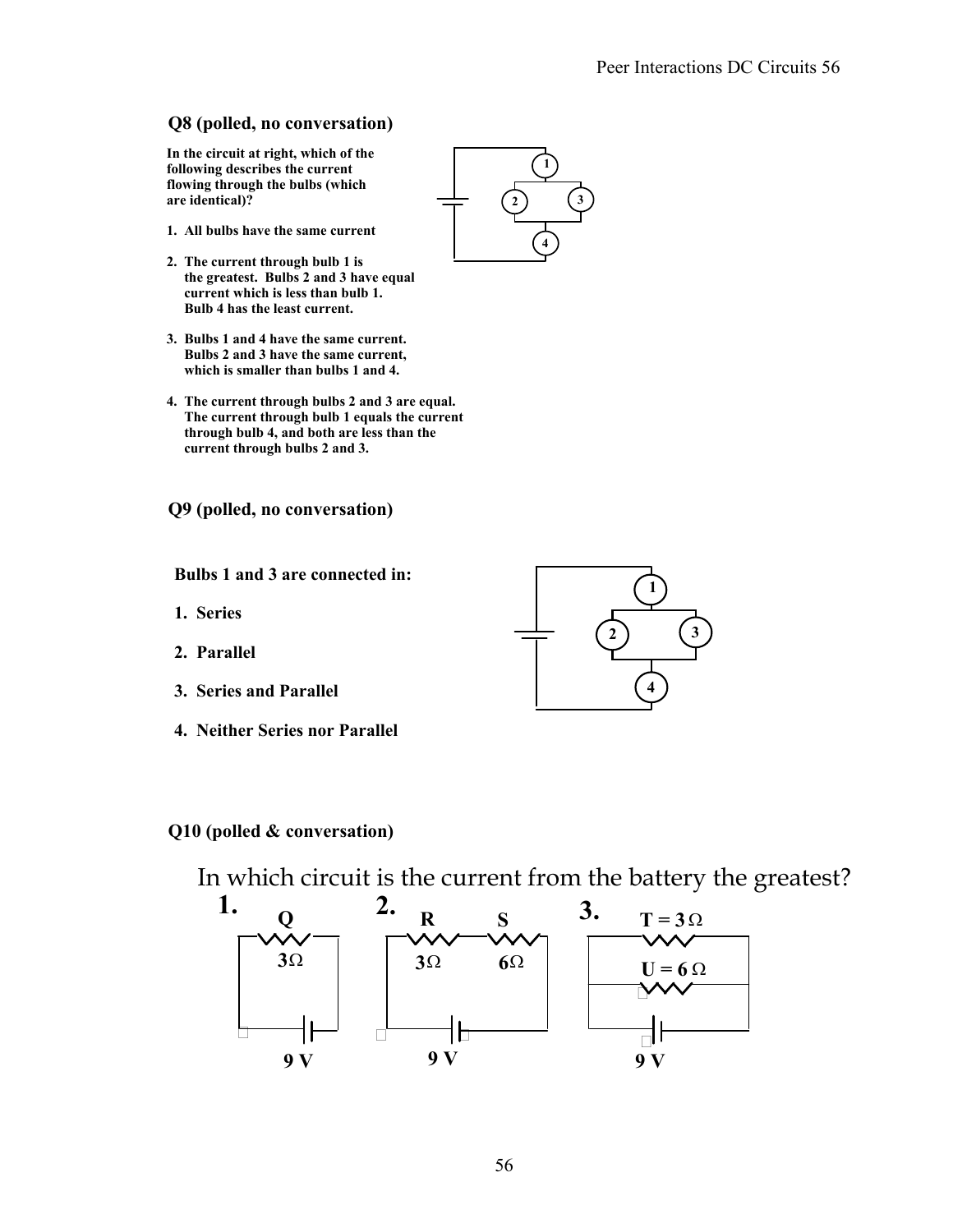## **Q8 (polled, no conversation)**

**In the circuit at right, which of the following describes the current flowing through the bulbs (which are identical)?**

- **1. All bulbs have the same current**
- **2. The current through bulb 1 is the greatest. Bulbs 2 and 3 have equal current which is less than bulb 1. Bulb 4 has the least current.**
- **3. Bulbs 1 and 4 have the same current. Bulbs 2 and 3 have the same current, which is smaller than bulbs 1 and 4.**
- **4. The current through bulbs 2 and 3 are equal. The current through bulb 1 equals the current through bulb 4, and both are less than the current through bulbs 2 and 3.**

**Q9 (polled, no conversation)** 

## **Bulbs 1 and 3 are connected in:**

- **1. Series**
- **2. Parallel**
- **3. Series and Parallel**
- **4. Neither Series nor Parallel**

## **Q10 (polled & conversation)**

In which circuit is the current from the battery the greatest?





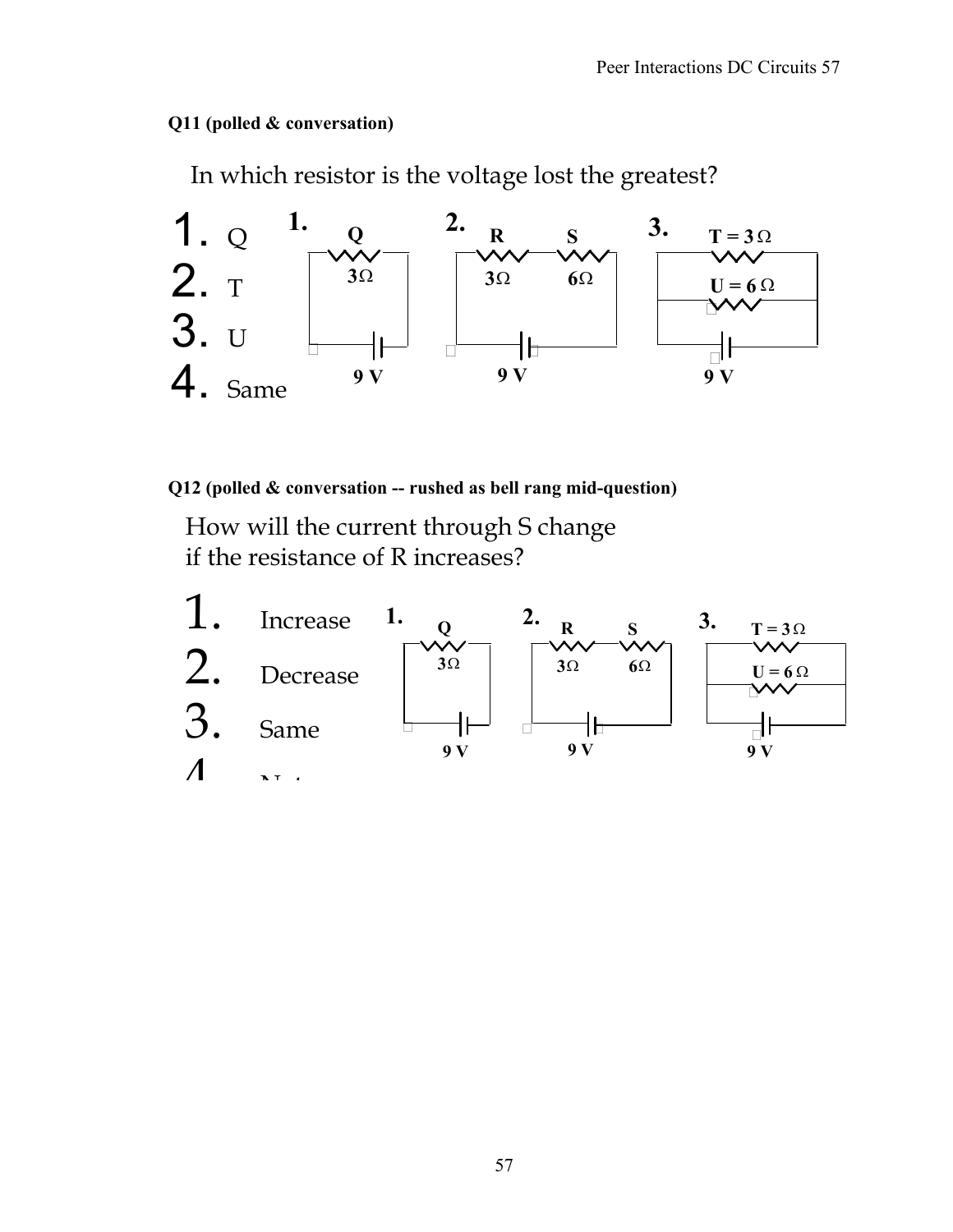# **Q11 (polled & conversation)**

In which resistor is the voltage lost the greatest?



# **Q12 (polled & conversation -- rushed as bell rang mid-question)**

How will the current through S change if the resistance of R increases?

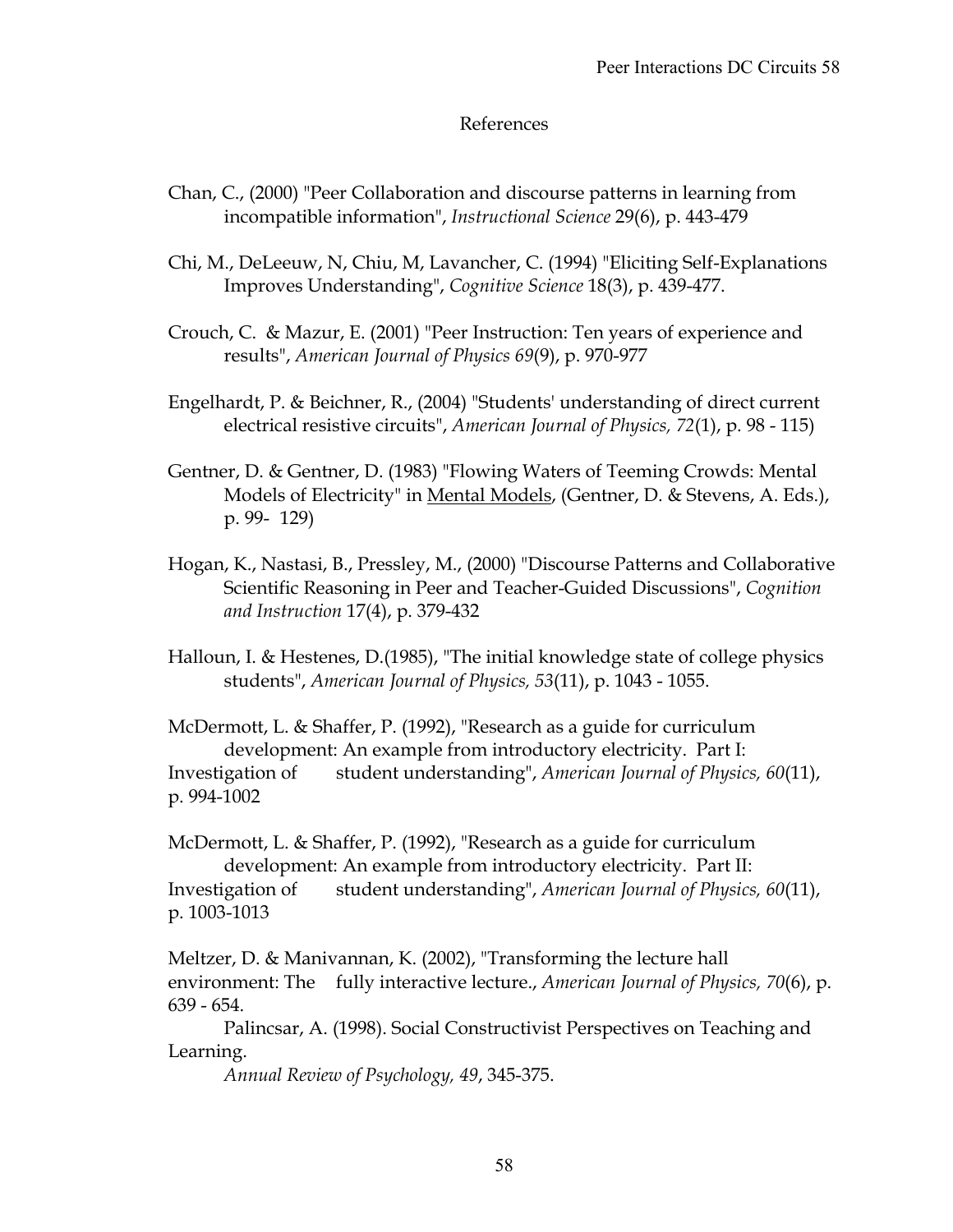## References

- Chan, C., (2000) "Peer Collaboration and discourse patterns in learning from incompatible information", *Instructional Science* 29(6), p. 443-479
- Chi, M., DeLeeuw, N, Chiu, M, Lavancher, C. (1994) "Eliciting Self-Explanations Improves Understanding", *Cognitive Science* 18(3), p. 439-477.
- Crouch, C. & Mazur, E. (2001) "Peer Instruction: Ten years of experience and results", *American Journal of Physics 69*(9), p. 970-977
- Engelhardt, P. & Beichner, R., (2004) "Students' understanding of direct current electrical resistive circuits", *American Journal of Physics, 72*(1), p. 98 - 115)
- Gentner, D. & Gentner, D. (1983) "Flowing Waters of Teeming Crowds: Mental Models of Electricity" in <u>Mental Models</u>, (Gentner, D. & Stevens, A. Eds.), p. 99- 129)
- Hogan, K., Nastasi, B., Pressley, M., (2000) "Discourse Patterns and Collaborative Scientific Reasoning in Peer and Teacher-Guided Discussions", *Cognition and Instruction* 17(4), p. 379-432
- Halloun, I. & Hestenes, D.(1985), "The initial knowledge state of college physics students", *American Journal of Physics, 53*(11), p. 1043 - 1055.

McDermott, L. & Shaffer, P. (1992), "Research as a guide for curriculum development: An example from introductory electricity. Part I: Investigation of student understanding", *American Journal of Physics, 60*(11), p. 994-1002

McDermott, L. & Shaffer, P. (1992), "Research as a guide for curriculum development: An example from introductory electricity. Part II: Investigation of student understanding", *American Journal of Physics, 60*(11),

p. 1003-1013

Meltzer, D. & Manivannan, K. (2002), "Transforming the lecture hall environment: The fully interactive lecture., *American Journal of Physics, 70*(6), p. 639 - 654.

 Palincsar, A. (1998). Social Constructivist Perspectives on Teaching and Learning.

*Annual Review of Psychology, 49*, 345-375.